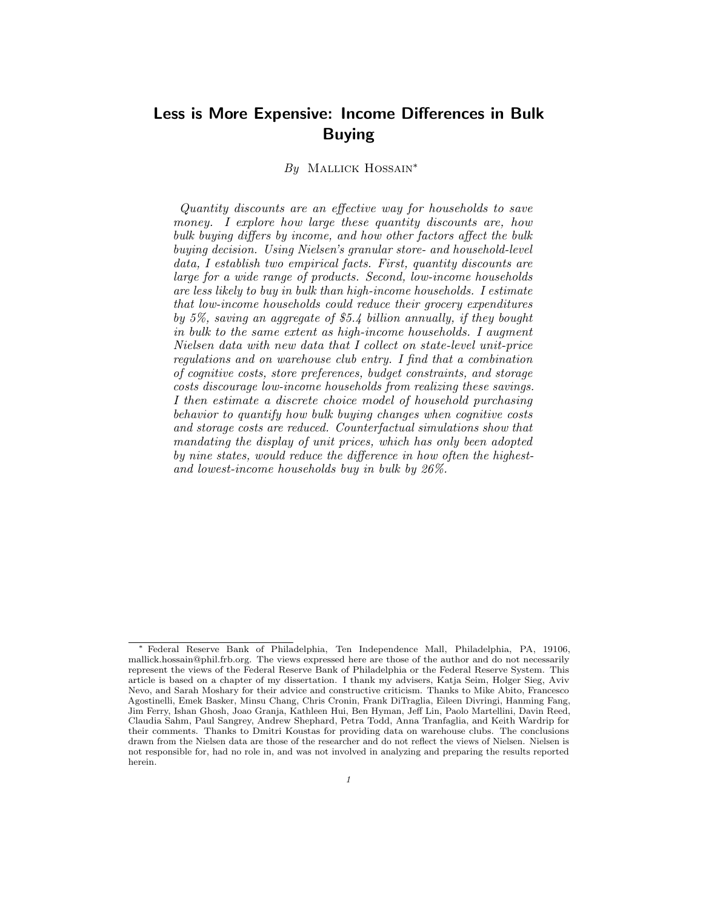# Less is More Expensive: Income Differences in Bulk Buying

## By MALLICK HOSSAIN<sup>\*</sup>

Quantity discounts are an effective way for households to save money. I explore how large these quantity discounts are, how bulk buying differs by income, and how other factors affect the bulk buying decision. Using Nielsen's granular store- and household-level data, I establish two empirical facts. First, quantity discounts are large for a wide range of products. Second, low-income households are less likely to buy in bulk than high-income households. I estimate that low-income households could reduce their grocery expenditures by 5%, saving an aggregate of \$5.4 billion annually, if they bought in bulk to the same extent as high-income households. I augment Nielsen data with new data that I collect on state-level unit-price regulations and on warehouse club entry. I find that a combination of cognitive costs, store preferences, budget constraints, and storage costs discourage low-income households from realizing these savings. I then estimate a discrete choice model of household purchasing behavior to quantify how bulk buying changes when cognitive costs and storage costs are reduced. Counterfactual simulations show that mandating the display of unit prices, which has only been adopted by nine states, would reduce the difference in how often the highestand lowest-income households buy in bulk by 26%.

<sup>∗</sup> Federal Reserve Bank of Philadelphia, Ten Independence Mall, Philadelphia, PA, 19106, mallick.hossain@phil.frb.org. The views expressed here are those of the author and do not necessarily represent the views of the Federal Reserve Bank of Philadelphia or the Federal Reserve System. This article is based on a chapter of my dissertation. I thank my advisers, Katja Seim, Holger Sieg, Aviv Nevo, and Sarah Moshary for their advice and constructive criticism. Thanks to Mike Abito, Francesco Agostinelli, Emek Basker, Minsu Chang, Chris Cronin, Frank DiTraglia, Eileen Divringi, Hanming Fang, Jim Ferry, Ishan Ghosh, Joao Granja, Kathleen Hui, Ben Hyman, Jeff Lin, Paolo Martellini, Davin Reed, Claudia Sahm, Paul Sangrey, Andrew Shephard, Petra Todd, Anna Tranfaglia, and Keith Wardrip for their comments. Thanks to Dmitri Koustas for providing data on warehouse clubs. The conclusions drawn from the Nielsen data are those of the researcher and do not reflect the views of Nielsen. Nielsen is not responsible for, had no role in, and was not involved in analyzing and preparing the results reported herein.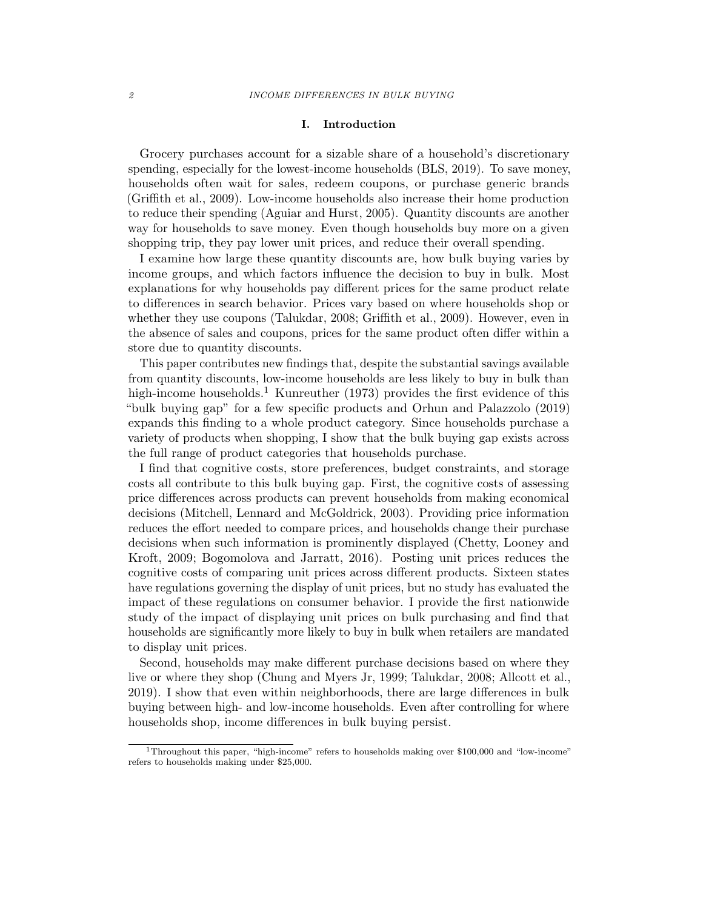## I. Introduction

Grocery purchases account for a sizable share of a household's discretionary spending, especially for the lowest-income households (BLS, 2019). To save money, households often wait for sales, redeem coupons, or purchase generic brands (Griffith et al., 2009). Low-income households also increase their home production to reduce their spending (Aguiar and Hurst, 2005). Quantity discounts are another way for households to save money. Even though households buy more on a given shopping trip, they pay lower unit prices, and reduce their overall spending.

I examine how large these quantity discounts are, how bulk buying varies by income groups, and which factors influence the decision to buy in bulk. Most explanations for why households pay different prices for the same product relate to differences in search behavior. Prices vary based on where households shop or whether they use coupons (Talukdar, 2008; Griffith et al., 2009). However, even in the absence of sales and coupons, prices for the same product often differ within a store due to quantity discounts.

This paper contributes new findings that, despite the substantial savings available from quantity discounts, low-income households are less likely to buy in bulk than high-income households.<sup>1</sup> Kunreuther (1973) provides the first evidence of this "bulk buying gap" for a few specific products and Orhun and Palazzolo (2019) expands this finding to a whole product category. Since households purchase a variety of products when shopping, I show that the bulk buying gap exists across the full range of product categories that households purchase.

I find that cognitive costs, store preferences, budget constraints, and storage costs all contribute to this bulk buying gap. First, the cognitive costs of assessing price differences across products can prevent households from making economical decisions (Mitchell, Lennard and McGoldrick, 2003). Providing price information reduces the effort needed to compare prices, and households change their purchase decisions when such information is prominently displayed (Chetty, Looney and Kroft, 2009; Bogomolova and Jarratt, 2016). Posting unit prices reduces the cognitive costs of comparing unit prices across different products. Sixteen states have regulations governing the display of unit prices, but no study has evaluated the impact of these regulations on consumer behavior. I provide the first nationwide study of the impact of displaying unit prices on bulk purchasing and find that households are significantly more likely to buy in bulk when retailers are mandated to display unit prices.

Second, households may make different purchase decisions based on where they live or where they shop (Chung and Myers Jr, 1999; Talukdar, 2008; Allcott et al., 2019). I show that even within neighborhoods, there are large differences in bulk buying between high- and low-income households. Even after controlling for where households shop, income differences in bulk buying persist.

<sup>&</sup>lt;sup>1</sup>Throughout this paper, "high-income" refers to households making over \$100,000 and "low-income" refers to households making under \$25,000.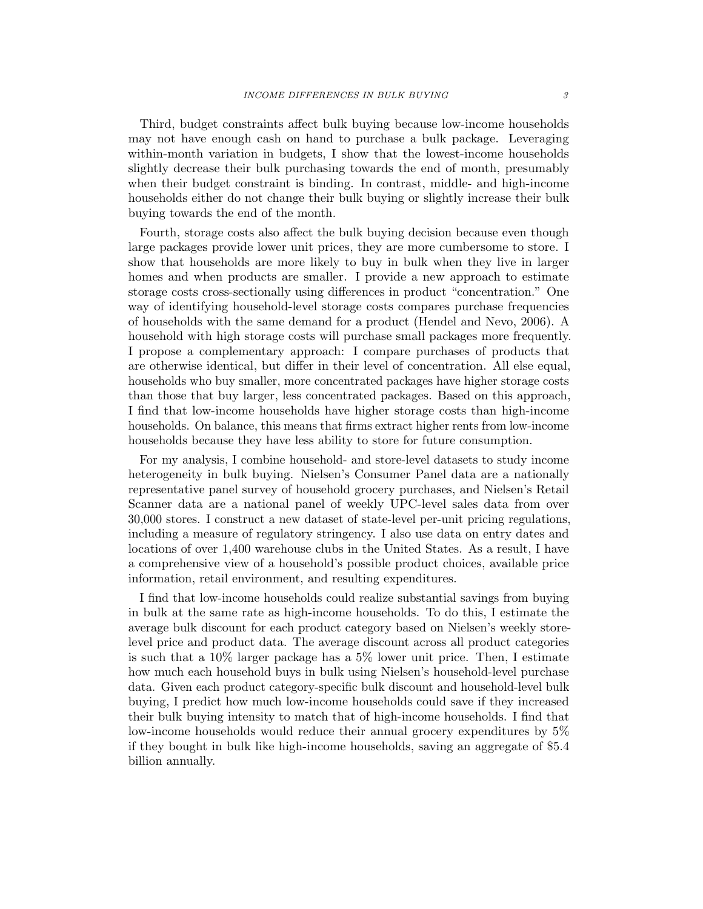Third, budget constraints affect bulk buying because low-income households may not have enough cash on hand to purchase a bulk package. Leveraging within-month variation in budgets, I show that the lowest-income households slightly decrease their bulk purchasing towards the end of month, presumably when their budget constraint is binding. In contrast, middle- and high-income households either do not change their bulk buying or slightly increase their bulk buying towards the end of the month.

Fourth, storage costs also affect the bulk buying decision because even though large packages provide lower unit prices, they are more cumbersome to store. I show that households are more likely to buy in bulk when they live in larger homes and when products are smaller. I provide a new approach to estimate storage costs cross-sectionally using differences in product "concentration." One way of identifying household-level storage costs compares purchase frequencies of households with the same demand for a product (Hendel and Nevo, 2006). A household with high storage costs will purchase small packages more frequently. I propose a complementary approach: I compare purchases of products that are otherwise identical, but differ in their level of concentration. All else equal, households who buy smaller, more concentrated packages have higher storage costs than those that buy larger, less concentrated packages. Based on this approach, I find that low-income households have higher storage costs than high-income households. On balance, this means that firms extract higher rents from low-income households because they have less ability to store for future consumption.

For my analysis, I combine household- and store-level datasets to study income heterogeneity in bulk buying. Nielsen's Consumer Panel data are a nationally representative panel survey of household grocery purchases, and Nielsen's Retail Scanner data are a national panel of weekly UPC-level sales data from over 30,000 stores. I construct a new dataset of state-level per-unit pricing regulations, including a measure of regulatory stringency. I also use data on entry dates and locations of over 1,400 warehouse clubs in the United States. As a result, I have a comprehensive view of a household's possible product choices, available price information, retail environment, and resulting expenditures.

I find that low-income households could realize substantial savings from buying in bulk at the same rate as high-income households. To do this, I estimate the average bulk discount for each product category based on Nielsen's weekly storelevel price and product data. The average discount across all product categories is such that a 10% larger package has a 5% lower unit price. Then, I estimate how much each household buys in bulk using Nielsen's household-level purchase data. Given each product category-specific bulk discount and household-level bulk buying, I predict how much low-income households could save if they increased their bulk buying intensity to match that of high-income households. I find that low-income households would reduce their annual grocery expenditures by 5% if they bought in bulk like high-income households, saving an aggregate of \$5.4 billion annually.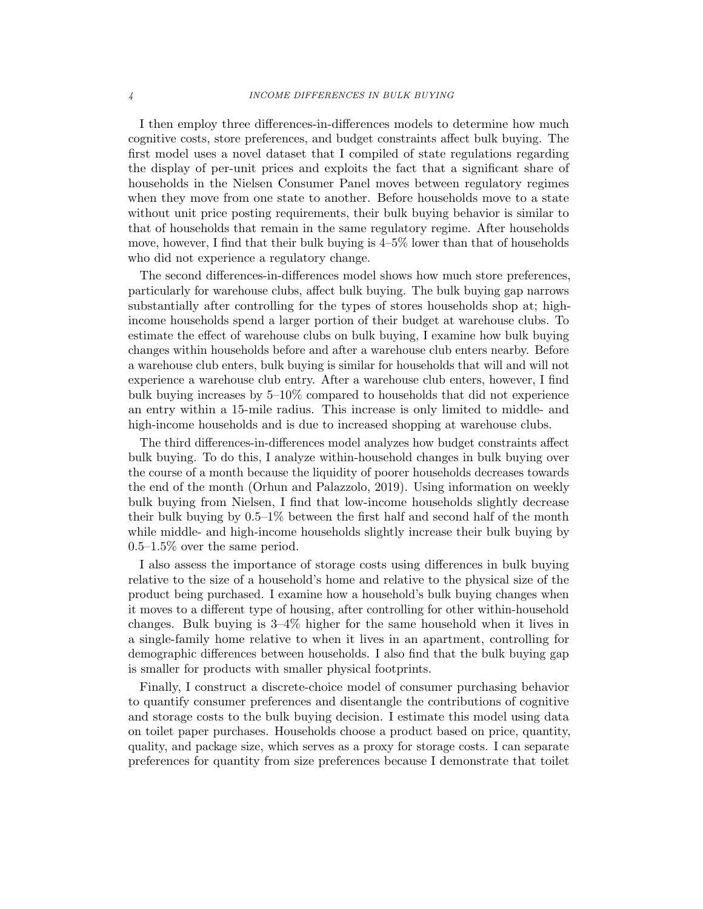I then employ three differences-in-differences models to determine how much cognitive costs, store preferences, and budget constraints affect bulk buying. The first model uses a novel dataset that I compiled of state regulations regarding the display of per-unit prices and exploits the fact that a significant share of households in the Nielsen Consumer Panel moves between regulatory regimes when they move from one state to another. Before households move to a state without unit price posting requirements, their bulk buying behavior is similar to that of households that remain in the same regulatory regime. After households move, however, I find that their bulk buying is 4–5% lower than that of households who did not experience a regulatory change.

The second differences-in-differences model shows how much store preferences, particularly for warehouse clubs, affect bulk buying. The bulk buying gap narrows substantially after controlling for the types of stores households shop at; highincome households spend a larger portion of their budget at warehouse clubs. To estimate the effect of warehouse clubs on bulk buying, I examine how bulk buying changes within households before and after a warehouse club enters nearby. Before a warehouse club enters, bulk buying is similar for households that will and will not experience a warehouse club entry. After a warehouse club enters, however, I find bulk buying increases by 5–10% compared to households that did not experience an entry within a 15-mile radius. This increase is only limited to middle- and high-income households and is due to increased shopping at warehouse clubs.

The third differences-in-differences model analyzes how budget constraints affect bulk buying. To do this, I analyze within-household changes in bulk buying over the course of a month because the liquidity of poorer households decreases towards the end of the month (Orhun and Palazzolo, 2019). Using information on weekly bulk buying from Nielsen, I find that low-income households slightly decrease their bulk buying by 0.5–1% between the first half and second half of the month while middle- and high-income households slightly increase their bulk buying by 0.5–1.5% over the same period.

I also assess the importance of storage costs using differences in bulk buying relative to the size of a household's home and relative to the physical size of the product being purchased. I examine how a household's bulk buying changes when it moves to a different type of housing, after controlling for other within-household changes. Bulk buying is 3–4% higher for the same household when it lives in a single-family home relative to when it lives in an apartment, controlling for demographic differences between households. I also find that the bulk buying gap is smaller for products with smaller physical footprints.

Finally, I construct a discrete-choice model of consumer purchasing behavior to quantify consumer preferences and disentangle the contributions of cognitive and storage costs to the bulk buying decision. I estimate this model using data on toilet paper purchases. Households choose a product based on price, quantity, quality, and package size, which serves as a proxy for storage costs. I can separate preferences for quantity from size preferences because I demonstrate that toilet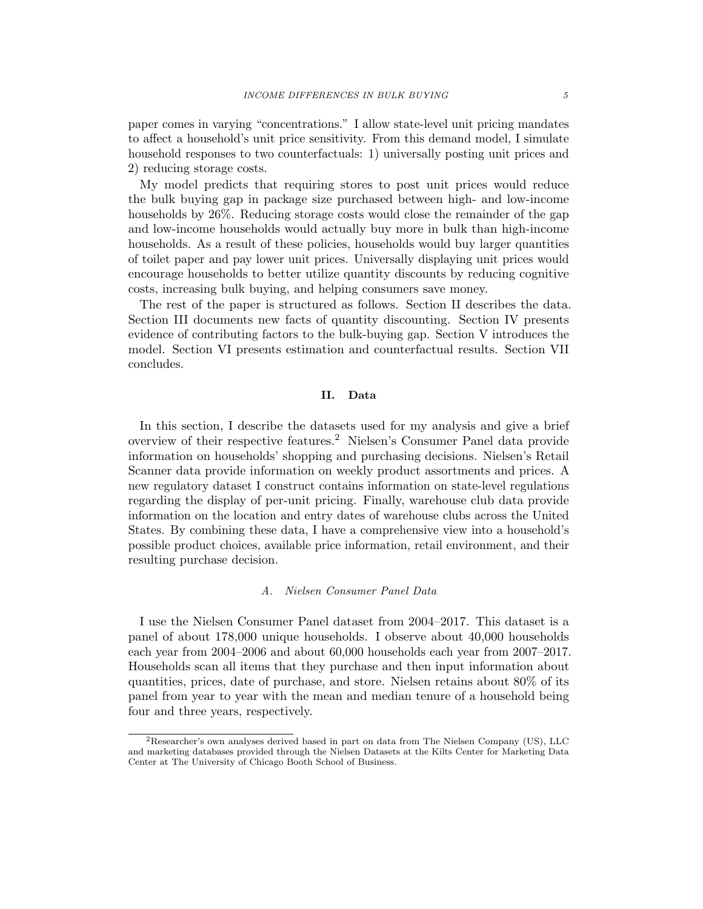paper comes in varying "concentrations." I allow state-level unit pricing mandates to affect a household's unit price sensitivity. From this demand model, I simulate household responses to two counterfactuals: 1) universally posting unit prices and 2) reducing storage costs.

My model predicts that requiring stores to post unit prices would reduce the bulk buying gap in package size purchased between high- and low-income households by 26%. Reducing storage costs would close the remainder of the gap and low-income households would actually buy more in bulk than high-income households. As a result of these policies, households would buy larger quantities of toilet paper and pay lower unit prices. Universally displaying unit prices would encourage households to better utilize quantity discounts by reducing cognitive costs, increasing bulk buying, and helping consumers save money.

The rest of the paper is structured as follows. Section II describes the data. Section III documents new facts of quantity discounting. Section IV presents evidence of contributing factors to the bulk-buying gap. Section V introduces the model. Section VI presents estimation and counterfactual results. Section VII concludes.

## II. Data

In this section, I describe the datasets used for my analysis and give a brief overview of their respective features.<sup>2</sup> Nielsen's Consumer Panel data provide information on households' shopping and purchasing decisions. Nielsen's Retail Scanner data provide information on weekly product assortments and prices. A new regulatory dataset I construct contains information on state-level regulations regarding the display of per-unit pricing. Finally, warehouse club data provide information on the location and entry dates of warehouse clubs across the United States. By combining these data, I have a comprehensive view into a household's possible product choices, available price information, retail environment, and their resulting purchase decision.

## A. Nielsen Consumer Panel Data

I use the Nielsen Consumer Panel dataset from 2004–2017. This dataset is a panel of about 178,000 unique households. I observe about 40,000 households each year from 2004–2006 and about 60,000 households each year from 2007–2017. Households scan all items that they purchase and then input information about quantities, prices, date of purchase, and store. Nielsen retains about 80% of its panel from year to year with the mean and median tenure of a household being four and three years, respectively.

<sup>2</sup>Researcher's own analyses derived based in part on data from The Nielsen Company (US), LLC and marketing databases provided through the Nielsen Datasets at the Kilts Center for Marketing Data Center at The University of Chicago Booth School of Business.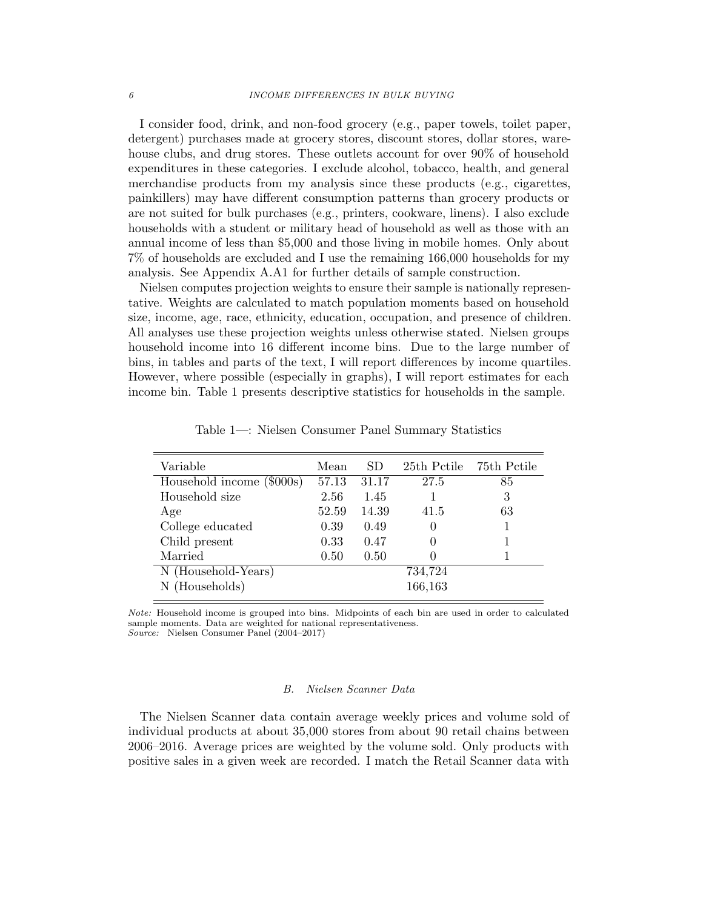I consider food, drink, and non-food grocery (e.g., paper towels, toilet paper, detergent) purchases made at grocery stores, discount stores, dollar stores, warehouse clubs, and drug stores. These outlets account for over 90% of household expenditures in these categories. I exclude alcohol, tobacco, health, and general merchandise products from my analysis since these products (e.g., cigarettes, painkillers) may have different consumption patterns than grocery products or are not suited for bulk purchases (e.g., printers, cookware, linens). I also exclude households with a student or military head of household as well as those with an annual income of less than \$5,000 and those living in mobile homes. Only about 7% of households are excluded and I use the remaining 166,000 households for my analysis. See Appendix A.A1 for further details of sample construction.

Nielsen computes projection weights to ensure their sample is nationally representative. Weights are calculated to match population moments based on household size, income, age, race, ethnicity, education, occupation, and presence of children. All analyses use these projection weights unless otherwise stated. Nielsen groups household income into 16 different income bins. Due to the large number of bins, in tables and parts of the text, I will report differences by income quartiles. However, where possible (especially in graphs), I will report estimates for each income bin. Table 1 presents descriptive statistics for households in the sample.

| Variable                  | Mean  | SD.   |         | 25th Pctile 75th Pctile |
|---------------------------|-------|-------|---------|-------------------------|
| Household income (\$000s) | 57.13 | 31.17 | 27.5    | 85                      |
| Household size            | 2.56  | 1.45  |         | 3                       |
| Age                       | 52.59 | 14.39 | 41.5    | 63                      |
| College educated          | 0.39  | 0.49  |         |                         |
| Child present             | 0.33  | 0.47  |         |                         |
| Married                   | 0.50  | 0.50  |         |                         |
| N (Household-Years)       |       |       | 734,724 |                         |
| N (Households)            |       |       | 166,163 |                         |

Table 1—: Nielsen Consumer Panel Summary Statistics

Note: Household income is grouped into bins. Midpoints of each bin are used in order to calculated sample moments. Data are weighted for national representativeness. Source: Nielsen Consumer Panel (2004–2017)

#### B. Nielsen Scanner Data

The Nielsen Scanner data contain average weekly prices and volume sold of individual products at about 35,000 stores from about 90 retail chains between 2006–2016. Average prices are weighted by the volume sold. Only products with positive sales in a given week are recorded. I match the Retail Scanner data with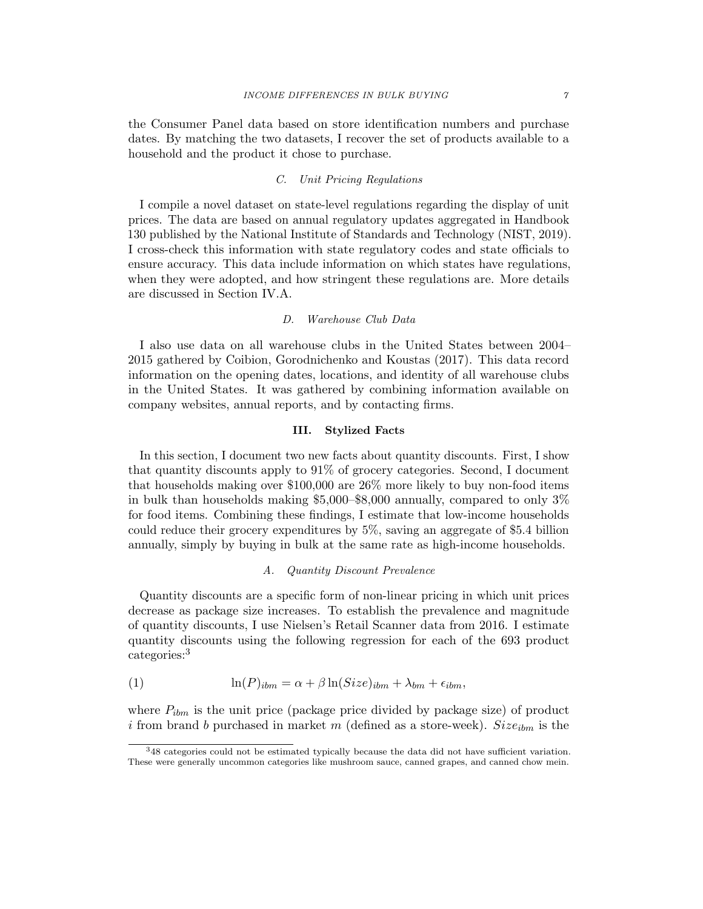the Consumer Panel data based on store identification numbers and purchase dates. By matching the two datasets, I recover the set of products available to a household and the product it chose to purchase.

## C. Unit Pricing Regulations

I compile a novel dataset on state-level regulations regarding the display of unit prices. The data are based on annual regulatory updates aggregated in Handbook 130 published by the National Institute of Standards and Technology (NIST, 2019). I cross-check this information with state regulatory codes and state officials to ensure accuracy. This data include information on which states have regulations, when they were adopted, and how stringent these regulations are. More details are discussed in Section IV.A.

## D. Warehouse Club Data

I also use data on all warehouse clubs in the United States between 2004– 2015 gathered by Coibion, Gorodnichenko and Koustas (2017). This data record information on the opening dates, locations, and identity of all warehouse clubs in the United States. It was gathered by combining information available on company websites, annual reports, and by contacting firms.

## III. Stylized Facts

In this section, I document two new facts about quantity discounts. First, I show that quantity discounts apply to 91% of grocery categories. Second, I document that households making over \$100,000 are 26% more likely to buy non-food items in bulk than households making \$5,000–\$8,000 annually, compared to only 3% for food items. Combining these findings, I estimate that low-income households could reduce their grocery expenditures by 5%, saving an aggregate of \$5.4 billion annually, simply by buying in bulk at the same rate as high-income households.

## A. Quantity Discount Prevalence

Quantity discounts are a specific form of non-linear pricing in which unit prices decrease as package size increases. To establish the prevalence and magnitude of quantity discounts, I use Nielsen's Retail Scanner data from 2016. I estimate quantity discounts using the following regression for each of the 693 product categories:<sup>3</sup>

(1) 
$$
\ln(P)_{ibm} = \alpha + \beta \ln(Size)_{ibm} + \lambda_{bm} + \epsilon_{ibm},
$$

where  $P_{ibm}$  is the unit price (package price divided by package size) of product i from brand b purchased in market m (defined as a store-week).  $Size_{ibm}$  is the

<sup>3</sup>48 categories could not be estimated typically because the data did not have sufficient variation. These were generally uncommon categories like mushroom sauce, canned grapes, and canned chow mein.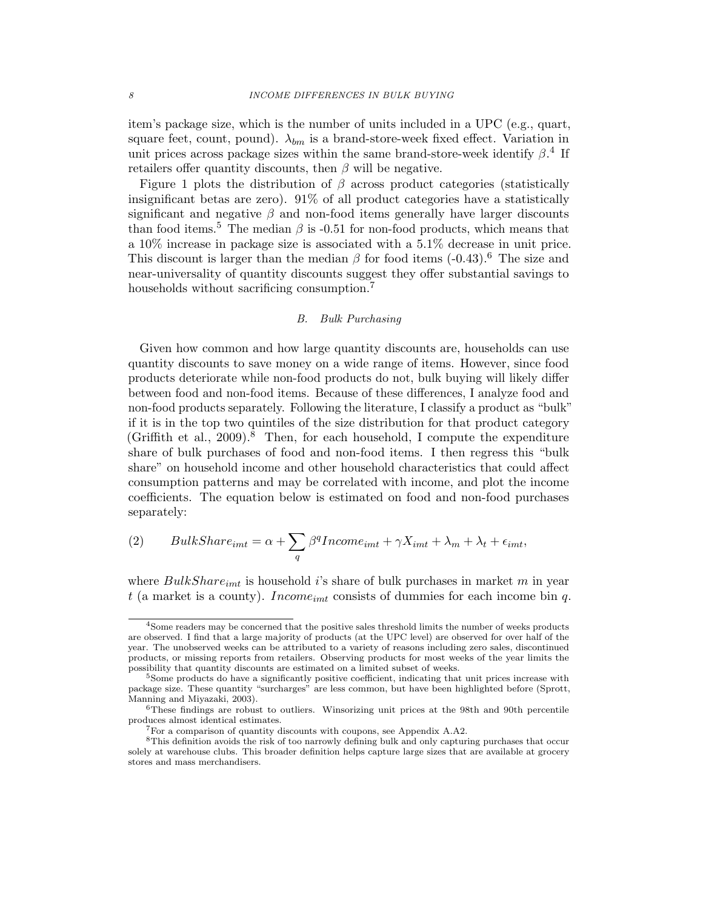item's package size, which is the number of units included in a UPC (e.g., quart, square feet, count, pound).  $\lambda_{bm}$  is a brand-store-week fixed effect. Variation in unit prices across package sizes within the same brand-store-week identify  $\beta$ <sup>4</sup>. If retailers offer quantity discounts, then  $\beta$  will be negative.

Figure 1 plots the distribution of  $\beta$  across product categories (statistically insignificant betas are zero). 91% of all product categories have a statistically significant and negative  $\beta$  and non-food items generally have larger discounts than food items.<sup>5</sup> The median  $\beta$  is -0.51 for non-food products, which means that a 10% increase in package size is associated with a 5.1% decrease in unit price. This discount is larger than the median  $\beta$  for food items (-0.43).<sup>6</sup> The size and near-universality of quantity discounts suggest they offer substantial savings to households without sacrificing consumption.<sup>7</sup>

## B. Bulk Purchasing

Given how common and how large quantity discounts are, households can use quantity discounts to save money on a wide range of items. However, since food products deteriorate while non-food products do not, bulk buying will likely differ between food and non-food items. Because of these differences, I analyze food and non-food products separately. Following the literature, I classify a product as "bulk" if it is in the top two quintiles of the size distribution for that product category (Griffith et al., 2009).<sup>8</sup> Then, for each household, I compute the expenditure share of bulk purchases of food and non-food items. I then regress this "bulk share" on household income and other household characteristics that could affect consumption patterns and may be correlated with income, and plot the income coefficients. The equation below is estimated on food and non-food purchases separately:

(2) 
$$
BulkShare_{imt} = \alpha + \sum_{q} \beta^{q} Income_{imt} + \gamma X_{imt} + \lambda_{m} + \lambda_{t} + \epsilon_{imt},
$$

where  $BulkShare_{imt}$  is household i's share of bulk purchases in market m in year t (a market is a county). Income<sub>imt</sub> consists of dummies for each income bin q.

<sup>&</sup>lt;sup>4</sup>Some readers may be concerned that the positive sales threshold limits the number of weeks products are observed. I find that a large majority of products (at the UPC level) are observed for over half of the year. The unobserved weeks can be attributed to a variety of reasons including zero sales, discontinued products, or missing reports from retailers. Observing products for most weeks of the year limits the possibility that quantity discounts are estimated on a limited subset of weeks.

<sup>&</sup>lt;sup>5</sup>Some products do have a significantly positive coefficient, indicating that unit prices increase with package size. These quantity "surcharges" are less common, but have been highlighted before (Sprott, Manning and Miyazaki, 2003).

 $6$ These findings are robust to outliers. Winsorizing unit prices at the 98th and 90th percentile produces almost identical estimates.

<sup>7</sup>For a comparison of quantity discounts with coupons, see Appendix A.A2.

<sup>8</sup>This definition avoids the risk of too narrowly defining bulk and only capturing purchases that occur solely at warehouse clubs. This broader definition helps capture large sizes that are available at grocery stores and mass merchandisers.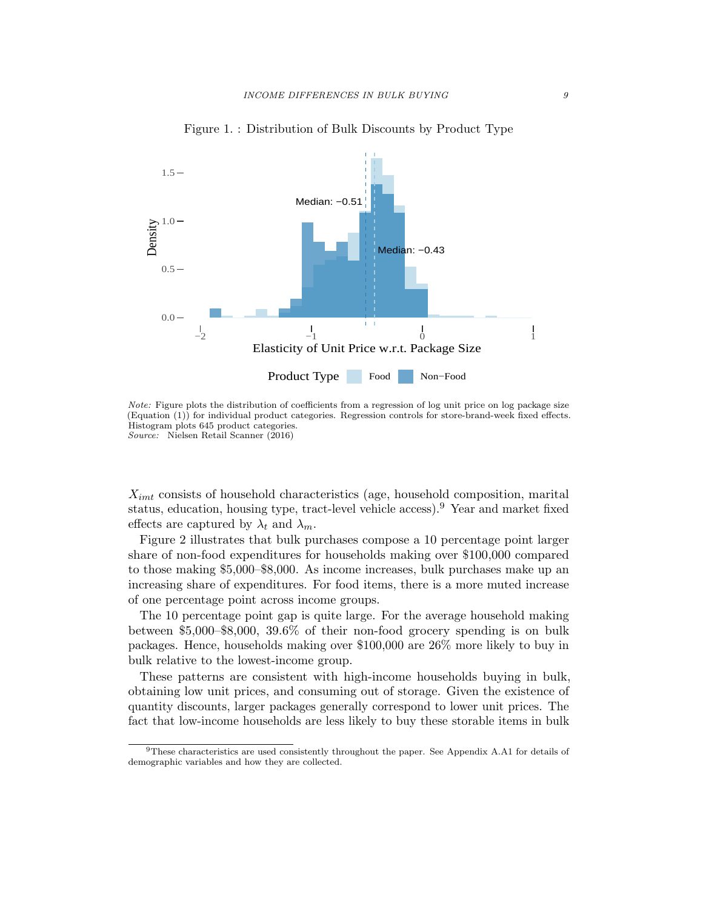

Figure 1. : Distribution of Bulk Discounts by Product Type

Note: Figure plots the distribution of coefficients from a regression of log unit price on log package size (Equation (1)) for individual product categories. Regression controls for store-brand-week fixed effects. Histogram plots 645 product categories. Source: Nielsen Retail Scanner (2016)

 $X_{imt}$  consists of household characteristics (age, household composition, marital status, education, housing type, tract-level vehicle access).<sup>9</sup> Year and market fixed effects are captured by  $\lambda_t$  and  $\lambda_m$ .

Figure 2 illustrates that bulk purchases compose a 10 percentage point larger share of non-food expenditures for households making over \$100,000 compared to those making \$5,000–\$8,000. As income increases, bulk purchases make up an increasing share of expenditures. For food items, there is a more muted increase of one percentage point across income groups.

The 10 percentage point gap is quite large. For the average household making between \$5,000–\$8,000, 39.6% of their non-food grocery spending is on bulk packages. Hence, households making over \$100,000 are 26% more likely to buy in bulk relative to the lowest-income group.

These patterns are consistent with high-income households buying in bulk, obtaining low unit prices, and consuming out of storage. Given the existence of quantity discounts, larger packages generally correspond to lower unit prices. The fact that low-income households are less likely to buy these storable items in bulk

<sup>9</sup>These characteristics are used consistently throughout the paper. See Appendix A.A1 for details of demographic variables and how they are collected.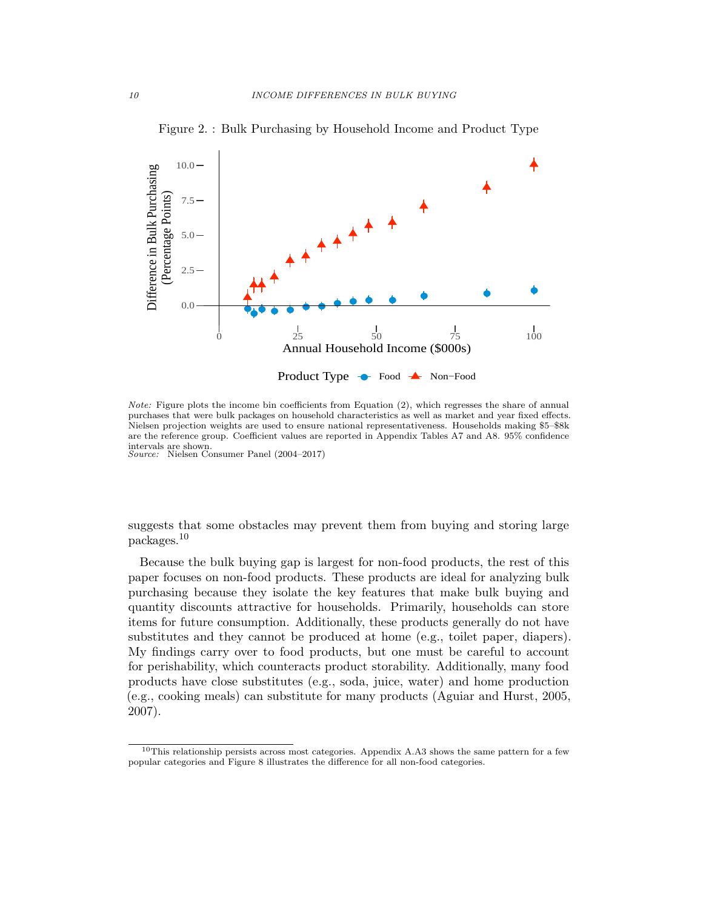

Figure 2. : Bulk Purchasing by Household Income and Product Type

Note: Figure plots the income bin coefficients from Equation (2), which regresses the share of annual purchases that were bulk packages on household characteristics as well as market and year fixed effects. Nielsen projection weights are used to ensure national representativeness. Households making \$5–\$8k are the reference group. Coefficient values are reported in Appendix Tables A7 and A8. 95% confidence intervals are shown. Source: Nielsen Consumer Panel (2004–2017)

suggests that some obstacles may prevent them from buying and storing large packages.<sup>10</sup>

Because the bulk buying gap is largest for non-food products, the rest of this paper focuses on non-food products. These products are ideal for analyzing bulk purchasing because they isolate the key features that make bulk buying and quantity discounts attractive for households. Primarily, households can store items for future consumption. Additionally, these products generally do not have substitutes and they cannot be produced at home (e.g., toilet paper, diapers). My findings carry over to food products, but one must be careful to account for perishability, which counteracts product storability. Additionally, many food products have close substitutes (e.g., soda, juice, water) and home production (e.g., cooking meals) can substitute for many products (Aguiar and Hurst, 2005, 2007).

 $10$ This relationship persists across most categories. Appendix A.A3 shows the same pattern for a few popular categories and Figure 8 illustrates the difference for all non-food categories.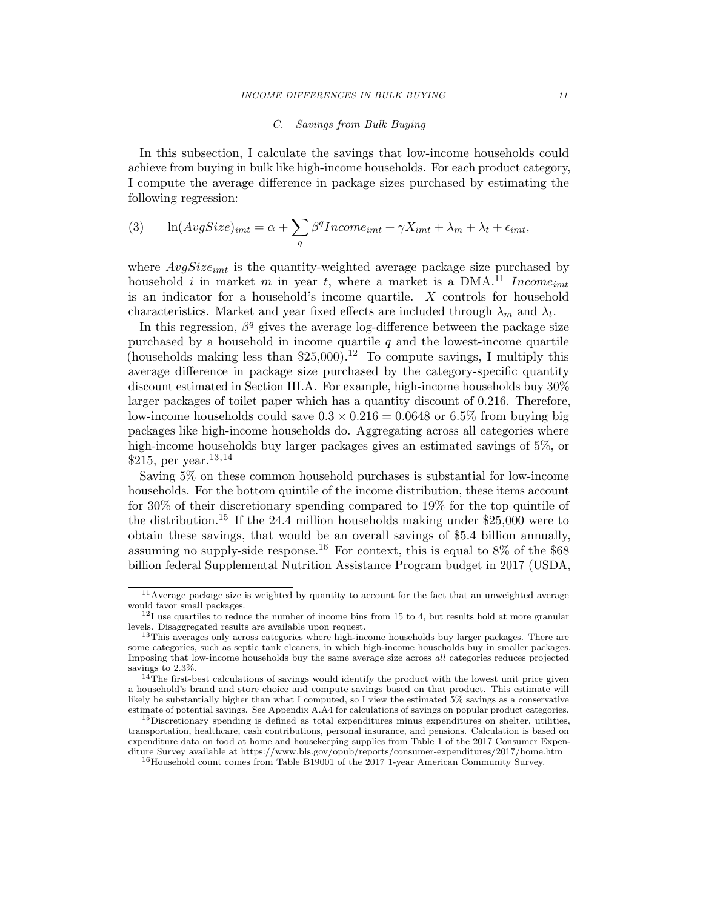## C. Savings from Bulk Buying

In this subsection, I calculate the savings that low-income households could achieve from buying in bulk like high-income households. For each product category, I compute the average difference in package sizes purchased by estimating the following regression:

(3) 
$$
\ln(AvgSize)_{imt} = \alpha + \sum_{q} \beta^q Income_{imt} + \gamma X_{imt} + \lambda_m + \lambda_t + \epsilon_{imt},
$$

where  $AvgSize_{imt}$  is the quantity-weighted average package size purchased by household i in market m in year t, where a market is a DMA.<sup>11</sup> Income<sub>imt</sub> is an indicator for a household's income quartile.  $X$  controls for household characteristics. Market and year fixed effects are included through  $\lambda_m$  and  $\lambda_t$ .

In this regression,  $\beta^q$  gives the average log-difference between the package size purchased by a household in income quartile  $q$  and the lowest-income quartile (households making less than  $$25,000$ ).<sup>12</sup> To compute savings, I multiply this average difference in package size purchased by the category-specific quantity discount estimated in Section III.A. For example, high-income households buy 30% larger packages of toilet paper which has a quantity discount of 0.216. Therefore, low-income households could save  $0.3 \times 0.216 = 0.0648$  or 6.5% from buying big packages like high-income households do. Aggregating across all categories where high-income households buy larger packages gives an estimated savings of 5\%, or \$215, per year.  $^{13,14}$ 

Saving 5% on these common household purchases is substantial for low-income households. For the bottom quintile of the income distribution, these items account for 30% of their discretionary spending compared to 19% for the top quintile of the distribution.<sup>15</sup> If the 24.4 million households making under  $$25,000$  were to obtain these savings, that would be an overall savings of \$5.4 billion annually, assuming no supply-side response.<sup>16</sup> For context, this is equal to  $8\%$  of the \$68 billion federal Supplemental Nutrition Assistance Program budget in 2017 (USDA,

<sup>11</sup>Average package size is weighted by quantity to account for the fact that an unweighted average would favor small packages.

 $12$ I use quartiles to reduce the number of income bins from 15 to 4, but results hold at more granular levels. Disaggregated results are available upon request.

<sup>&</sup>lt;sup>13</sup>This averages only across categories where high-income households buy larger packages. There are some categories, such as septic tank cleaners, in which high-income households buy in smaller packages. Imposing that low-income households buy the same average size across all categories reduces projected savings to 2.3%.

 $14$ The first-best calculations of savings would identify the product with the lowest unit price given a household's brand and store choice and compute savings based on that product. This estimate will likely be substantially higher than what I computed, so I view the estimated 5% savings as a conservative estimate of potential savings. See Appendix A.A4 for calculations of savings on popular product categories.

<sup>&</sup>lt;sup>15</sup>Discretionary spending is defined as total expenditures minus expenditures on shelter, utilities, transportation, healthcare, cash contributions, personal insurance, and pensions. Calculation is based on expenditure data on food at home and housekeeping supplies from Table 1 of the 2017 Consumer Expenditure Survey available at https://www.bls.gov/opub/reports/consumer-expenditures/2017/home.htm

 $^{16}\rm{Household}$  count comes from Table B19001 of the 2017 1-year American Community Survey.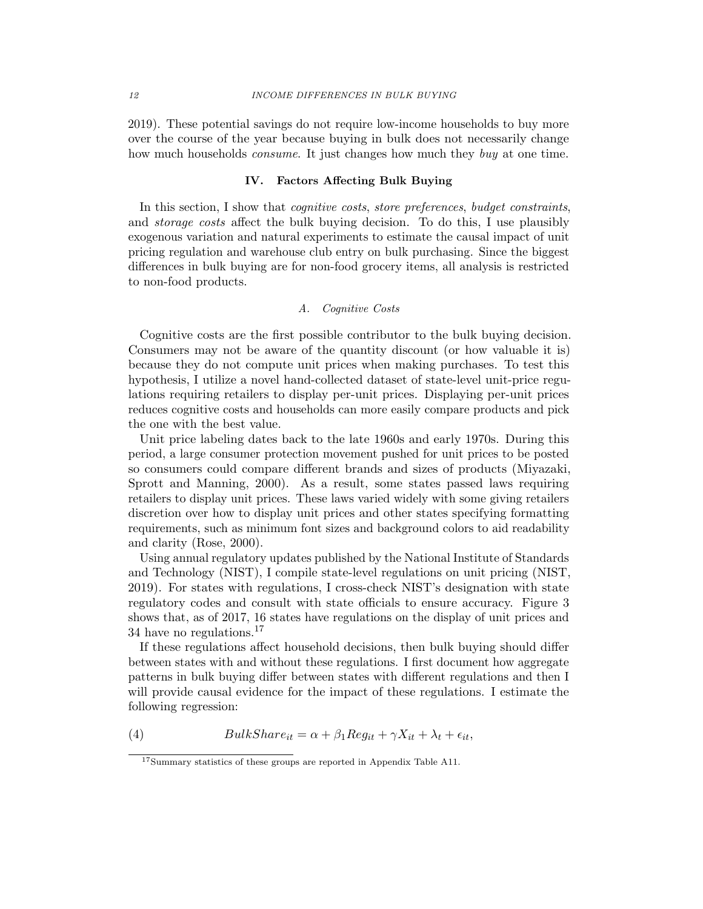2019). These potential savings do not require low-income households to buy more over the course of the year because buying in bulk does not necessarily change how much households *consume*. It just changes how much they *buy* at one time.

#### IV. Factors Affecting Bulk Buying

In this section, I show that *cognitive costs, store preferences, budget constraints,* and storage costs affect the bulk buying decision. To do this, I use plausibly exogenous variation and natural experiments to estimate the causal impact of unit pricing regulation and warehouse club entry on bulk purchasing. Since the biggest differences in bulk buying are for non-food grocery items, all analysis is restricted to non-food products.

## A. Cognitive Costs

Cognitive costs are the first possible contributor to the bulk buying decision. Consumers may not be aware of the quantity discount (or how valuable it is) because they do not compute unit prices when making purchases. To test this hypothesis, I utilize a novel hand-collected dataset of state-level unit-price regulations requiring retailers to display per-unit prices. Displaying per-unit prices reduces cognitive costs and households can more easily compare products and pick the one with the best value.

Unit price labeling dates back to the late 1960s and early 1970s. During this period, a large consumer protection movement pushed for unit prices to be posted so consumers could compare different brands and sizes of products (Miyazaki, Sprott and Manning, 2000). As a result, some states passed laws requiring retailers to display unit prices. These laws varied widely with some giving retailers discretion over how to display unit prices and other states specifying formatting requirements, such as minimum font sizes and background colors to aid readability and clarity (Rose, 2000).

Using annual regulatory updates published by the National Institute of Standards and Technology (NIST), I compile state-level regulations on unit pricing (NIST, 2019). For states with regulations, I cross-check NIST's designation with state regulatory codes and consult with state officials to ensure accuracy. Figure 3 shows that, as of 2017, 16 states have regulations on the display of unit prices and 34 have no regulations.<sup>17</sup>

If these regulations affect household decisions, then bulk buying should differ between states with and without these regulations. I first document how aggregate patterns in bulk buying differ between states with different regulations and then I will provide causal evidence for the impact of these regulations. I estimate the following regression:

(4) 
$$
BulkShare_{it} = \alpha + \beta_1 Reg_{it} + \gamma X_{it} + \lambda_t + \epsilon_{it},
$$

 $^{17}{\rm Summary}$  statistics of these groups are reported in Appendix Table A11.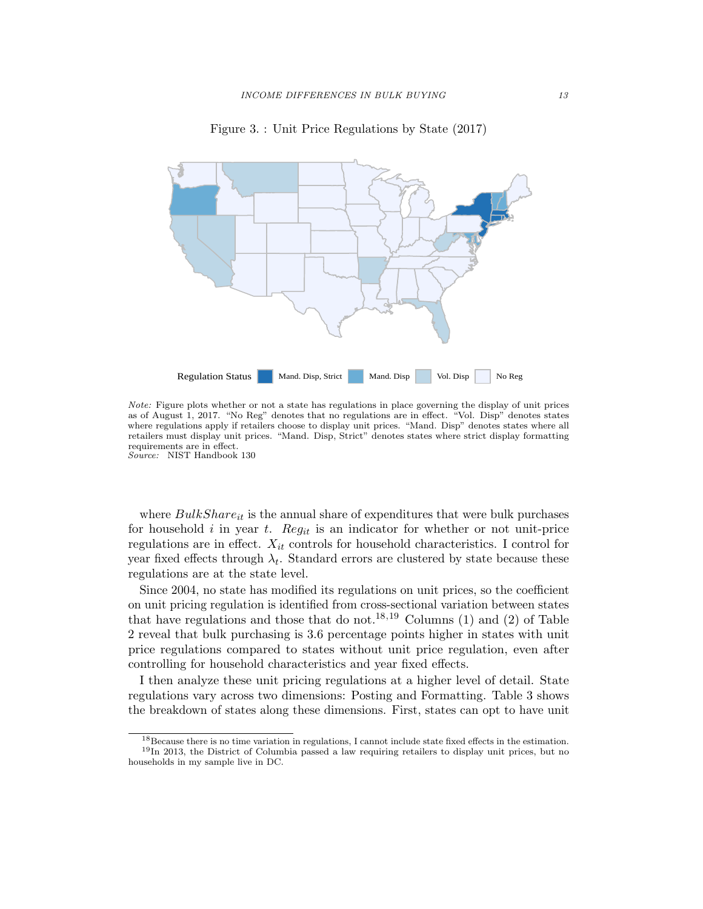



Note: Figure plots whether or not a state has regulations in place governing the display of unit prices as of August 1, 2017. "No Reg" denotes that no regulations are in effect. "Vol. Disp" denotes states where regulations apply if retailers choose to display unit prices. "Mand. Disp" denotes states where all retailers must display unit prices. "Mand. Disp, Strict" denotes states where strict display formatting requirements are in effect. Source: NIST Handbook 130

where  $BulkShare_{it}$  is the annual share of expenditures that were bulk purchases for household i in year t. Reg<sub>it</sub> is an indicator for whether or not unit-price regulations are in effect.  $X_{it}$  controls for household characteristics. I control for year fixed effects through  $\lambda_t$ . Standard errors are clustered by state because these regulations are at the state level.

Since 2004, no state has modified its regulations on unit prices, so the coefficient on unit pricing regulation is identified from cross-sectional variation between states that have regulations and those that do not.<sup>18,19</sup> Columns (1) and (2) of Table 2 reveal that bulk purchasing is 3.6 percentage points higher in states with unit price regulations compared to states without unit price regulation, even after controlling for household characteristics and year fixed effects.

I then analyze these unit pricing regulations at a higher level of detail. State regulations vary across two dimensions: Posting and Formatting. Table 3 shows the breakdown of states along these dimensions. First, states can opt to have unit

<sup>18</sup>Because there is no time variation in regulations, I cannot include state fixed effects in the estimation. <sup>19</sup>In 2013, the District of Columbia passed a law requiring retailers to display unit prices, but no

households in my sample live in DC.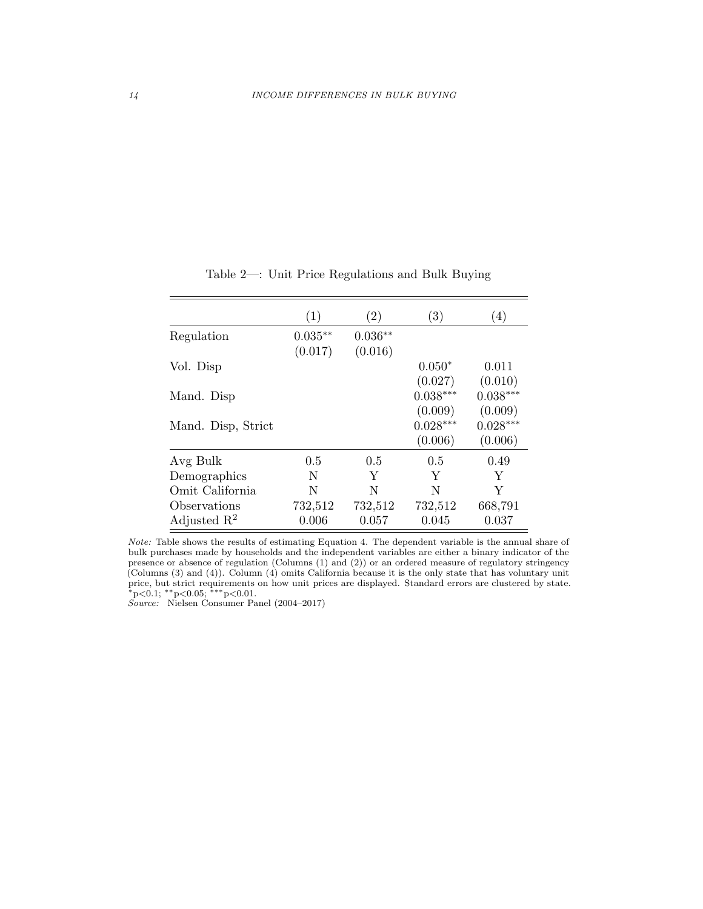|                         | $\left( 1\right)$ | $\left( 2\right)$ | $\left( 3\right)$ | (4)        |
|-------------------------|-------------------|-------------------|-------------------|------------|
| Regulation              | $0.035**$         | $0.036**$         |                   |            |
|                         | (0.017)           | (0.016)           |                   |            |
| Vol. Disp               |                   |                   | $0.050*$          | 0.011      |
|                         |                   |                   | (0.027)           | (0.010)    |
| Mand. Disp              |                   |                   | $0.038***$        | $0.038***$ |
|                         |                   |                   | (0.009)           | (0.009)    |
| Mand. Disp, Strict      |                   |                   | $0.028***$        | $0.028***$ |
|                         |                   |                   | (0.006)           | (0.006)    |
| Avg Bulk                | 0.5               | 0.5               | 0.5               | 0.49       |
| Demographics            | N                 | Y                 | Y                 | Y          |
| Omit California         | N                 | N                 | N                 | Y          |
| Observations            | 732,512           | 732,512           | 732,512           | 668,791    |
| Adjusted $\mathbb{R}^2$ | 0.006             | 0.057             | 0.045             | 0.037      |

Table 2—: Unit Price Regulations and Bulk Buying

Note: Table shows the results of estimating Equation 4. The dependent variable is the annual share of bulk purchases made by households and the independent variables are either a binary indicator of the presence or absence of regulation (Columns (1) and (2)) or an ordered measure of regulatory stringency (Columns (3) and (4)). Column (4) omits California because it is the only state that has voluntary unit price, but strict requirements on how unit prices are displayed. Standard errors are clustered by state.<br>\*p<0.1; \*\*p<0.05; \*\*\*p<0.01.

Source: Nielsen Consumer Panel (2004–2017)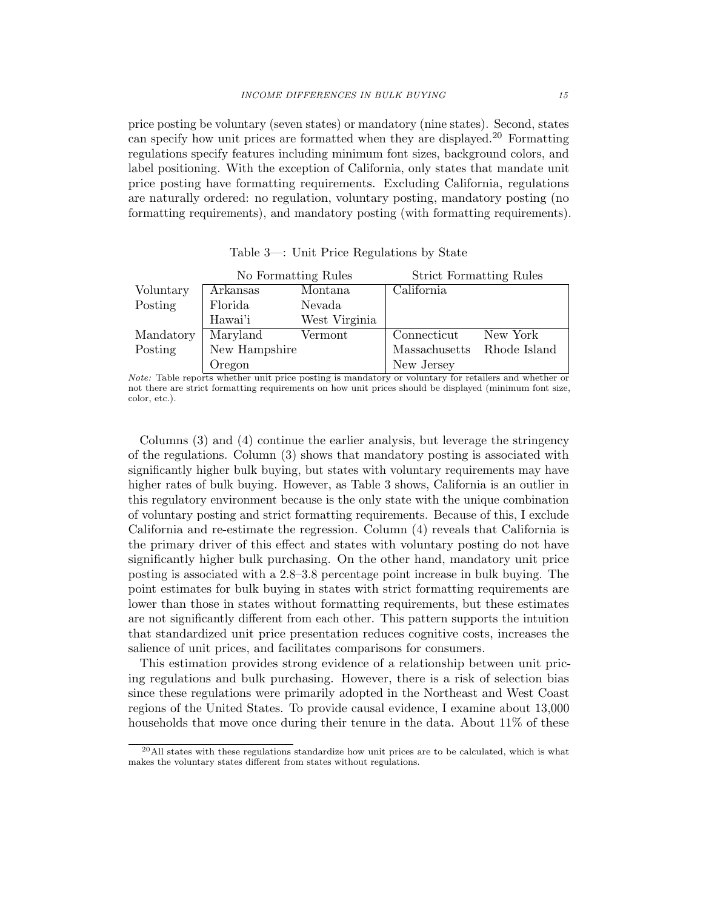price posting be voluntary (seven states) or mandatory (nine states). Second, states can specify how unit prices are formatted when they are displayed.<sup>20</sup> Formatting regulations specify features including minimum font sizes, background colors, and label positioning. With the exception of California, only states that mandate unit price posting have formatting requirements. Excluding California, regulations are naturally ordered: no regulation, voluntary posting, mandatory posting (no formatting requirements), and mandatory posting (with formatting requirements).

|           | No Formatting Rules |               | <b>Strict Formatting Rules</b> |              |
|-----------|---------------------|---------------|--------------------------------|--------------|
| Voluntary | Arkansas            | Montana       | California                     |              |
| Posting   | Florida             | Nevada        |                                |              |
|           | Hawai'i             | West Virginia |                                |              |
| Mandatory | Maryland            | Vermont       | Connecticut                    | New York     |
| Posting   | New Hampshire       |               | Massachusetts                  | Rhode Island |
|           | Oregon              |               | New Jersey                     |              |

Table 3—: Unit Price Regulations by State

Note: Table reports whether unit price posting is mandatory or voluntary for retailers and whether or not there are strict formatting requirements on how unit prices should be displayed (minimum font size, color, etc.).

Columns (3) and (4) continue the earlier analysis, but leverage the stringency of the regulations. Column (3) shows that mandatory posting is associated with significantly higher bulk buying, but states with voluntary requirements may have higher rates of bulk buying. However, as Table 3 shows, California is an outlier in this regulatory environment because is the only state with the unique combination of voluntary posting and strict formatting requirements. Because of this, I exclude California and re-estimate the regression. Column (4) reveals that California is the primary driver of this effect and states with voluntary posting do not have significantly higher bulk purchasing. On the other hand, mandatory unit price posting is associated with a 2.8–3.8 percentage point increase in bulk buying. The point estimates for bulk buying in states with strict formatting requirements are lower than those in states without formatting requirements, but these estimates are not significantly different from each other. This pattern supports the intuition that standardized unit price presentation reduces cognitive costs, increases the salience of unit prices, and facilitates comparisons for consumers.

This estimation provides strong evidence of a relationship between unit pricing regulations and bulk purchasing. However, there is a risk of selection bias since these regulations were primarily adopted in the Northeast and West Coast regions of the United States. To provide causal evidence, I examine about 13,000 households that move once during their tenure in the data. About  $11\%$  of these

 $^{20}$ All states with these regulations standardize how unit prices are to be calculated, which is what makes the voluntary states different from states without regulations.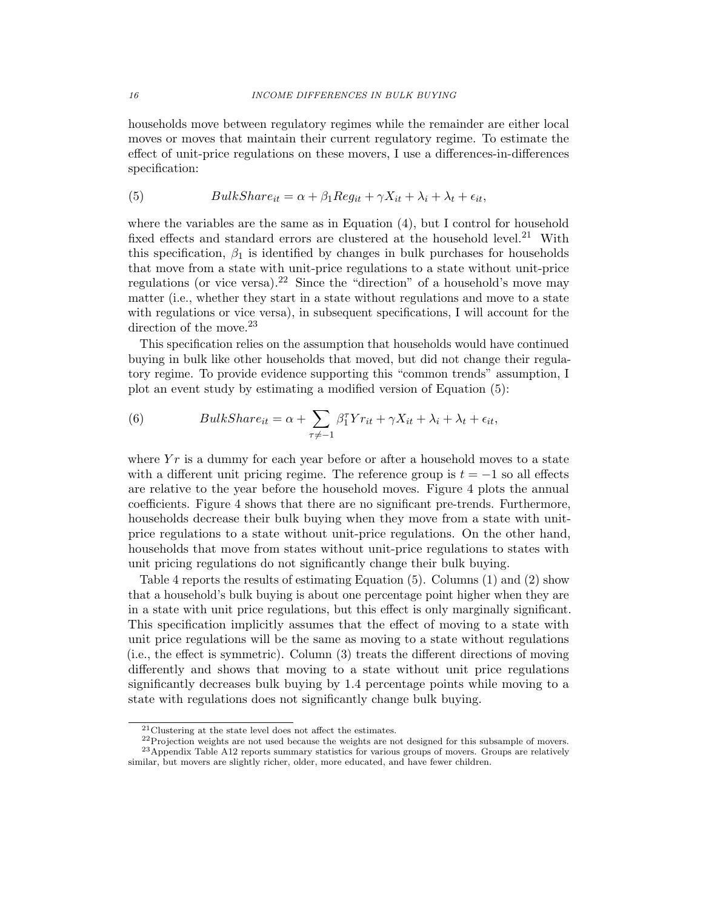households move between regulatory regimes while the remainder are either local moves or moves that maintain their current regulatory regime. To estimate the effect of unit-price regulations on these movers, I use a differences-in-differences specification:

(5) 
$$
BulkShare_{it} = \alpha + \beta_1 Reg_{it} + \gamma X_{it} + \lambda_i + \lambda_t + \epsilon_{it},
$$

where the variables are the same as in Equation (4), but I control for household fixed effects and standard errors are clustered at the household level.<sup>21</sup> With this specification,  $\beta_1$  is identified by changes in bulk purchases for households that move from a state with unit-price regulations to a state without unit-price regulations (or vice versa).<sup>22</sup> Since the "direction" of a household's move may matter (i.e., whether they start in a state without regulations and move to a state with regulations or vice versa), in subsequent specifications, I will account for the direction of the move.<sup>23</sup>

This specification relies on the assumption that households would have continued buying in bulk like other households that moved, but did not change their regulatory regime. To provide evidence supporting this "common trends" assumption, I plot an event study by estimating a modified version of Equation (5):

(6) 
$$
BulkShare_{it} = \alpha + \sum_{\tau \neq -1} \beta_1^{\tau} Y r_{it} + \gamma X_{it} + \lambda_i + \lambda_t + \epsilon_{it},
$$

where  $Yr$  is a dummy for each year before or after a household moves to a state with a different unit pricing regime. The reference group is  $t = -1$  so all effects are relative to the year before the household moves. Figure 4 plots the annual coefficients. Figure 4 shows that there are no significant pre-trends. Furthermore, households decrease their bulk buying when they move from a state with unitprice regulations to a state without unit-price regulations. On the other hand, households that move from states without unit-price regulations to states with unit pricing regulations do not significantly change their bulk buying.

Table 4 reports the results of estimating Equation (5). Columns (1) and (2) show that a household's bulk buying is about one percentage point higher when they are in a state with unit price regulations, but this effect is only marginally significant. This specification implicitly assumes that the effect of moving to a state with unit price regulations will be the same as moving to a state without regulations (i.e., the effect is symmetric). Column (3) treats the different directions of moving differently and shows that moving to a state without unit price regulations significantly decreases bulk buying by 1.4 percentage points while moving to a state with regulations does not significantly change bulk buying.

<sup>21</sup>Clustering at the state level does not affect the estimates.

<sup>&</sup>lt;sup>22</sup>Projection weights are not used because the weights are not designed for this subsample of movers. <sup>23</sup> Appendix Table A12 reports summary statistics for various groups of movers. Groups are relatively similar, but movers are slightly richer, older, more educated, and have fewer children.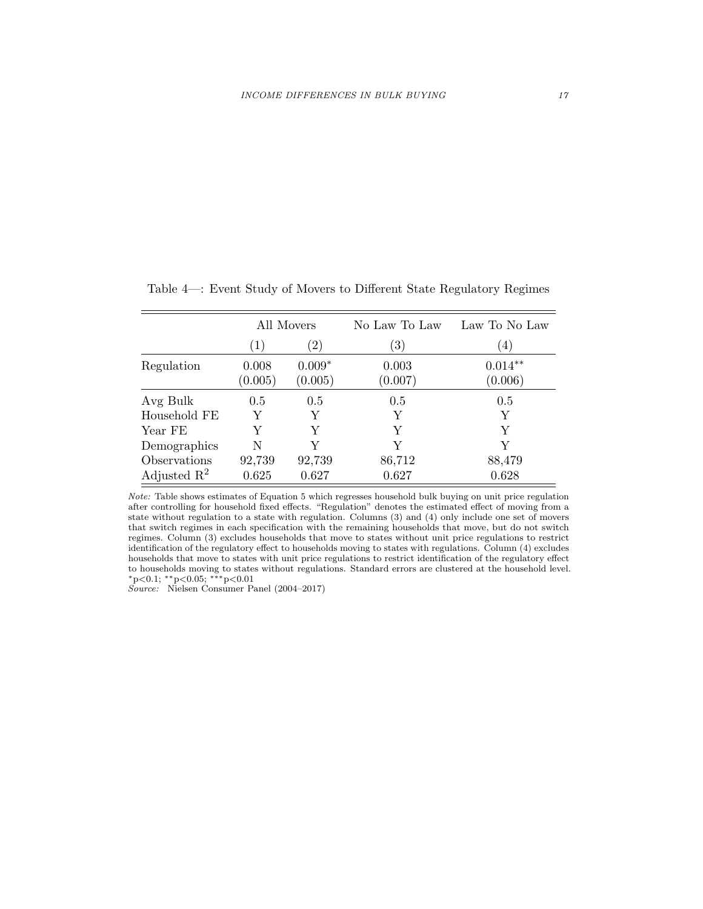|                         |                  | All Movers          | No Law To Law     | Law To No Law        |
|-------------------------|------------------|---------------------|-------------------|----------------------|
|                         | (1)              | $^{\prime}2)$       | $\left( 3\right)$ | 4)                   |
| Regulation              | 0.008<br>(0.005) | $0.009*$<br>(0.005) | 0.003<br>(0.007)  | $0.014**$<br>(0.006) |
| Avg Bulk                | 0.5              | 0.5                 | 0.5               | 0.5                  |
| Household FE            | Y                | Y                   | Y                 | Y                    |
| Year FE                 | Y                | Y                   | Y                 | Y                    |
| Demographics            | N                | V                   | Y                 | Y                    |
| Observations            | 92,739           | 92,739              | 86,712            | 88,479               |
| Adjusted $\mathbb{R}^2$ | 0.625            | 0.627               | 0.627             | 0.628                |

Table 4—: Event Study of Movers to Different State Regulatory Regimes

Note: Table shows estimates of Equation 5 which regresses household bulk buying on unit price regulation after controlling for household fixed effects. "Regulation" denotes the estimated effect of moving from a state without regulation to a state with regulation. Columns (3) and (4) only include one set of movers that switch regimes in each specification with the remaining households that move, but do not switch regimes. Column (3) excludes households that move to states without unit price regulations to restrict identification of the regulatory effect to households moving to states with regulations. Column (4) excludes households that move to states with unit price regulations to restrict identification of the regulatory effect to households moving to states without regulations. Standard errors are clustered at the household level. <sup>∗</sup>p<0.1; ∗∗p<0.05; ∗∗∗p<0.01

Source: Nielsen Consumer Panel (2004–2017)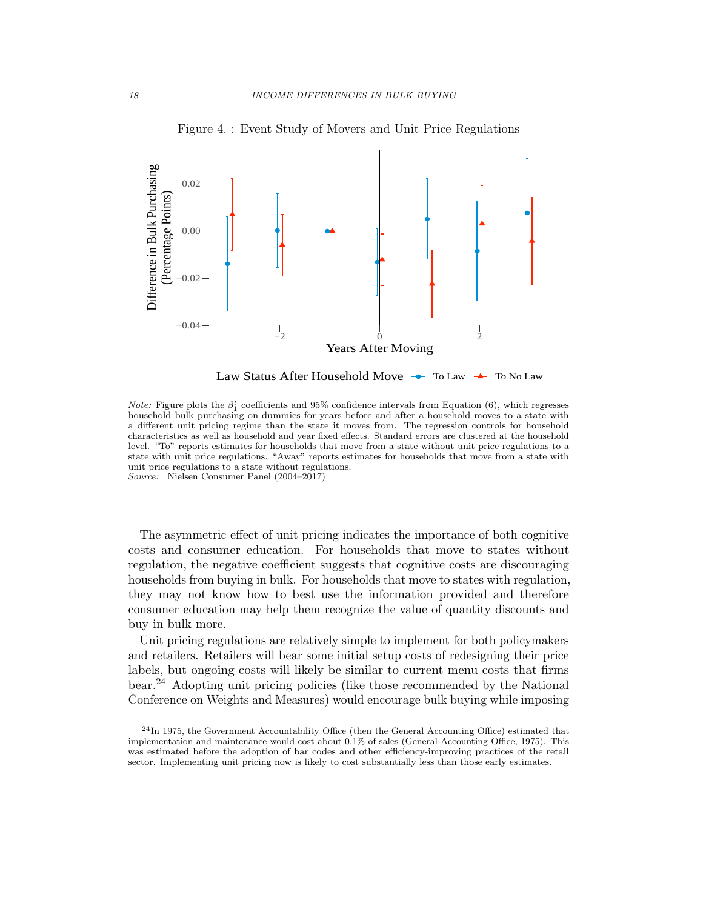

Figure 4. : Event Study of Movers and Unit Price Regulations

Law Status After Household Move → To Law → To No Law

Note: Figure plots the  $\beta_1^t$  coefficients and 95% confidence intervals from Equation (6), which regresses household bulk purchasing on dummies for years before and after a household moves to a state with a different unit pricing regime than the state it moves from. The regression controls for household characteristics as well as household and year fixed effects. Standard errors are clustered at the household level. "To" reports estimates for households that move from a state without unit price regulations to a state with unit price regulations. "Away" reports estimates for households that move from a state with unit price regulations to a state without regulations. Source: Nielsen Consumer Panel (2004–2017)

The asymmetric effect of unit pricing indicates the importance of both cognitive costs and consumer education. For households that move to states without regulation, the negative coefficient suggests that cognitive costs are discouraging households from buying in bulk. For households that move to states with regulation, they may not know how to best use the information provided and therefore consumer education may help them recognize the value of quantity discounts and buy in bulk more.

Unit pricing regulations are relatively simple to implement for both policymakers and retailers. Retailers will bear some initial setup costs of redesigning their price labels, but ongoing costs will likely be similar to current menu costs that firms bear.<sup>24</sup> Adopting unit pricing policies (like those recommended by the National Conference on Weights and Measures) would encourage bulk buying while imposing

<sup>24</sup>In 1975, the Government Accountability Office (then the General Accounting Office) estimated that implementation and maintenance would cost about 0.1% of sales (General Accounting Office, 1975). This was estimated before the adoption of bar codes and other efficiency-improving practices of the retail sector. Implementing unit pricing now is likely to cost substantially less than those early estimates.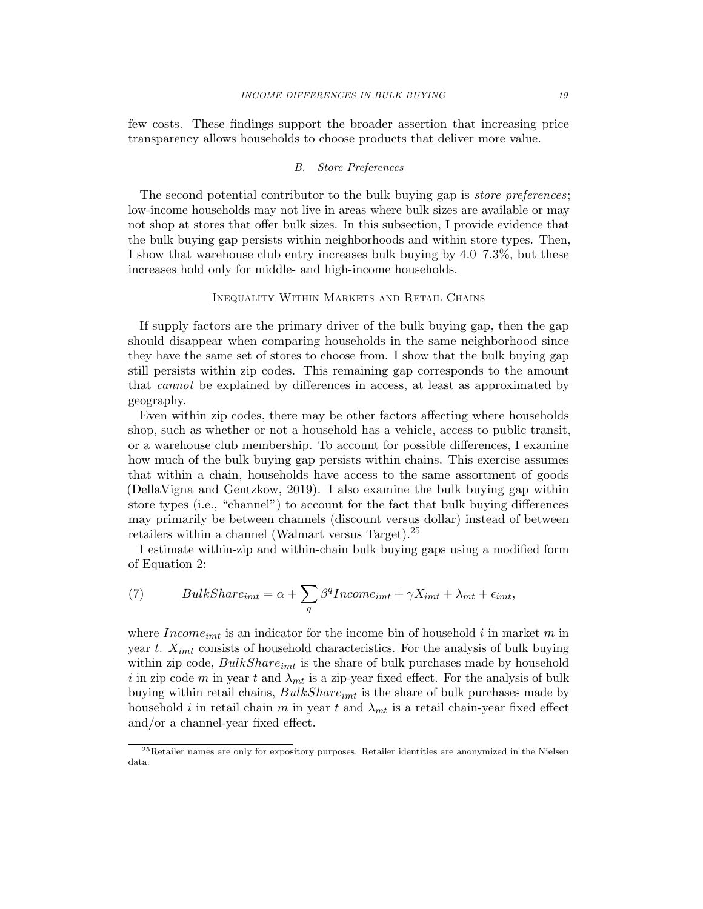few costs. These findings support the broader assertion that increasing price transparency allows households to choose products that deliver more value.

#### B. Store Preferences

The second potential contributor to the bulk buying gap is *store preferences*; low-income households may not live in areas where bulk sizes are available or may not shop at stores that offer bulk sizes. In this subsection, I provide evidence that the bulk buying gap persists within neighborhoods and within store types. Then, I show that warehouse club entry increases bulk buying by 4.0–7.3%, but these increases hold only for middle- and high-income households.

## Inequality Within Markets and Retail Chains

If supply factors are the primary driver of the bulk buying gap, then the gap should disappear when comparing households in the same neighborhood since they have the same set of stores to choose from. I show that the bulk buying gap still persists within zip codes. This remaining gap corresponds to the amount that cannot be explained by differences in access, at least as approximated by geography.

Even within zip codes, there may be other factors affecting where households shop, such as whether or not a household has a vehicle, access to public transit, or a warehouse club membership. To account for possible differences, I examine how much of the bulk buying gap persists within chains. This exercise assumes that within a chain, households have access to the same assortment of goods (DellaVigna and Gentzkow, 2019). I also examine the bulk buying gap within store types (i.e., "channel") to account for the fact that bulk buying differences may primarily be between channels (discount versus dollar) instead of between retailers within a channel (Walmart versus Target).<sup>25</sup>

I estimate within-zip and within-chain bulk buying gaps using a modified form of Equation 2:

(7) 
$$
BulkShare_{imt} = \alpha + \sum_{q} \beta^{q} Income_{imt} + \gamma X_{imt} + \lambda_{mt} + \epsilon_{imt},
$$

where  $Income_{imt}$  is an indicator for the income bin of household i in market m in year t.  $X_{imt}$  consists of household characteristics. For the analysis of bulk buying within zip code,  $BulkShare_{imt}$  is the share of bulk purchases made by household i in zip code m in year t and  $\lambda_{mt}$  is a zip-year fixed effect. For the analysis of bulk buying within retail chains,  $BulkShare_{imt}$  is the share of bulk purchases made by household i in retail chain m in year t and  $\lambda_{mt}$  is a retail chain-year fixed effect and/or a channel-year fixed effect.

<sup>25</sup>Retailer names are only for expository purposes. Retailer identities are anonymized in the Nielsen data.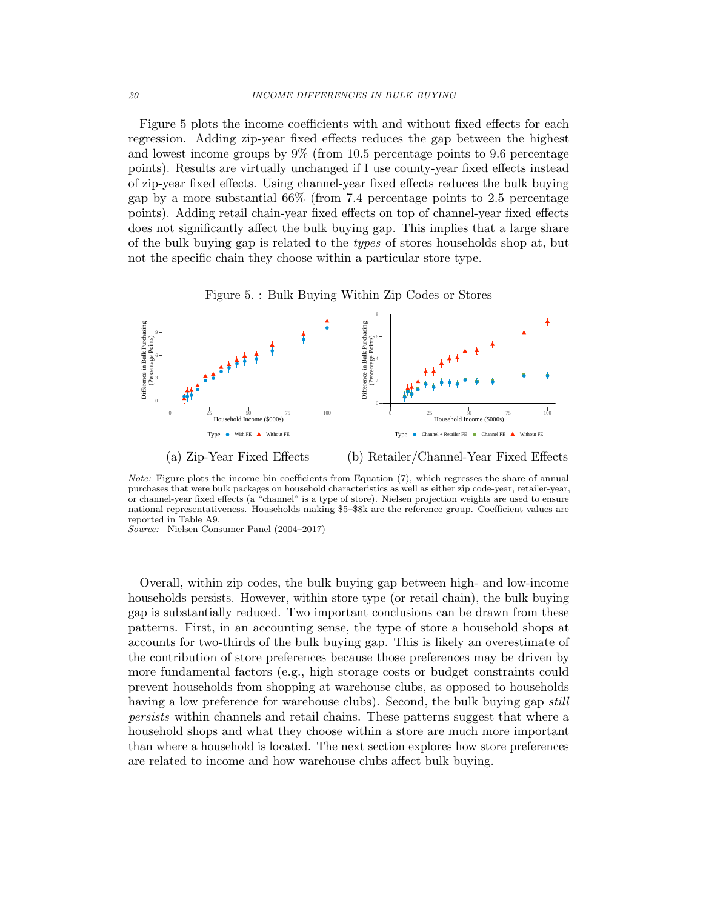Figure 5 plots the income coefficients with and without fixed effects for each regression. Adding zip-year fixed effects reduces the gap between the highest and lowest income groups by 9% (from 10.5 percentage points to 9.6 percentage points). Results are virtually unchanged if I use county-year fixed effects instead of zip-year fixed effects. Using channel-year fixed effects reduces the bulk buying gap by a more substantial 66% (from 7.4 percentage points to 2.5 percentage points). Adding retail chain-year fixed effects on top of channel-year fixed effects does not significantly affect the bulk buying gap. This implies that a large share of the bulk buying gap is related to the types of stores households shop at, but not the specific chain they choose within a particular store type.





Note: Figure plots the income bin coefficients from Equation (7), which regresses the share of annual purchases that were bulk packages on household characteristics as well as either zip code-year, retailer-year, or channel-year fixed effects (a "channel" is a type of store). Nielsen projection weights are used to ensure national representativeness. Households making \$5–\$8k are the reference group. Coefficient values are reported in Table A9.

Source: Nielsen Consumer Panel (2004–2017)

Overall, within zip codes, the bulk buying gap between high- and low-income households persists. However, within store type (or retail chain), the bulk buying gap is substantially reduced. Two important conclusions can be drawn from these patterns. First, in an accounting sense, the type of store a household shops at accounts for two-thirds of the bulk buying gap. This is likely an overestimate of the contribution of store preferences because those preferences may be driven by more fundamental factors (e.g., high storage costs or budget constraints could prevent households from shopping at warehouse clubs, as opposed to households having a low preference for warehouse clubs). Second, the bulk buying gap *still* persists within channels and retail chains. These patterns suggest that where a household shops and what they choose within a store are much more important than where a household is located. The next section explores how store preferences are related to income and how warehouse clubs affect bulk buying.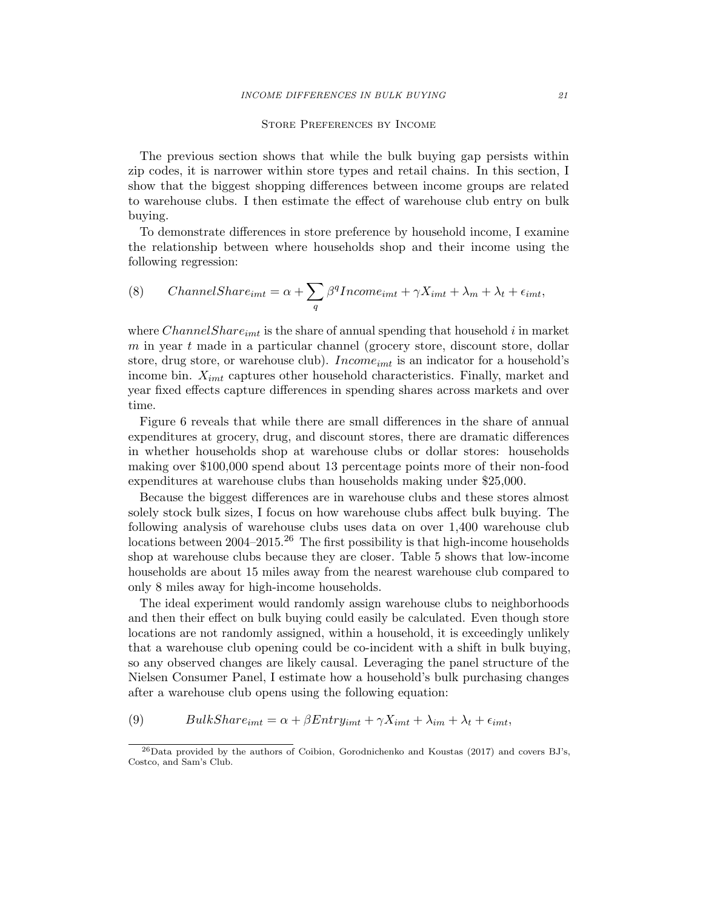#### Store Preferences by Income

The previous section shows that while the bulk buying gap persists within zip codes, it is narrower within store types and retail chains. In this section, I show that the biggest shopping differences between income groups are related to warehouse clubs. I then estimate the effect of warehouse club entry on bulk buying.

To demonstrate differences in store preference by household income, I examine the relationship between where households shop and their income using the following regression:

(8) *ChannelShare<sub>imt</sub>* = 
$$
\alpha + \sum_{q} \beta^{q} Incomeimt + \gamma Ximt + \lambda_{m} + \lambda_{t} + \epsilon_{imt}
$$
,

where *ChannelShare*<sub>imt</sub> is the share of annual spending that household i in market  $m$  in year  $t$  made in a particular channel (grocery store, discount store, dollar store, drug store, or warehouse club).  $Income_{imt}$  is an indicator for a household's income bin.  $X_{imt}$  captures other household characteristics. Finally, market and year fixed effects capture differences in spending shares across markets and over time.

Figure 6 reveals that while there are small differences in the share of annual expenditures at grocery, drug, and discount stores, there are dramatic differences in whether households shop at warehouse clubs or dollar stores: households making over \$100,000 spend about 13 percentage points more of their non-food expenditures at warehouse clubs than households making under \$25,000.

Because the biggest differences are in warehouse clubs and these stores almost solely stock bulk sizes, I focus on how warehouse clubs affect bulk buying. The following analysis of warehouse clubs uses data on over 1,400 warehouse club locations between 2004–2015.<sup>26</sup> The first possibility is that high-income households shop at warehouse clubs because they are closer. Table 5 shows that low-income households are about 15 miles away from the nearest warehouse club compared to only 8 miles away for high-income households.

The ideal experiment would randomly assign warehouse clubs to neighborhoods and then their effect on bulk buying could easily be calculated. Even though store locations are not randomly assigned, within a household, it is exceedingly unlikely that a warehouse club opening could be co-incident with a shift in bulk buying, so any observed changes are likely causal. Leveraging the panel structure of the Nielsen Consumer Panel, I estimate how a household's bulk purchasing changes after a warehouse club opens using the following equation:

(9)  $BulkShare_{imt} = \alpha + \beta Entry_{imt} + \gamma X_{imt} + \lambda_{im} + \lambda_t + \epsilon_{imt},$ 

<sup>26</sup>Data provided by the authors of Coibion, Gorodnichenko and Koustas (2017) and covers BJ's, Costco, and Sam's Club.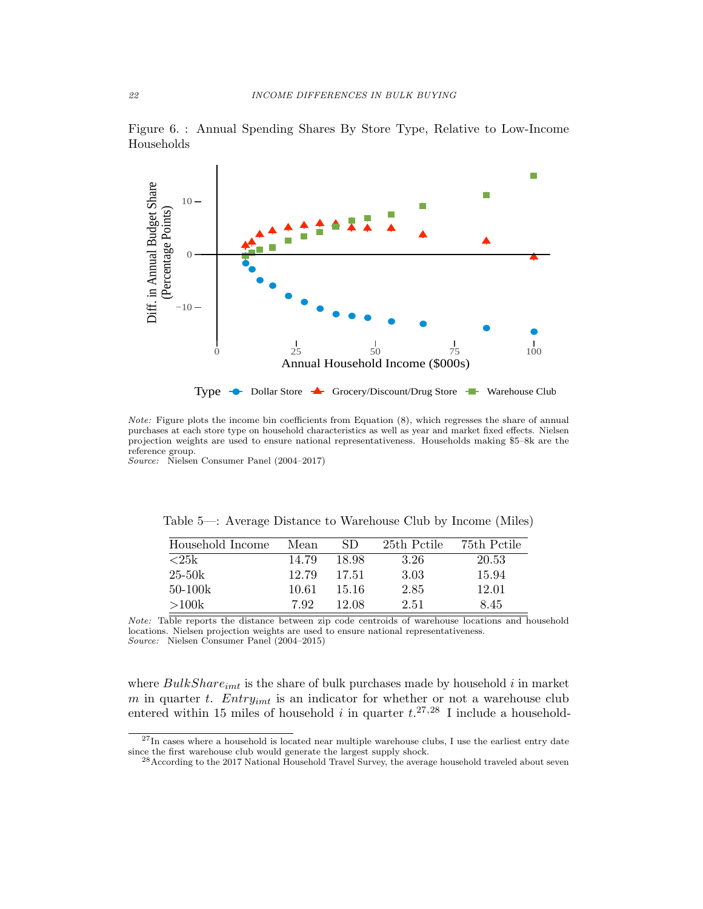

Figure 6. : Annual Spending Shares By Store Type, Relative to Low-Income Households

Note: Figure plots the income bin coefficients from Equation (8), which regresses the share of annual purchases at each store type on household characteristics as well as year and market fixed effects. Nielsen projection weights are used to ensure national representativeness. Households making \$5–8k are the reference group.

Source: Nielsen Consumer Panel (2004–2017)

Table 5—: Average Distance to Warehouse Club by Income (Miles)

| Household Income | Mean  | SD.   | 25th Pctile | 75th Pctile |
|------------------|-------|-------|-------------|-------------|
| <25k             | 14.79 | 18.98 | 3.26        | 20.53       |
| $25 - 50k$       | 12.79 | 17.51 | 3.03        | 15.94       |
| $50-100k$        | 10.61 | 15.16 | 2.85        | 12.01       |
| >100k            | 792   | 12.08 | 2.51        | 8.45        |

Note: Table reports the distance between zip code centroids of warehouse locations and household locations. Nielsen projection weights are used to ensure national representativeness. Source: Nielsen Consumer Panel (2004–2015)

where  $BulkShare_{imt}$  is the share of bulk purchases made by household i in market m in quarter t.  $Entry_{imt}$  is an indicator for whether or not a warehouse club entered within 15 miles of household i in quarter  $t^{27,28}$  I include a household-

 $^{27}{\rm In}$  cases where a household is located near multiple warehouse clubs, I use the earliest entry date since the first warehouse club would generate the largest supply shock.

 $^{28}$ According to the 2017 National Household Travel Survey, the average household traveled about seven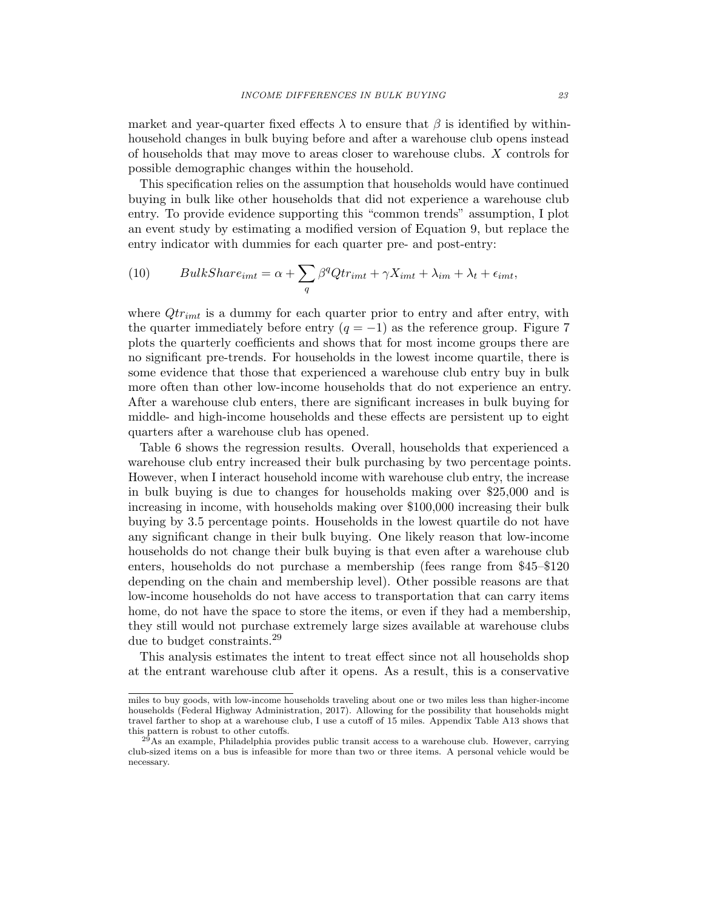market and year-quarter fixed effects  $\lambda$  to ensure that  $\beta$  is identified by withinhousehold changes in bulk buying before and after a warehouse club opens instead of households that may move to areas closer to warehouse clubs. X controls for possible demographic changes within the household.

This specification relies on the assumption that households would have continued buying in bulk like other households that did not experience a warehouse club entry. To provide evidence supporting this "common trends" assumption, I plot an event study by estimating a modified version of Equation 9, but replace the entry indicator with dummies for each quarter pre- and post-entry:

(10) 
$$
BulkShare_{imt} = \alpha + \sum_{q} \beta^{q}Qtr_{imt} + \gamma X_{imt} + \lambda_{im} + \lambda_{t} + \epsilon_{imt},
$$

where  $Qt_{rimt}$  is a dummy for each quarter prior to entry and after entry, with the quarter immediately before entry  $(q = -1)$  as the reference group. Figure 7 plots the quarterly coefficients and shows that for most income groups there are no significant pre-trends. For households in the lowest income quartile, there is some evidence that those that experienced a warehouse club entry buy in bulk more often than other low-income households that do not experience an entry. After a warehouse club enters, there are significant increases in bulk buying for middle- and high-income households and these effects are persistent up to eight quarters after a warehouse club has opened.

Table 6 shows the regression results. Overall, households that experienced a warehouse club entry increased their bulk purchasing by two percentage points. However, when I interact household income with warehouse club entry, the increase in bulk buying is due to changes for households making over \$25,000 and is increasing in income, with households making over \$100,000 increasing their bulk buying by 3.5 percentage points. Households in the lowest quartile do not have any significant change in their bulk buying. One likely reason that low-income households do not change their bulk buying is that even after a warehouse club enters, households do not purchase a membership (fees range from \$45–\$120 depending on the chain and membership level). Other possible reasons are that low-income households do not have access to transportation that can carry items home, do not have the space to store the items, or even if they had a membership, they still would not purchase extremely large sizes available at warehouse clubs due to budget constraints.<sup>29</sup>

This analysis estimates the intent to treat effect since not all households shop at the entrant warehouse club after it opens. As a result, this is a conservative

miles to buy goods, with low-income households traveling about one or two miles less than higher-income households (Federal Highway Administration, 2017). Allowing for the possibility that households might travel farther to shop at a warehouse club, I use a cutoff of 15 miles. Appendix Table A13 shows that this pattern is robust to other cutoffs.

 $^{29}$ As an example, Philadelphia provides public transit access to a warehouse club. However, carrying club-sized items on a bus is infeasible for more than two or three items. A personal vehicle would be necessary.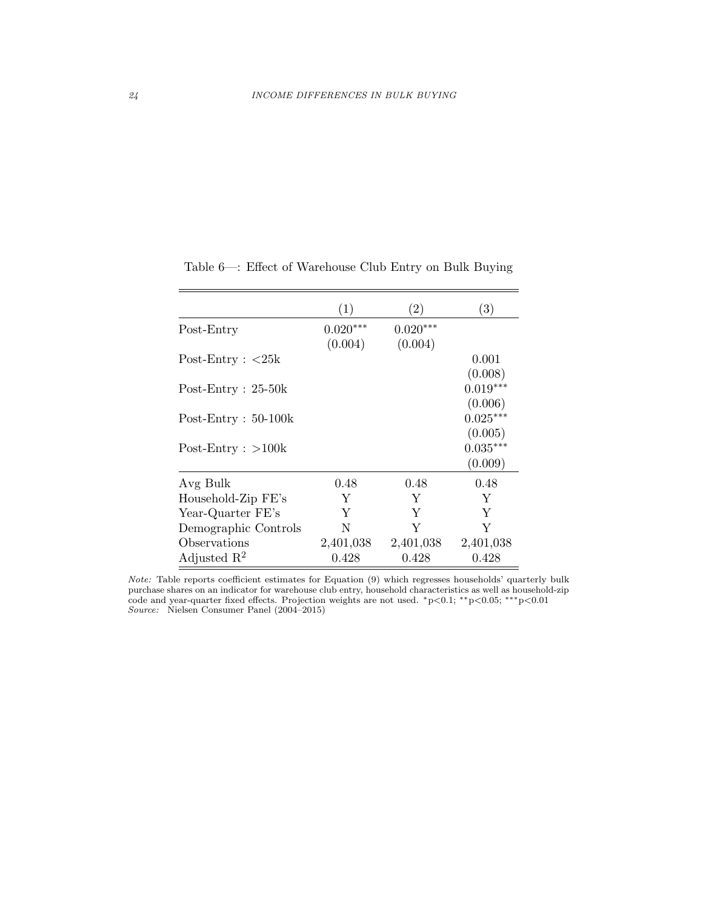|                                    | (1)        | $\left( 2\right)$ | (3)        |
|------------------------------------|------------|-------------------|------------|
| Post-Entry                         | $0.020***$ | $0.020***$        |            |
|                                    | (0.004)    | (0.004)           |            |
| Post-Entry : $\langle 25k \rangle$ |            |                   | 0.001      |
|                                    |            |                   | (0.008)    |
| Post-Entry : $25-50k$              |            |                   | $0.019***$ |
|                                    |            |                   | (0.006)    |
| $Post-Entry: 50-100k$              |            |                   | $0.025***$ |
|                                    |            |                   | (0.005)    |
| $Post-Entry: >100k$                |            |                   | $0.035***$ |
|                                    |            |                   | (0.009)    |
| Avg Bulk                           | 0.48       | 0.48              | 0.48       |
| Household-Zip FE's                 | Y          | Y                 | Y          |
| Year-Quarter FE's                  | Y          | Y                 | Y          |
| Demographic Controls               | N          | Y                 | Y          |
| Observations                       | 2,401,038  | 2,401,038         | 2,401,038  |
| Adjusted $\mathbb{R}^2$            | 0.428      | 0.428             | 0.428      |

Table 6—: Effect of Warehouse Club Entry on Bulk Buying

Note: Table reports coefficient estimates for Equation (9) which regresses households' quarterly bulk purchase shares on an indicator for warehouse club entry, household characteristics as well as household-zip code and year-quarter fixed effects. Projection weights are not used. <sup>∗</sup>p<0.1; ∗∗p<0.05; ∗∗∗p<0.01 Source: Nielsen Consumer Panel (2004–2015)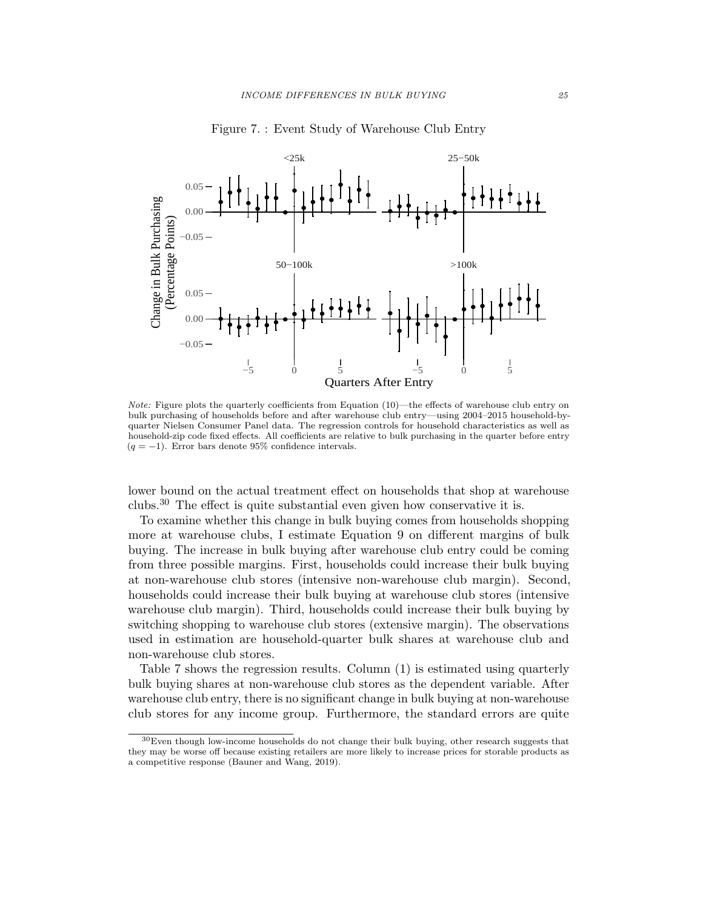

Figure 7. : Event Study of Warehouse Club Entry

Note: Figure plots the quarterly coefficients from Equation (10)—the effects of warehouse club entry on bulk purchasing of households before and after warehouse club entry—using 2004–2015 household-byquarter Nielsen Consumer Panel data. The regression controls for household characteristics as well as household-zip code fixed effects. All coefficients are relative to bulk purchasing in the quarter before entry  $(q = -1)$ . Error bars denote 95% confidence intervals.

lower bound on the actual treatment effect on households that shop at warehouse clubs.<sup>30</sup> The effect is quite substantial even given how conservative it is.

To examine whether this change in bulk buying comes from households shopping more at warehouse clubs, I estimate Equation 9 on different margins of bulk buying. The increase in bulk buying after warehouse club entry could be coming from three possible margins. First, households could increase their bulk buying at non-warehouse club stores (intensive non-warehouse club margin). Second, households could increase their bulk buying at warehouse club stores (intensive warehouse club margin). Third, households could increase their bulk buying by switching shopping to warehouse club stores (extensive margin). The observations used in estimation are household-quarter bulk shares at warehouse club and non-warehouse club stores.

Table 7 shows the regression results. Column (1) is estimated using quarterly bulk buying shares at non-warehouse club stores as the dependent variable. After warehouse club entry, there is no significant change in bulk buying at non-warehouse club stores for any income group. Furthermore, the standard errors are quite

<sup>30</sup>Even though low-income households do not change their bulk buying, other research suggests that they may be worse off because existing retailers are more likely to increase prices for storable products as a competitive response (Bauner and Wang, 2019).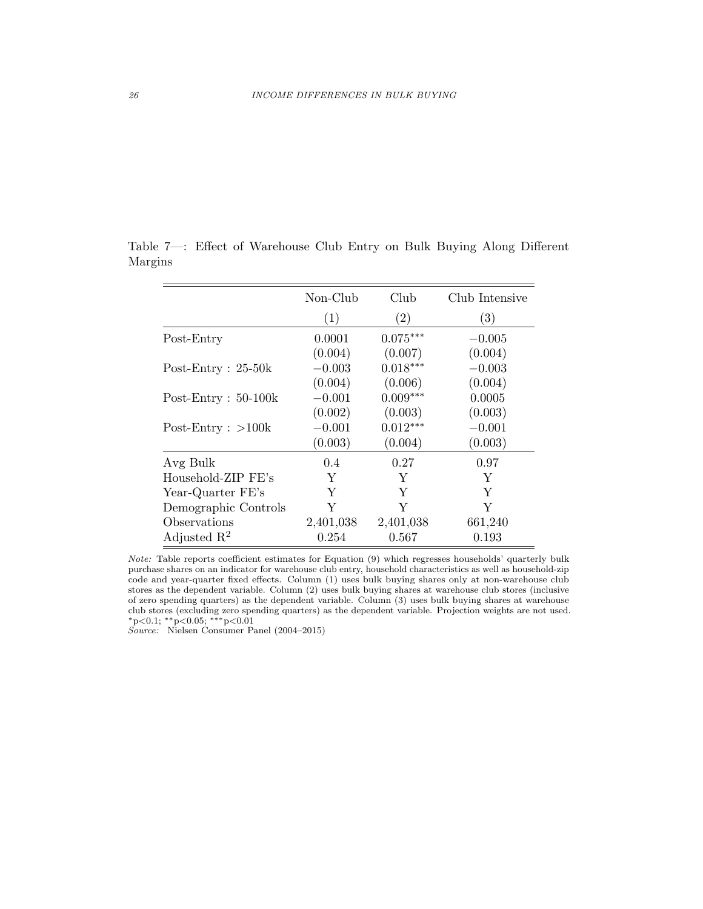|                         | Non-Club  | Club       | Club Intensive |
|-------------------------|-----------|------------|----------------|
|                         | (1)       | (2)        | (3)            |
| Post-Entry              | 0.0001    | $0.075***$ | $-0.005$       |
|                         | (0.004)   | (0.007)    | (0.004)        |
| Post-Entry : $25-50k$   | $-0.003$  | $0.018***$ | $-0.003$       |
|                         | (0.004)   | (0.006)    | (0.004)        |
| Post-Entry : $50-100k$  | $-0.001$  | $0.009***$ | 0.0005         |
|                         | (0.002)   | (0.003)    | (0.003)        |
| Post-Entry : $>100k$    | $-0.001$  | $0.012***$ | $-0.001$       |
|                         | (0.003)   | (0.004)    | (0.003)        |
| Avg Bulk                | 0.4       | 0.27       | 0.97           |
| Household-ZIP FE's      | Y         | Y          | Y              |
| Year-Quarter FE's       | Y         | Y          | Υ              |
| Demographic Controls    | Y         | Y          | Y              |
| Observations            | 2,401,038 | 2,401,038  | 661,240        |
| Adjusted $\mathbb{R}^2$ | 0.254     | 0.567      | 0.193          |

Table 7—: Effect of Warehouse Club Entry on Bulk Buying Along Different Margins

Note: Table reports coefficient estimates for Equation (9) which regresses households' quarterly bulk purchase shares on an indicator for warehouse club entry, household characteristics as well as household-zip code and year-quarter fixed effects. Column (1) uses bulk buying shares only at non-warehouse club stores as the dependent variable. Column (2) uses bulk buying shares at warehouse club stores (inclusive of zero spending quarters) as the dependent variable. Column (3) uses bulk buying shares at warehouse club stores (excluding zero spending quarters) as the dependent variable. Projection weights are not used. <sup>∗</sup>p<0.1; ∗∗p<0.05; ∗∗∗p<0.01

Source: Nielsen Consumer Panel (2004–2015)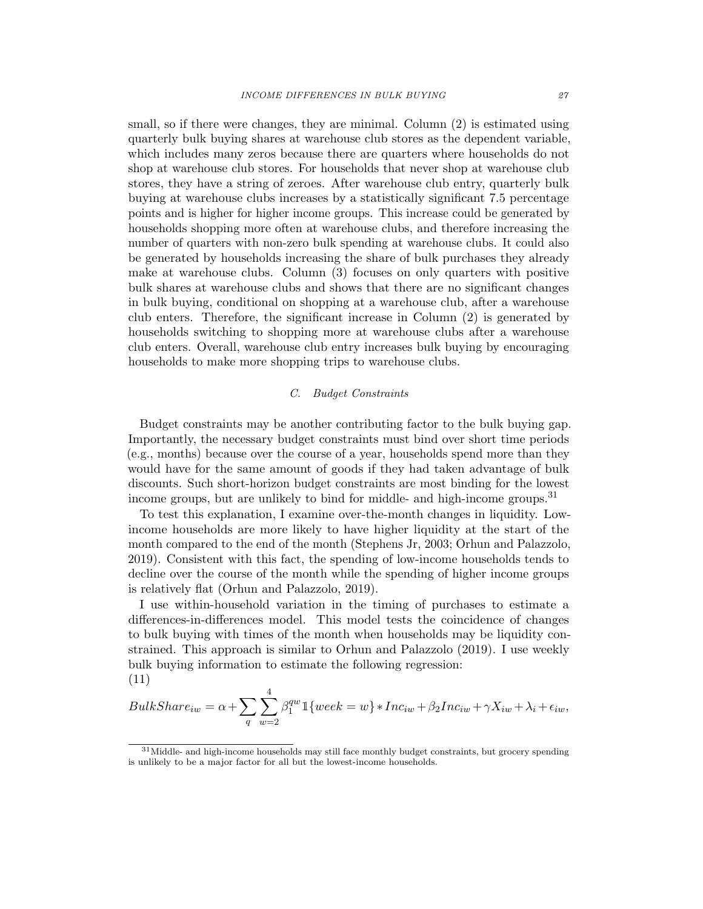small, so if there were changes, they are minimal. Column (2) is estimated using quarterly bulk buying shares at warehouse club stores as the dependent variable, which includes many zeros because there are quarters where households do not shop at warehouse club stores. For households that never shop at warehouse club stores, they have a string of zeroes. After warehouse club entry, quarterly bulk buying at warehouse clubs increases by a statistically significant 7.5 percentage points and is higher for higher income groups. This increase could be generated by households shopping more often at warehouse clubs, and therefore increasing the number of quarters with non-zero bulk spending at warehouse clubs. It could also be generated by households increasing the share of bulk purchases they already make at warehouse clubs. Column (3) focuses on only quarters with positive bulk shares at warehouse clubs and shows that there are no significant changes in bulk buying, conditional on shopping at a warehouse club, after a warehouse club enters. Therefore, the significant increase in Column (2) is generated by households switching to shopping more at warehouse clubs after a warehouse club enters. Overall, warehouse club entry increases bulk buying by encouraging households to make more shopping trips to warehouse clubs.

#### C. Budget Constraints

Budget constraints may be another contributing factor to the bulk buying gap. Importantly, the necessary budget constraints must bind over short time periods (e.g., months) because over the course of a year, households spend more than they would have for the same amount of goods if they had taken advantage of bulk discounts. Such short-horizon budget constraints are most binding for the lowest income groups, but are unlikely to bind for middle- and high-income groups.<sup>31</sup>

To test this explanation, I examine over-the-month changes in liquidity. Lowincome households are more likely to have higher liquidity at the start of the month compared to the end of the month (Stephens Jr, 2003; Orhun and Palazzolo, 2019). Consistent with this fact, the spending of low-income households tends to decline over the course of the month while the spending of higher income groups is relatively flat (Orhun and Palazzolo, 2019).

I use within-household variation in the timing of purchases to estimate a differences-in-differences model. This model tests the coincidence of changes to bulk buying with times of the month when households may be liquidity constrained. This approach is similar to Orhun and Palazzolo (2019). I use weekly bulk buying information to estimate the following regression: (11)

$$
BulkShare_{iw} = \alpha + \sum_{q} \sum_{w=2}^{4} \beta_1^{qw} \mathbb{1} \{ week = w\} * Inc_{iw} + \beta_2 Inc_{iw} + \gamma X_{iw} + \lambda_i + \epsilon_{iw},
$$

<sup>&</sup>lt;sup>31</sup> Middle- and high-income households may still face monthly budget constraints, but grocery spending is unlikely to be a major factor for all but the lowest-income households.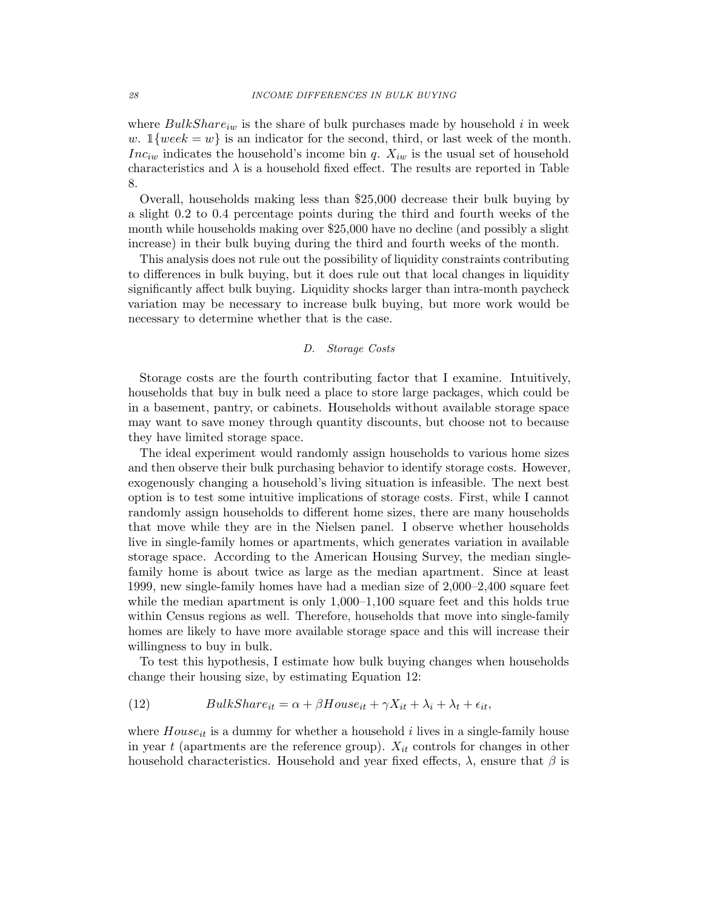where  $BulkShare_{iw}$  is the share of bulk purchases made by household i in week w.  $1\{week = w\}$  is an indicator for the second, third, or last week of the month. Inc<sub>iw</sub> indicates the household's income bin q.  $X_{iw}$  is the usual set of household characteristics and  $\lambda$  is a household fixed effect. The results are reported in Table 8.

Overall, households making less than \$25,000 decrease their bulk buying by a slight 0.2 to 0.4 percentage points during the third and fourth weeks of the month while households making over \$25,000 have no decline (and possibly a slight increase) in their bulk buying during the third and fourth weeks of the month.

This analysis does not rule out the possibility of liquidity constraints contributing to differences in bulk buying, but it does rule out that local changes in liquidity significantly affect bulk buying. Liquidity shocks larger than intra-month paycheck variation may be necessary to increase bulk buying, but more work would be necessary to determine whether that is the case.

## D. Storage Costs

Storage costs are the fourth contributing factor that I examine. Intuitively, households that buy in bulk need a place to store large packages, which could be in a basement, pantry, or cabinets. Households without available storage space may want to save money through quantity discounts, but choose not to because they have limited storage space.

The ideal experiment would randomly assign households to various home sizes and then observe their bulk purchasing behavior to identify storage costs. However, exogenously changing a household's living situation is infeasible. The next best option is to test some intuitive implications of storage costs. First, while I cannot randomly assign households to different home sizes, there are many households that move while they are in the Nielsen panel. I observe whether households live in single-family homes or apartments, which generates variation in available storage space. According to the American Housing Survey, the median singlefamily home is about twice as large as the median apartment. Since at least 1999, new single-family homes have had a median size of 2,000–2,400 square feet while the median apartment is only 1,000–1,100 square feet and this holds true within Census regions as well. Therefore, households that move into single-family homes are likely to have more available storage space and this will increase their willingness to buy in bulk.

To test this hypothesis, I estimate how bulk buying changes when households change their housing size, by estimating Equation 12:

(12) 
$$
BulkShare_{it} = \alpha + \beta House_{it} + \gamma X_{it} + \lambda_i + \lambda_t + \epsilon_{it},
$$

where  $House_{it}$  is a dummy for whether a household i lives in a single-family house in year t (apartments are the reference group).  $X_{it}$  controls for changes in other household characteristics. Household and year fixed effects,  $\lambda$ , ensure that  $\beta$  is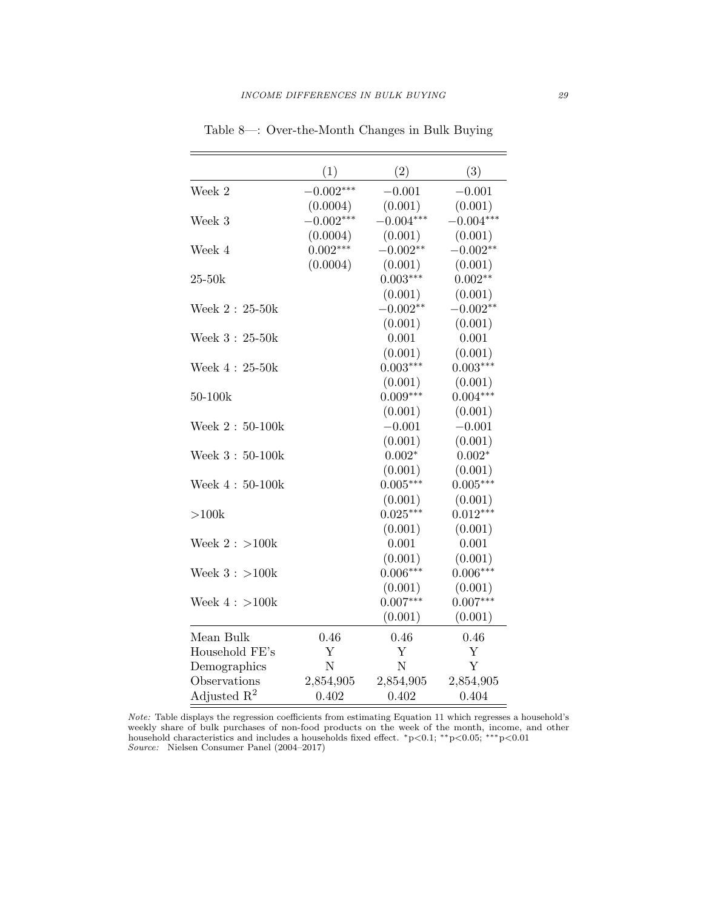|                         | (1)         | (2)            | (3)         |
|-------------------------|-------------|----------------|-------------|
| Week 2                  | $-0.002***$ | $-0.001$       | $-0.001$    |
|                         | (0.0004)    | (0.001)        | (0.001)     |
| Week 3                  | $-0.002***$ | $-0.004***$    | $-0.004***$ |
|                         | (0.0004)    | (0.001)        | (0.001)     |
| Week 4                  | $0.002***$  | $-0.002**$     | $-0.002**$  |
|                         | (0.0004)    | (0.001)        | (0.001)     |
| $25-50k$                |             | $0.003***$     | $0.002**$   |
|                         |             | (0.001)        | (0.001)     |
| Week $2:25-50k$         |             | $-0.002**$     | $-0.002**$  |
|                         |             | (0.001)        | (0.001)     |
| Week $3:25-50k$         |             | 0.001          | 0.001       |
|                         |             | (0.001)        | (0.001)     |
| Week $4:25-50k$         |             | $0.003***$     | $0.003***$  |
|                         |             | (0.001)        | (0.001)     |
| 50-100k                 |             | $0.009***$     | $0.004***$  |
|                         |             | (0.001)        | (0.001)     |
| Week $2:50-100k$        |             | $-0.001$       | $-0.001$    |
|                         |             | (0.001)        | (0.001)     |
| Week $3:50-100k$        |             | $0.002*$       | $0.002*$    |
|                         |             | (0.001)        | (0.001)     |
| Week $4:50-100k$        |             | $0.005***$     | $0.005***$  |
|                         |             | (0.001)        | (0.001)     |
| >100k                   |             | $0.025***$     | $0.012***$  |
|                         |             | (0.001)        | (0.001)     |
| Week $2:$ >100 $k$      |             | 0.001          | 0.001       |
|                         |             | (0.001)        | (0.001)     |
| Week $3: >100k$         |             | $0.006***$     | $0.006***$  |
|                         |             | (0.001)        | (0.001)     |
| Week $4:>100k$          |             | $0.007***$     | $0.007***$  |
|                         |             | (0.001)        | (0.001)     |
| Mean Bulk               | 0.46        | 0.46           | 0.46        |
| Household FE's          | Y           | Y              | Y           |
| Demographics            | N           | $\overline{N}$ | Y           |
| Observations            | 2,854,905   | 2,854,905      | 2,854,905   |
| Adjusted $\mathbb{R}^2$ | 0.402       | 0.402          | 0.404       |

Table 8—: Over-the-Month Changes in Bulk Buying

Note: Table displays the regression coefficients from estimating Equation 11 which regresses a household's weekly share of bulk purchases of non-food products on the week of the month, income, and other household characteristics and includes a households fixed effect. <sup>∗</sup>p<0.1; ∗∗p<0.05; ∗∗∗p<0.01 Source: Nielsen Consumer Panel (2004–2017)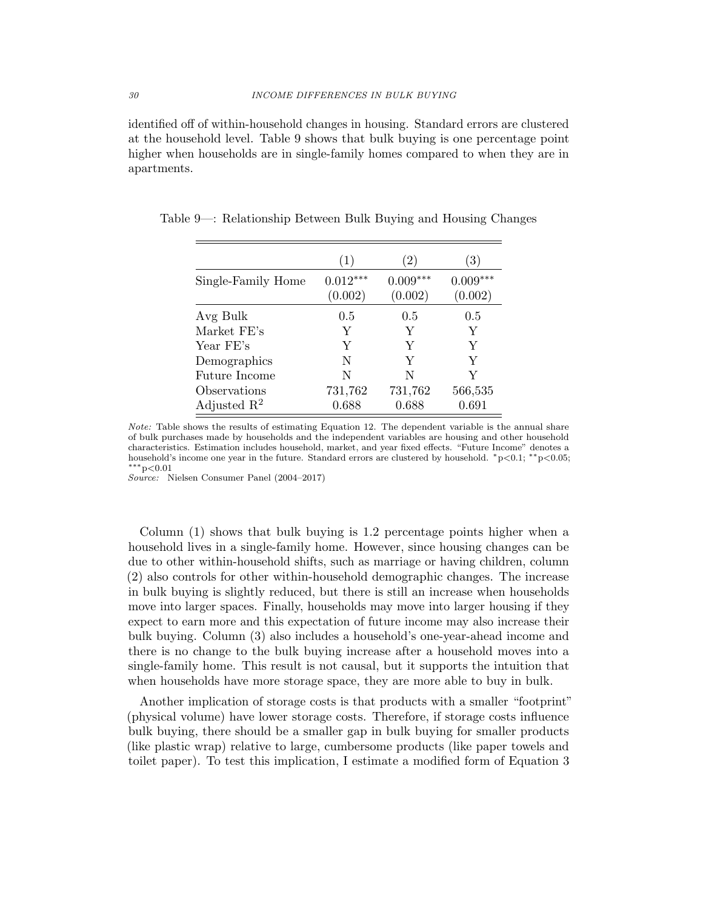identified off of within-household changes in housing. Standard errors are clustered at the household level. Table 9 shows that bulk buying is one percentage point higher when households are in single-family homes compared to when they are in apartments.

|                         | (1)                   | (2)                   | 3)                    |
|-------------------------|-----------------------|-----------------------|-----------------------|
| Single-Family Home      | $0.012***$<br>(0.002) | $0.009***$<br>(0.002) | $0.009***$<br>(0.002) |
| Avg Bulk                | 0.5                   | 0.5                   | 0.5                   |
| Market FE's             | Y                     | Y                     | Y                     |
| Year FE's               | Y                     | Y                     | Y                     |
| Demographics            | N                     | Y                     | Y                     |
| Future Income           | N                     | N                     | Y                     |
| Observations            | 731,762               | 731,762               | 566,535               |
| Adjusted $\mathbb{R}^2$ | 0.688                 | 0.688                 | 0.691                 |

Table 9—: Relationship Between Bulk Buying and Housing Changes

Note: Table shows the results of estimating Equation 12. The dependent variable is the annual share of bulk purchases made by households and the independent variables are housing and other household characteristics. Estimation includes household, market, and year fixed effects. "Future Income" denotes a household's income one year in the future. Standard errors are clustered by household. <sup>∗</sup>p<0.1; ∗∗p<0.05; ∗∗∗p<0.01

Source: Nielsen Consumer Panel (2004–2017)

Column (1) shows that bulk buying is 1.2 percentage points higher when a household lives in a single-family home. However, since housing changes can be due to other within-household shifts, such as marriage or having children, column (2) also controls for other within-household demographic changes. The increase in bulk buying is slightly reduced, but there is still an increase when households move into larger spaces. Finally, households may move into larger housing if they expect to earn more and this expectation of future income may also increase their bulk buying. Column (3) also includes a household's one-year-ahead income and there is no change to the bulk buying increase after a household moves into a single-family home. This result is not causal, but it supports the intuition that when households have more storage space, they are more able to buy in bulk.

Another implication of storage costs is that products with a smaller "footprint" (physical volume) have lower storage costs. Therefore, if storage costs influence bulk buying, there should be a smaller gap in bulk buying for smaller products (like plastic wrap) relative to large, cumbersome products (like paper towels and toilet paper). To test this implication, I estimate a modified form of Equation 3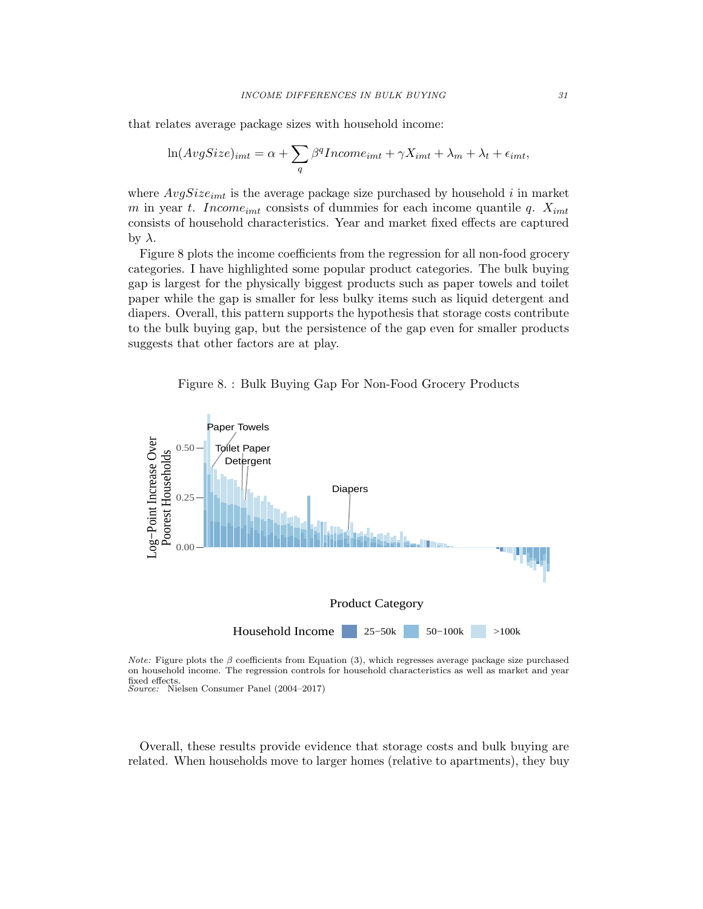that relates average package sizes with household income:

$$
\ln(AvgSize)_{imt} = \alpha + \sum_{q} \beta^q Income_{imt} + \gamma X_{imt} + \lambda_m + \lambda_t + \epsilon_{imt},
$$

where  $AvgSize_{imt}$  is the average package size purchased by household i in market m in year t. Income<sub>imt</sub> consists of dummies for each income quantile q.  $X_{imt}$ consists of household characteristics. Year and market fixed effects are captured  $\frac{1}{2}$  by λ.

Figure 8 plots the income coefficients from the regression for all non-food grocery categories. I have highlighted some popular product categories. The bulk buying gap is largest for the physically biggest products such as paper towels and toilet paper while the gap is smaller for less bulky items such as liquid detergent and diapers. Overall, this pattern supports the hypothesis that storage costs contribute to the bulk buying gap, but the persistence of the gap even for smaller products suggests that other factors are at play.

Figure 8. : Bulk Buying Gap For Non-Food Grocery Products



*Note:* Figure plots the  $\beta$  coefficients from Equation (3), which regresses average package size purchased on household income. The regression controls for household characteristics as well as market and year fixed effects. Source: Nielsen Consumer Panel (2004–2017)

Overall, these results provide evidence that storage costs and bulk buying are related. When households move to larger homes (relative to apartments), they buy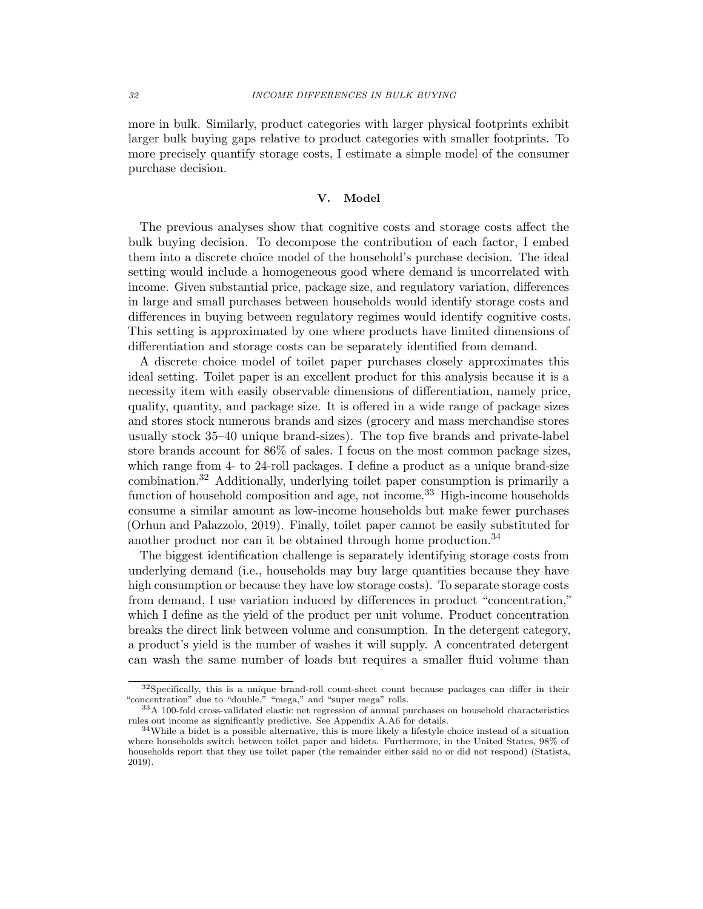more in bulk. Similarly, product categories with larger physical footprints exhibit larger bulk buying gaps relative to product categories with smaller footprints. To more precisely quantify storage costs, I estimate a simple model of the consumer purchase decision.

## V. Model

The previous analyses show that cognitive costs and storage costs affect the bulk buying decision. To decompose the contribution of each factor, I embed them into a discrete choice model of the household's purchase decision. The ideal setting would include a homogeneous good where demand is uncorrelated with income. Given substantial price, package size, and regulatory variation, differences in large and small purchases between households would identify storage costs and differences in buying between regulatory regimes would identify cognitive costs. This setting is approximated by one where products have limited dimensions of differentiation and storage costs can be separately identified from demand.

A discrete choice model of toilet paper purchases closely approximates this ideal setting. Toilet paper is an excellent product for this analysis because it is a necessity item with easily observable dimensions of differentiation, namely price, quality, quantity, and package size. It is offered in a wide range of package sizes and stores stock numerous brands and sizes (grocery and mass merchandise stores usually stock 35–40 unique brand-sizes). The top five brands and private-label store brands account for 86% of sales. I focus on the most common package sizes, which range from 4- to 24-roll packages. I define a product as a unique brand-size combination.<sup>32</sup> Additionally, underlying toilet paper consumption is primarily a function of household composition and age, not income.<sup>33</sup> High-income households consume a similar amount as low-income households but make fewer purchases (Orhun and Palazzolo, 2019). Finally, toilet paper cannot be easily substituted for another product nor can it be obtained through home production.<sup>34</sup>

The biggest identification challenge is separately identifying storage costs from underlying demand (i.e., households may buy large quantities because they have high consumption or because they have low storage costs). To separate storage costs from demand, I use variation induced by differences in product "concentration," which I define as the yield of the product per unit volume. Product concentration breaks the direct link between volume and consumption. In the detergent category, a product's yield is the number of washes it will supply. A concentrated detergent can wash the same number of loads but requires a smaller fluid volume than

<sup>&</sup>lt;sup>32</sup>Specifically, this is a unique brand-roll count-sheet count because packages can differ in their "concentration" due to "double," "mega," and "super mega" rolls.

 $33A$  100-fold cross-validated elastic net regression of annual purchases on household characteristics rules out income as significantly predictive. See Appendix A.A6 for details.

<sup>34</sup>While a bidet is a possible alternative, this is more likely a lifestyle choice instead of a situation where households switch between toilet paper and bidets. Furthermore, in the United States, 98% of households report that they use toilet paper (the remainder either said no or did not respond) (Statista, 2019).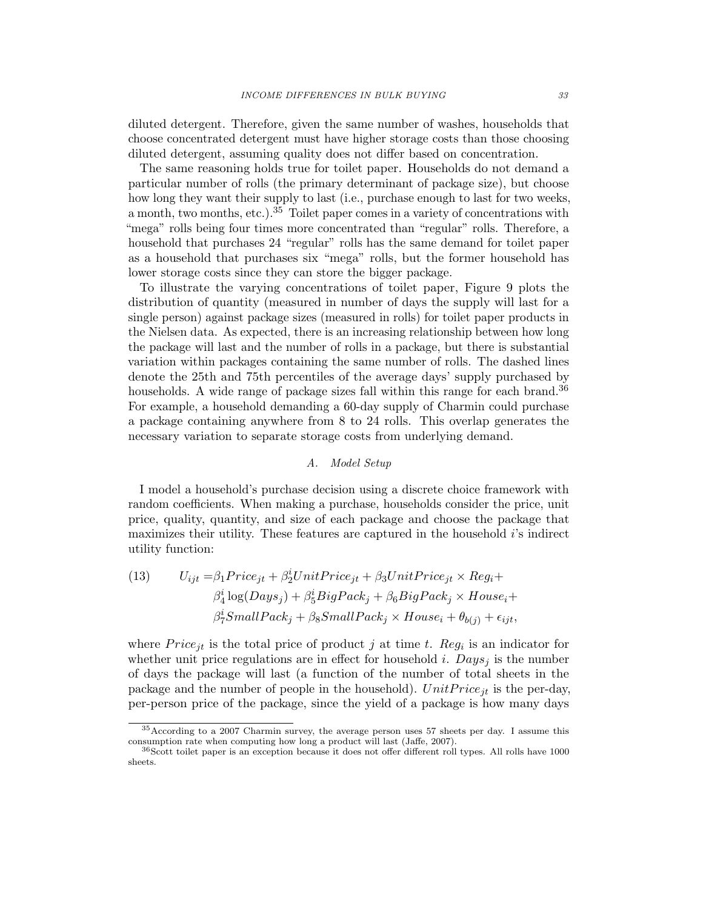diluted detergent. Therefore, given the same number of washes, households that choose concentrated detergent must have higher storage costs than those choosing diluted detergent, assuming quality does not differ based on concentration.

The same reasoning holds true for toilet paper. Households do not demand a particular number of rolls (the primary determinant of package size), but choose how long they want their supply to last (i.e., purchase enough to last for two weeks, a month, two months, etc.).<sup>35</sup> Toilet paper comes in a variety of concentrations with "mega" rolls being four times more concentrated than "regular" rolls. Therefore, a household that purchases 24 "regular" rolls has the same demand for toilet paper as a household that purchases six "mega" rolls, but the former household has lower storage costs since they can store the bigger package.

To illustrate the varying concentrations of toilet paper, Figure 9 plots the distribution of quantity (measured in number of days the supply will last for a single person) against package sizes (measured in rolls) for toilet paper products in the Nielsen data. As expected, there is an increasing relationship between how long the package will last and the number of rolls in a package, but there is substantial variation within packages containing the same number of rolls. The dashed lines denote the 25th and 75th percentiles of the average days' supply purchased by households. A wide range of package sizes fall within this range for each brand.<sup>36</sup> For example, a household demanding a 60-day supply of Charmin could purchase a package containing anywhere from 8 to 24 rolls. This overlap generates the necessary variation to separate storage costs from underlying demand.

## A. Model Setup

I model a household's purchase decision using a discrete choice framework with random coefficients. When making a purchase, households consider the price, unit price, quality, quantity, and size of each package and choose the package that maximizes their utility. These features are captured in the household i's indirect utility function:

(13) 
$$
U_{ijt} = \beta_1 Price_{jt} + \beta_2' UnitPrice_{jt} + \beta_3 UnitPrice_{jt} \times Reg_i +
$$

$$
\beta_4^i \log(Days_j) + \beta_5^i BigPack_j + \beta_6 BigPack_j \times House_i +
$$

$$
\beta_7^i SmallPack_j + \beta_8 SmallPack_j \times House_i + \theta_{b(j)} + \epsilon_{ijt},
$$

where  $Price_{jt}$  is the total price of product j at time t. Reg<sub>i</sub> is an indicator for whether unit price regulations are in effect for household i.  $Days_i$  is the number of days the package will last (a function of the number of total sheets in the package and the number of people in the household).  $UnitPrice_{it}$  is the per-day, per-person price of the package, since the yield of a package is how many days

<sup>35</sup>According to a 2007 Charmin survey, the average person uses 57 sheets per day. I assume this consumption rate when computing how long a product will last (Jaffe, 2007).

<sup>36</sup>Scott toilet paper is an exception because it does not offer different roll types. All rolls have 1000 sheets.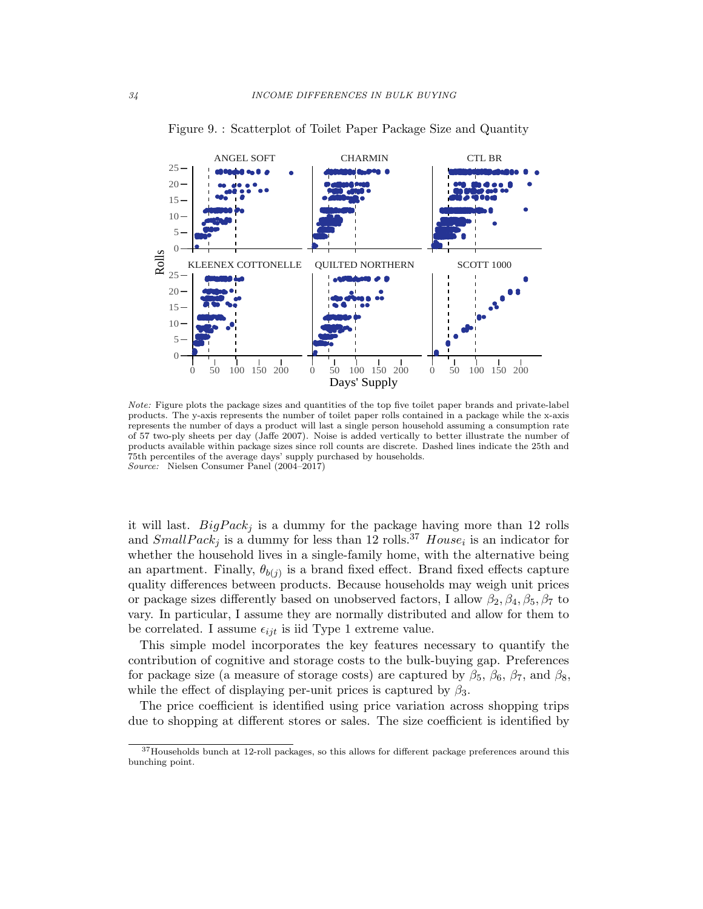

Figure 9. : Scatterplot of Toilet Paper Package Size and Quantity

Note: Figure plots the package sizes and quantities of the top five toilet paper brands and private-label products. The y-axis represents the number of toilet paper rolls contained in a package while the x-axis represents the number of days a product will last a single person household assuming a consumption rate of 57 two-ply sheets per day (Jaffe 2007). Noise is added vertically to better illustrate the number of products available within package sizes since roll counts are discrete. Dashed lines indicate the 25th and 75th percentiles of the average days' supply purchased by households. Source: Nielsen Consumer Panel (2004–2017)

it will last.  $BigPack_j$  is a dummy for the package having more than 12 rolls and  $SmallPack_j$  is a dummy for less than 12 rolls.<sup>37</sup>  $House_i$  is an indicator for whether the household lives in a single-family home, with the alternative being an apartment. Finally,  $\theta_{b(j)}$  is a brand fixed effect. Brand fixed effects capture quality differences between products. Because households may weigh unit prices or package sizes differently based on unobserved factors, I allow  $\beta_2, \beta_4, \beta_5, \beta_7$  to vary. In particular, I assume they are normally distributed and allow for them to be correlated. I assume  $\epsilon_{ijt}$  is iid Type 1 extreme value.

This simple model incorporates the key features necessary to quantify the contribution of cognitive and storage costs to the bulk-buying gap. Preferences for package size (a measure of storage costs) are captured by  $\beta_5$ ,  $\beta_6$ ,  $\beta_7$ , and  $\beta_8$ , while the effect of displaying per-unit prices is captured by  $\beta_3$ .

The price coefficient is identified using price variation across shopping trips due to shopping at different stores or sales. The size coefficient is identified by

<sup>&</sup>lt;sup>37</sup>Households bunch at 12-roll packages, so this allows for different package preferences around this bunching point.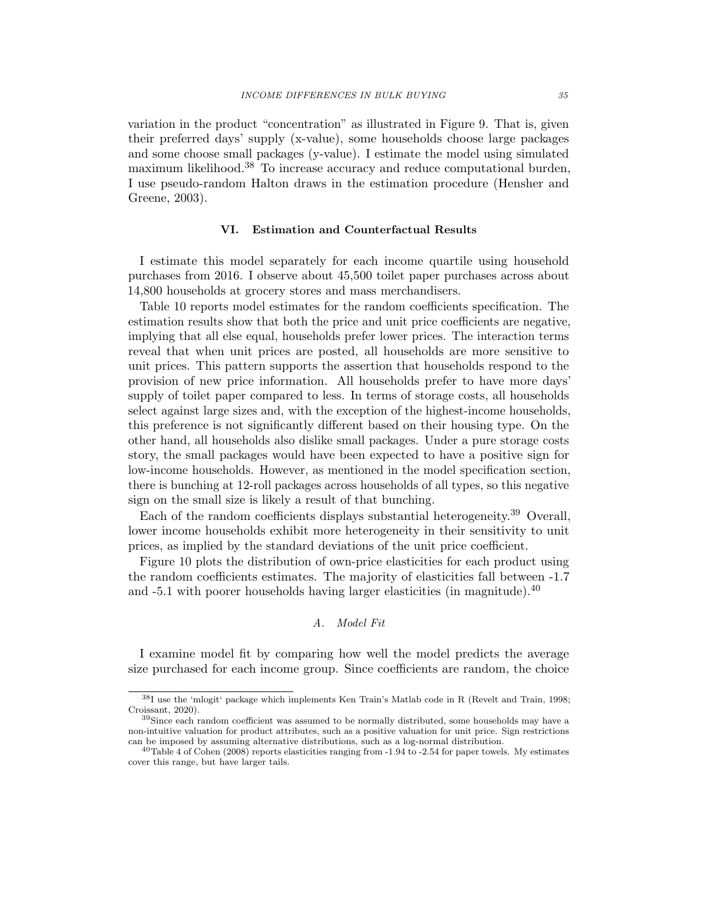variation in the product "concentration" as illustrated in Figure 9. That is, given their preferred days' supply (x-value), some households choose large packages and some choose small packages (y-value). I estimate the model using simulated maximum likelihood.<sup>38</sup> To increase accuracy and reduce computational burden, I use pseudo-random Halton draws in the estimation procedure (Hensher and Greene, 2003).

#### VI. Estimation and Counterfactual Results

I estimate this model separately for each income quartile using household purchases from 2016. I observe about 45,500 toilet paper purchases across about 14,800 households at grocery stores and mass merchandisers.

Table 10 reports model estimates for the random coefficients specification. The estimation results show that both the price and unit price coefficients are negative, implying that all else equal, households prefer lower prices. The interaction terms reveal that when unit prices are posted, all households are more sensitive to unit prices. This pattern supports the assertion that households respond to the provision of new price information. All households prefer to have more days' supply of toilet paper compared to less. In terms of storage costs, all households select against large sizes and, with the exception of the highest-income households, this preference is not significantly different based on their housing type. On the other hand, all households also dislike small packages. Under a pure storage costs story, the small packages would have been expected to have a positive sign for low-income households. However, as mentioned in the model specification section, there is bunching at 12-roll packages across households of all types, so this negative sign on the small size is likely a result of that bunching.

Each of the random coefficients displays substantial heterogeneity.<sup>39</sup> Overall, lower income households exhibit more heterogeneity in their sensitivity to unit prices, as implied by the standard deviations of the unit price coefficient.

Figure 10 plots the distribution of own-price elasticities for each product using the random coefficients estimates. The majority of elasticities fall between -1.7 and  $-5.1$  with poorer households having larger elasticities (in magnitude).<sup>40</sup>

#### A. Model Fit

I examine model fit by comparing how well the model predicts the average size purchased for each income group. Since coefficients are random, the choice

<sup>38</sup>I use the 'mlogit' package which implements Ken Train's Matlab code in R (Revelt and Train, 1998; Croissant, 2020).

 $39\text{Since each random coefficient was assumed to be normally distributed, some households may have a$ non-intuitive valuation for product attributes, such as a positive valuation for unit price. Sign restrictions can be imposed by assuming alternative distributions, such as a log-normal distribution.

<sup>40</sup>Table 4 of Cohen (2008) reports elasticities ranging from -1.94 to -2.54 for paper towels. My estimates cover this range, but have larger tails.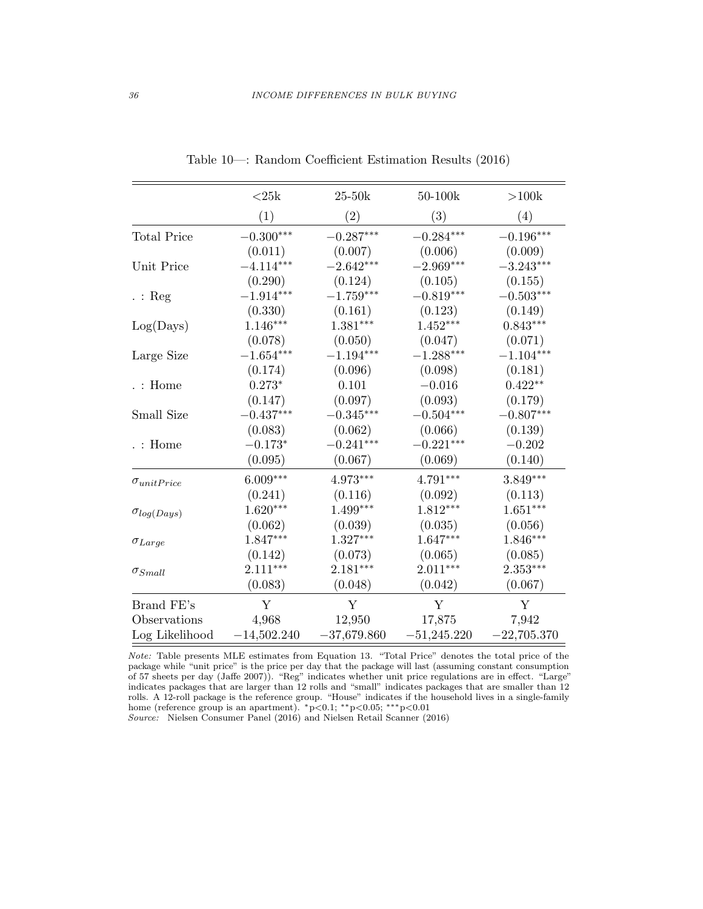|                      | ${<}25\mathrm{k}$       | $25-50k$      | 50-100k                 | >100k         |
|----------------------|-------------------------|---------------|-------------------------|---------------|
|                      | (1)                     | (2)           | (3)                     | (4)           |
| <b>Total Price</b>   | $-0.300***$             | $-0.287***$   | $-0.284***$             | $-0.196***$   |
|                      | (0.011)                 | (0.007)       | (0.006)                 | (0.009)       |
| Unit Price           | $-4.114***$             | $-2.642***$   | $-2.969***$             | $-3.243***$   |
|                      | (0.290)                 | (0.124)       | (0.105)                 | (0.155)       |
| $\therefore$ Reg     | $-1.914***$             | $-1.759***$   | $-0.819***$             | $-0.503***$   |
|                      | (0.330)                 | (0.161)       | (0.123)                 | (0.149)       |
| Log(Days)            | $1.146***$              | $1.381***$    | $1.452***$              | $0.843***$    |
|                      | (0.078)                 | (0.050)       | (0.047)                 | (0.071)       |
| Large Size           | $-1.654^{\ast\ast\ast}$ | $-1.194***$   | $-1.288^{\ast\ast\ast}$ | $-1.104***$   |
|                      | (0.174)                 | (0.096)       | (0.098)                 | (0.181)       |
| $\ldots$ Home        | $0.273*$                | 0.101         | $-0.016$                | $0.422**$     |
|                      | (0.147)                 | (0.097)       | (0.093)                 | (0.179)       |
| Small Size           | $-0.437***$             | $-0.345***$   | $-0.504***$             | $-0.807***$   |
|                      | (0.083)                 | (0.062)       | (0.066)                 | (0.139)       |
| $\ldots$ Home        | $-0.173*$               | $-0.241***$   | $-0.221***$             | $-0.202$      |
|                      | (0.095)                 | (0.067)       | (0.069)                 | (0.140)       |
| $\sigma_{unitPrice}$ | $6.009***$              | $4.973***$    | $4.791***$              | $3.849***$    |
|                      | (0.241)                 | (0.116)       | (0.092)                 | (0.113)       |
| $\sigma_{log(Days)}$ | $1.620***$              | $1.499***$    | $1.812***$              | $1.651***$    |
|                      | (0.062)                 | (0.039)       | (0.035)                 | (0.056)       |
| $\sigma_{Large}$     | $1.847***$              | $1.327***$    | $1.647***$              | $1.846***$    |
|                      | (0.142)                 | (0.073)       | (0.065)                 | (0.085)       |
| $\sigma_{Small}$     | $2.111***$              | $2.181***$    | $2.011***$              | $2.353***$    |
|                      | (0.083)                 | (0.048)       | (0.042)                 | (0.067)       |
| Brand FE's           | $\mathbf Y$             | Y             | Y                       | Y             |
| Observations         | 4,968                   | 12,950        | 17,875                  | 7,942         |
| Log Likelihood       | $-14,502.240$           | $-37,679.860$ | $-51,245.220$           | $-22,705.370$ |

Table 10—: Random Coefficient Estimation Results (2016)

Note: Table presents MLE estimates from Equation 13. "Total Price" denotes the total price of the package while "unit price" is the price per day that the package will last (assuming constant consumption of 57 sheets per day (Jaffe 2007)). "Reg" indicates whether unit price regulations are in effect. "Large" indicates packages that are larger than 12 rolls and "small" indicates packages that are smaller than 12 rolls. A 12-roll package is the reference group. "House" indicates if the household lives in a single-family home (reference group is an apartment). <sup>∗</sup>p<0.1; ∗∗p<0.05; ∗∗∗p<0.01

Source: Nielsen Consumer Panel (2016) and Nielsen Retail Scanner (2016)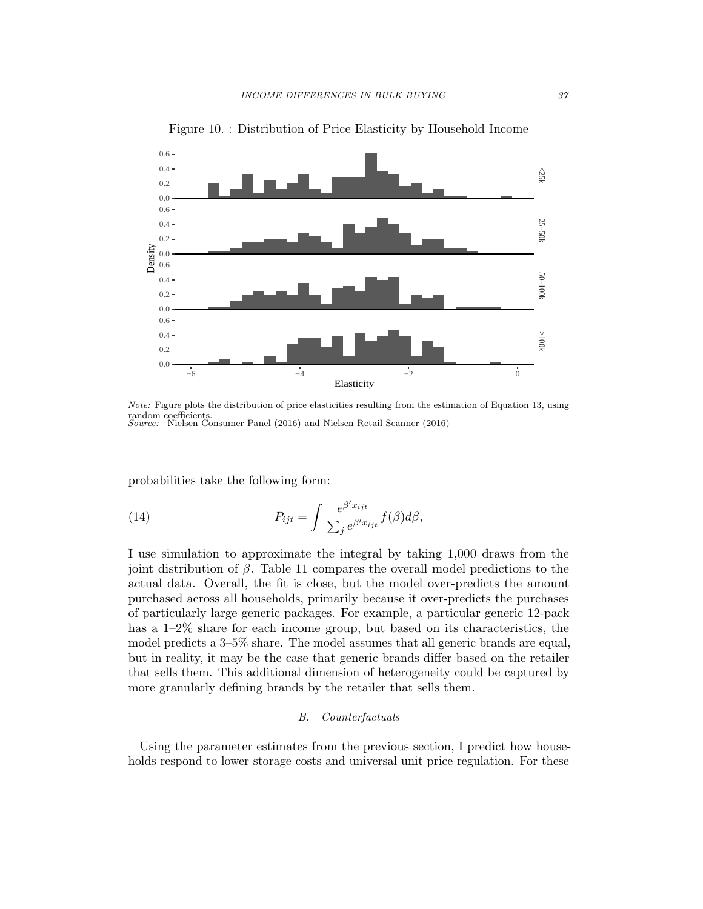

Figure 10. : Distribution of Price Elasticity by Household Income

Note: Figure plots the distribution of price elasticities resulting from the estimation of Equation 13, using random coefficients. Source: Nielsen Consumer Panel (2016) and Nielsen Retail Scanner (2016)

probabilities take the following form:

(14) 
$$
P_{ijt} = \int \frac{e^{\beta' x_{ijt}}}{\sum_j e^{\beta' x_{ijt}}} f(\beta) d\beta,
$$

I use simulation to approximate the integral by taking 1,000 draws from the joint distribution of β. Table 11 compares the overall model predictions to the actual data. Overall, the fit is close, but the model over-predicts the amount purchased across all households, primarily because it over-predicts the purchases of particularly large generic packages. For example, a particular generic 12-pack has a 1–2% share for each income group, but based on its characteristics, the model predicts a 3–5% share. The model assumes that all generic brands are equal, but in reality, it may be the case that generic brands differ based on the retailer that sells them. This additional dimension of heterogeneity could be captured by more granularly defining brands by the retailer that sells them.

#### B. Counterfactuals

Using the parameter estimates from the previous section, I predict how households respond to lower storage costs and universal unit price regulation. For these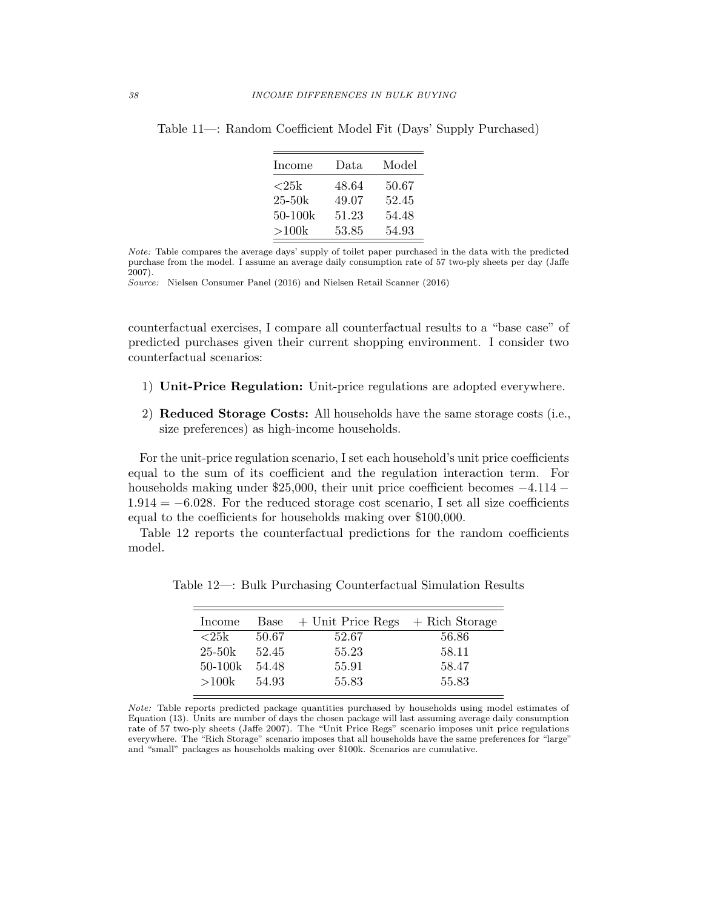| Income            | Data  | Model |
|-------------------|-------|-------|
| ${<}25\mathrm{k}$ | 48.64 | 50.67 |
| $25 - 50k$        | 49.07 | 52.45 |
| $50 - 100k$       | 51.23 | 54.48 |
| >100k             | 53.85 | 54.93 |

Table 11—: Random Coefficient Model Fit (Days' Supply Purchased)

Note: Table compares the average days' supply of toilet paper purchased in the data with the predicted purchase from the model. I assume an average daily consumption rate of 57 two-ply sheets per day (Jaffe 2007).

Source: Nielsen Consumer Panel (2016) and Nielsen Retail Scanner (2016)

counterfactual exercises, I compare all counterfactual results to a "base case" of predicted purchases given their current shopping environment. I consider two counterfactual scenarios:

- 1) Unit-Price Regulation: Unit-price regulations are adopted everywhere.
- 2) Reduced Storage Costs: All households have the same storage costs (i.e., size preferences) as high-income households.

For the unit-price regulation scenario, I set each household's unit price coefficients equal to the sum of its coefficient and the regulation interaction term. For households making under \$25,000, their unit price coefficient becomes −4.114 −  $1.914 = -6.028$ . For the reduced storage cost scenario, I set all size coefficients equal to the coefficients for households making over \$100,000.

Table 12 reports the counterfactual predictions for the random coefficients model.

| Income     | Base  | + Unit Price Regs | + Rich Storage |
|------------|-------|-------------------|----------------|
| ${<}25k$   | 50.67 | 52.67             | 56.86          |
| $25 - 50k$ | 52.45 | 55.23             | 58.11          |
| $50-100k$  | 54.48 | 55.91             | 58.47          |
| >100k      | 54.93 | 55.83             | 55.83          |

Table 12—: Bulk Purchasing Counterfactual Simulation Results

Note: Table reports predicted package quantities purchased by households using model estimates of Equation (13). Units are number of days the chosen package will last assuming average daily consumption rate of 57 two-ply sheets (Jaffe 2007). The "Unit Price Regs" scenario imposes unit price regulations everywhere. The "Rich Storage" scenario imposes that all households have the same preferences for "large" and "small" packages as households making over \$100k. Scenarios are cumulative.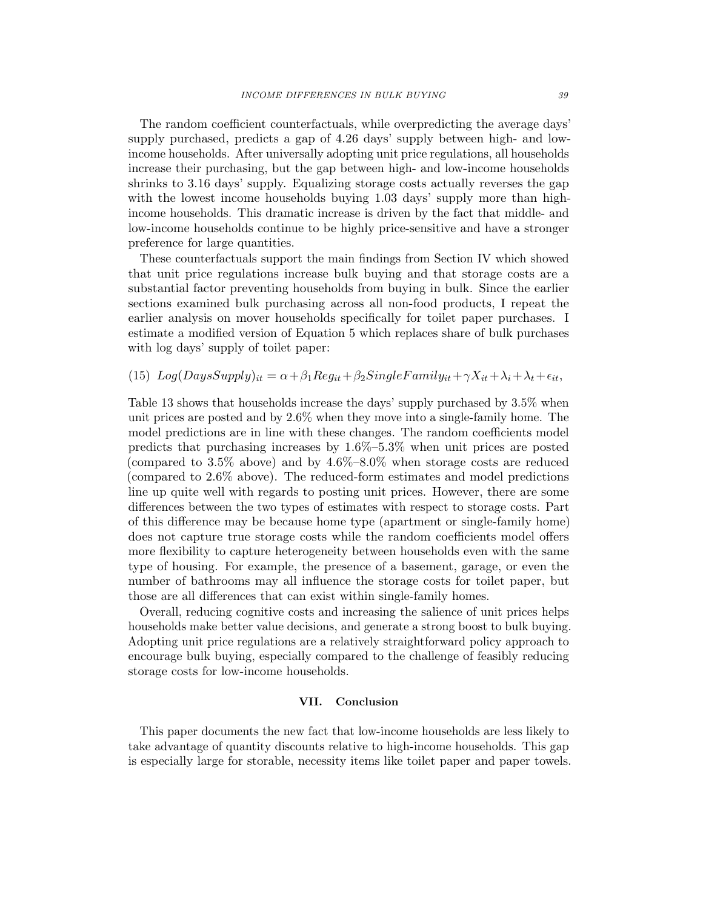The random coefficient counterfactuals, while overpredicting the average days' supply purchased, predicts a gap of 4.26 days' supply between high- and lowincome households. After universally adopting unit price regulations, all households increase their purchasing, but the gap between high- and low-income households shrinks to 3.16 days' supply. Equalizing storage costs actually reverses the gap with the lowest income households buying 1.03 days' supply more than highincome households. This dramatic increase is driven by the fact that middle- and low-income households continue to be highly price-sensitive and have a stronger preference for large quantities.

These counterfactuals support the main findings from Section IV which showed that unit price regulations increase bulk buying and that storage costs are a substantial factor preventing households from buying in bulk. Since the earlier sections examined bulk purchasing across all non-food products, I repeat the earlier analysis on mover households specifically for toilet paper purchases. I estimate a modified version of Equation 5 which replaces share of bulk purchases with log days' supply of toilet paper:

# (15)  $Log(DaysSupply)_{it} = \alpha + \beta_1 Reg_{it} + \beta_2 SingleFamily_{it} + \gamma X_{it} + \lambda_i + \lambda_t + \epsilon_{it},$

Table 13 shows that households increase the days' supply purchased by 3.5% when unit prices are posted and by 2.6% when they move into a single-family home. The model predictions are in line with these changes. The random coefficients model predicts that purchasing increases by 1.6%–5.3% when unit prices are posted (compared to  $3.5\%$  above) and by  $4.6\%$ – $8.0\%$  when storage costs are reduced (compared to 2.6% above). The reduced-form estimates and model predictions line up quite well with regards to posting unit prices. However, there are some differences between the two types of estimates with respect to storage costs. Part of this difference may be because home type (apartment or single-family home) does not capture true storage costs while the random coefficients model offers more flexibility to capture heterogeneity between households even with the same type of housing. For example, the presence of a basement, garage, or even the number of bathrooms may all influence the storage costs for toilet paper, but those are all differences that can exist within single-family homes.

Overall, reducing cognitive costs and increasing the salience of unit prices helps households make better value decisions, and generate a strong boost to bulk buying. Adopting unit price regulations are a relatively straightforward policy approach to encourage bulk buying, especially compared to the challenge of feasibly reducing storage costs for low-income households.

## VII. Conclusion

This paper documents the new fact that low-income households are less likely to take advantage of quantity discounts relative to high-income households. This gap is especially large for storable, necessity items like toilet paper and paper towels.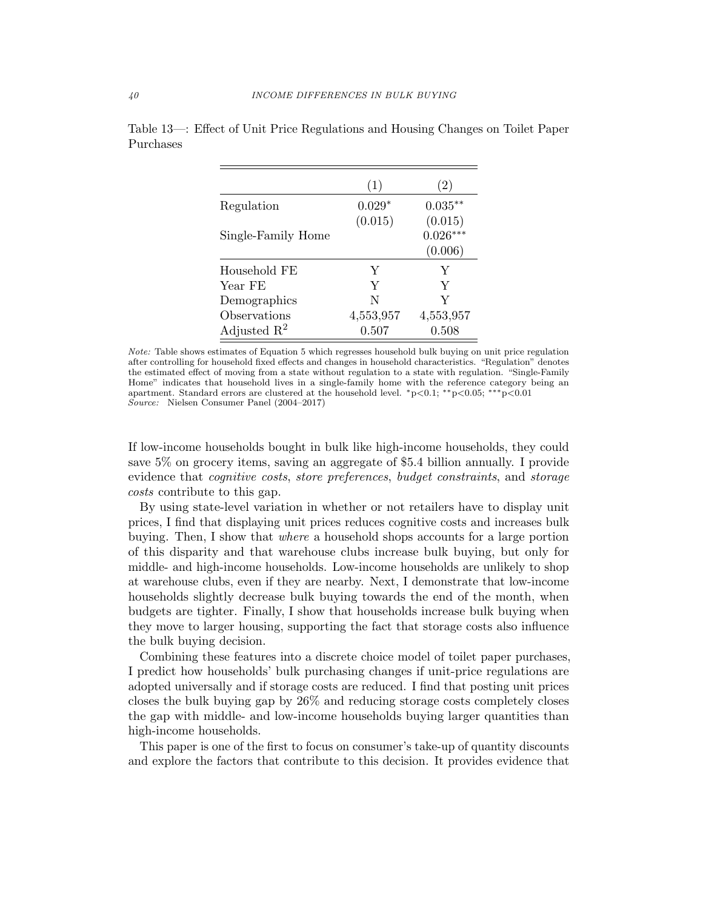|                         | (1)       | (2)        |
|-------------------------|-----------|------------|
| Regulation              | $0.029*$  | $0.035***$ |
|                         | (0.015)   | (0.015)    |
| Single-Family Home      |           | $0.026***$ |
|                         |           | (0.006)    |
| Household FE            | Y         | Y          |
| Year FE                 | Y         | Y          |
| Demographics            | N         | Y          |
| Observations            | 4,553,957 | 4,553,957  |
| Adjusted $\mathbb{R}^2$ | 0.507     | 0.508      |

Table 13—: Effect of Unit Price Regulations and Housing Changes on Toilet Paper Purchases

Note: Table shows estimates of Equation 5 which regresses household bulk buying on unit price regulation after controlling for household fixed effects and changes in household characteristics. "Regulation" denotes the estimated effect of moving from a state without regulation to a state with regulation. "Single-Family Home" indicates that household lives in a single-family home with the reference category being an apartment. Standard errors are clustered at the household level. <sup>∗</sup>p<0.1; ∗∗p<0.05; ∗∗∗p<0.01 Source: Nielsen Consumer Panel (2004–2017)

If low-income households bought in bulk like high-income households, they could save 5% on grocery items, saving an aggregate of \$5.4 billion annually. I provide evidence that cognitive costs, store preferences, budget constraints, and storage costs contribute to this gap.

By using state-level variation in whether or not retailers have to display unit prices, I find that displaying unit prices reduces cognitive costs and increases bulk buying. Then, I show that where a household shops accounts for a large portion of this disparity and that warehouse clubs increase bulk buying, but only for middle- and high-income households. Low-income households are unlikely to shop at warehouse clubs, even if they are nearby. Next, I demonstrate that low-income households slightly decrease bulk buying towards the end of the month, when budgets are tighter. Finally, I show that households increase bulk buying when they move to larger housing, supporting the fact that storage costs also influence the bulk buying decision.

Combining these features into a discrete choice model of toilet paper purchases, I predict how households' bulk purchasing changes if unit-price regulations are adopted universally and if storage costs are reduced. I find that posting unit prices closes the bulk buying gap by 26% and reducing storage costs completely closes the gap with middle- and low-income households buying larger quantities than high-income households.

This paper is one of the first to focus on consumer's take-up of quantity discounts and explore the factors that contribute to this decision. It provides evidence that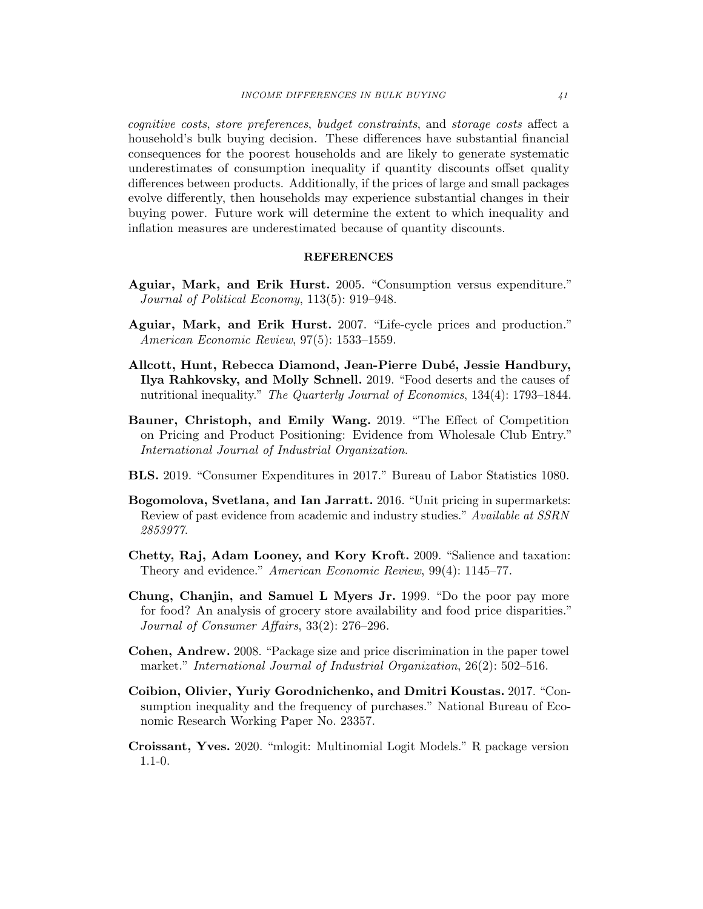cognitive costs, store preferences, budget constraints, and storage costs affect a household's bulk buying decision. These differences have substantial financial consequences for the poorest households and are likely to generate systematic underestimates of consumption inequality if quantity discounts offset quality differences between products. Additionally, if the prices of large and small packages evolve differently, then households may experience substantial changes in their buying power. Future work will determine the extent to which inequality and inflation measures are underestimated because of quantity discounts.

#### REFERENCES

- Aguiar, Mark, and Erik Hurst. 2005. "Consumption versus expenditure." Journal of Political Economy, 113(5): 919–948.
- Aguiar, Mark, and Erik Hurst. 2007. "Life-cycle prices and production." American Economic Review, 97(5): 1533–1559.
- Allcott, Hunt, Rebecca Diamond, Jean-Pierre Dubé, Jessie Handbury, Ilya Rahkovsky, and Molly Schnell. 2019. "Food deserts and the causes of nutritional inequality." The Quarterly Journal of Economics, 134(4): 1793–1844.
- Bauner, Christoph, and Emily Wang. 2019. "The Effect of Competition on Pricing and Product Positioning: Evidence from Wholesale Club Entry." International Journal of Industrial Organization.
- BLS. 2019. "Consumer Expenditures in 2017." Bureau of Labor Statistics 1080.
- Bogomolova, Svetlana, and Ian Jarratt. 2016. "Unit pricing in supermarkets: Review of past evidence from academic and industry studies." Available at SSRN 2853977.
- Chetty, Raj, Adam Looney, and Kory Kroft. 2009. "Salience and taxation: Theory and evidence." American Economic Review, 99(4): 1145–77.
- Chung, Chanjin, and Samuel L Myers Jr. 1999. "Do the poor pay more for food? An analysis of grocery store availability and food price disparities." Journal of Consumer Affairs, 33(2): 276–296.
- Cohen, Andrew. 2008. "Package size and price discrimination in the paper towel market." International Journal of Industrial Organization, 26(2): 502–516.
- Coibion, Olivier, Yuriy Gorodnichenko, and Dmitri Koustas. 2017. "Consumption inequality and the frequency of purchases." National Bureau of Economic Research Working Paper No. 23357.
- Croissant, Yves. 2020. "mlogit: Multinomial Logit Models." R package version 1.1-0.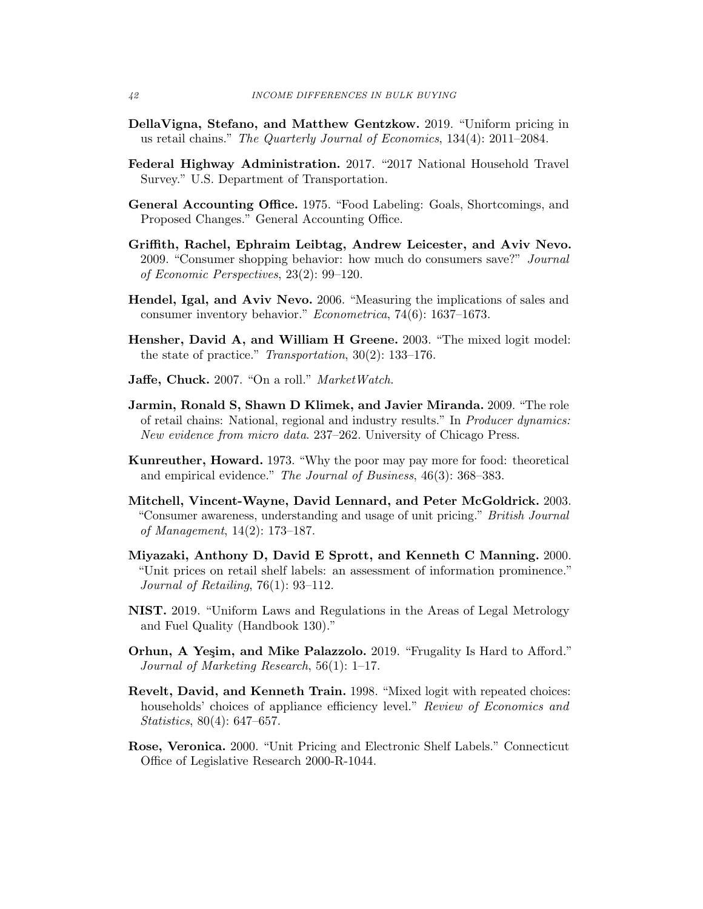- DellaVigna, Stefano, and Matthew Gentzkow. 2019. "Uniform pricing in us retail chains." The Quarterly Journal of Economics, 134(4): 2011–2084.
- Federal Highway Administration. 2017. "2017 National Household Travel Survey." U.S. Department of Transportation.
- General Accounting Office. 1975. "Food Labeling: Goals, Shortcomings, and Proposed Changes." General Accounting Office.
- Griffith, Rachel, Ephraim Leibtag, Andrew Leicester, and Aviv Nevo. 2009. "Consumer shopping behavior: how much do consumers save?" Journal of Economic Perspectives, 23(2): 99–120.
- Hendel, Igal, and Aviv Nevo. 2006. "Measuring the implications of sales and consumer inventory behavior." Econometrica, 74(6): 1637–1673.
- Hensher, David A, and William H Greene. 2003. "The mixed logit model: the state of practice." Transportation, 30(2): 133–176.
- Jaffe, Chuck. 2007. "On a roll." MarketWatch.
- Jarmin, Ronald S, Shawn D Klimek, and Javier Miranda. 2009. "The role of retail chains: National, regional and industry results." In Producer dynamics: New evidence from micro data. 237–262. University of Chicago Press.
- Kunreuther, Howard. 1973. "Why the poor may pay more for food: theoretical and empirical evidence." The Journal of Business, 46(3): 368–383.
- Mitchell, Vincent-Wayne, David Lennard, and Peter McGoldrick. 2003. "Consumer awareness, understanding and usage of unit pricing." British Journal of Management, 14(2): 173–187.
- Miyazaki, Anthony D, David E Sprott, and Kenneth C Manning. 2000. "Unit prices on retail shelf labels: an assessment of information prominence." Journal of Retailing, 76(1): 93–112.
- NIST. 2019. "Uniform Laws and Regulations in the Areas of Legal Metrology and Fuel Quality (Handbook 130)."
- **Orhun, A Yeşim, and Mike Palazzolo.** 2019. "Frugality Is Hard to Afford." Journal of Marketing Research, 56(1): 1–17.
- Revelt, David, and Kenneth Train. 1998. "Mixed logit with repeated choices: households' choices of appliance efficiency level." Review of Economics and Statistics, 80(4): 647–657.
- Rose, Veronica. 2000. "Unit Pricing and Electronic Shelf Labels." Connecticut Office of Legislative Research 2000-R-1044.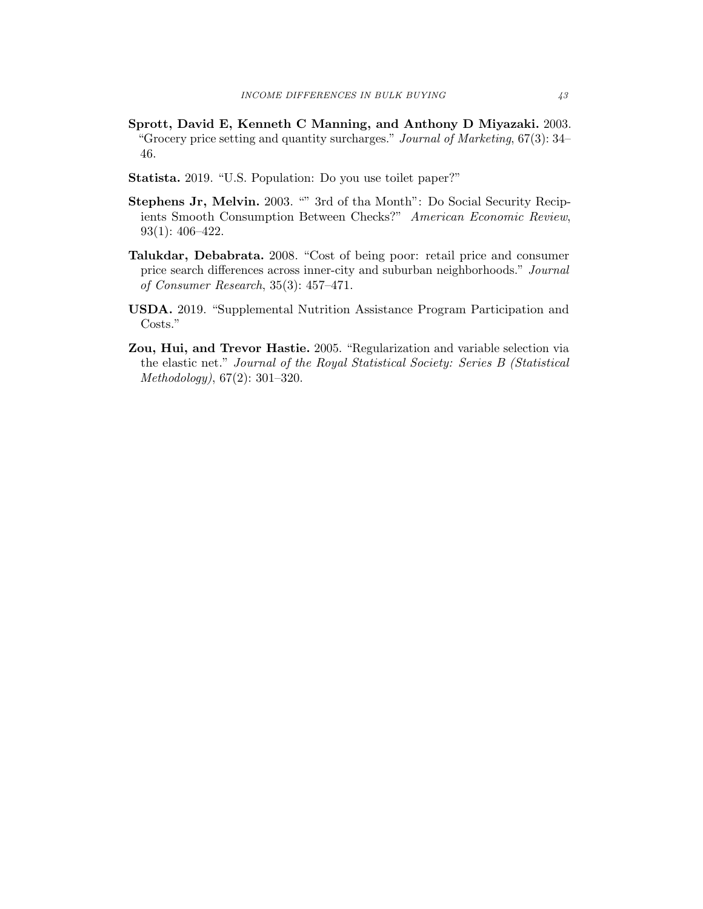- Sprott, David E, Kenneth C Manning, and Anthony D Miyazaki. 2003. "Grocery price setting and quantity surcharges." Journal of Marketing, 67(3): 34– 46.
- Statista. 2019. "U.S. Population: Do you use toilet paper?"
- Stephens Jr, Melvin. 2003. "" 3rd of tha Month": Do Social Security Recipients Smooth Consumption Between Checks?" American Economic Review, 93(1): 406–422.
- Talukdar, Debabrata. 2008. "Cost of being poor: retail price and consumer price search differences across inner-city and suburban neighborhoods." Journal of Consumer Research, 35(3): 457–471.
- USDA. 2019. "Supplemental Nutrition Assistance Program Participation and Costs."
- Zou, Hui, and Trevor Hastie. 2005. "Regularization and variable selection via the elastic net." Journal of the Royal Statistical Society: Series B (Statistical Methodology), 67(2): 301–320.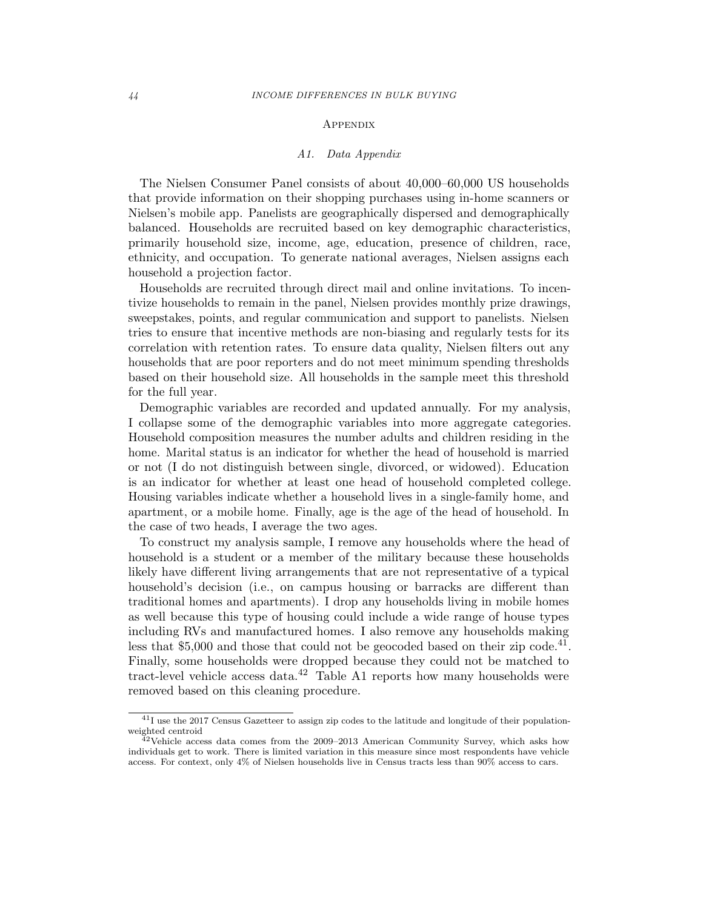#### **APPENDIX**

#### A1. Data Appendix

The Nielsen Consumer Panel consists of about 40,000–60,000 US households that provide information on their shopping purchases using in-home scanners or Nielsen's mobile app. Panelists are geographically dispersed and demographically balanced. Households are recruited based on key demographic characteristics, primarily household size, income, age, education, presence of children, race, ethnicity, and occupation. To generate national averages, Nielsen assigns each household a projection factor.

Households are recruited through direct mail and online invitations. To incentivize households to remain in the panel, Nielsen provides monthly prize drawings, sweepstakes, points, and regular communication and support to panelists. Nielsen tries to ensure that incentive methods are non-biasing and regularly tests for its correlation with retention rates. To ensure data quality, Nielsen filters out any households that are poor reporters and do not meet minimum spending thresholds based on their household size. All households in the sample meet this threshold for the full year.

Demographic variables are recorded and updated annually. For my analysis, I collapse some of the demographic variables into more aggregate categories. Household composition measures the number adults and children residing in the home. Marital status is an indicator for whether the head of household is married or not (I do not distinguish between single, divorced, or widowed). Education is an indicator for whether at least one head of household completed college. Housing variables indicate whether a household lives in a single-family home, and apartment, or a mobile home. Finally, age is the age of the head of household. In the case of two heads, I average the two ages.

To construct my analysis sample, I remove any households where the head of household is a student or a member of the military because these households likely have different living arrangements that are not representative of a typical household's decision (i.e., on campus housing or barracks are different than traditional homes and apartments). I drop any households living in mobile homes as well because this type of housing could include a wide range of house types including RVs and manufactured homes. I also remove any households making less that  $$5,000$  and those that could not be geocoded based on their zip code.<sup>41</sup>. Finally, some households were dropped because they could not be matched to tract-level vehicle access data. $42$  Table A1 reports how many households were removed based on this cleaning procedure.

<sup>41</sup>I use the 2017 Census Gazetteer to assign zip codes to the latitude and longitude of their populationweighted centroid

 $42$ Vehicle access data comes from the 2009–2013 American Community Survey, which asks how individuals get to work. There is limited variation in this measure since most respondents have vehicle access. For context, only 4% of Nielsen households live in Census tracts less than 90% access to cars.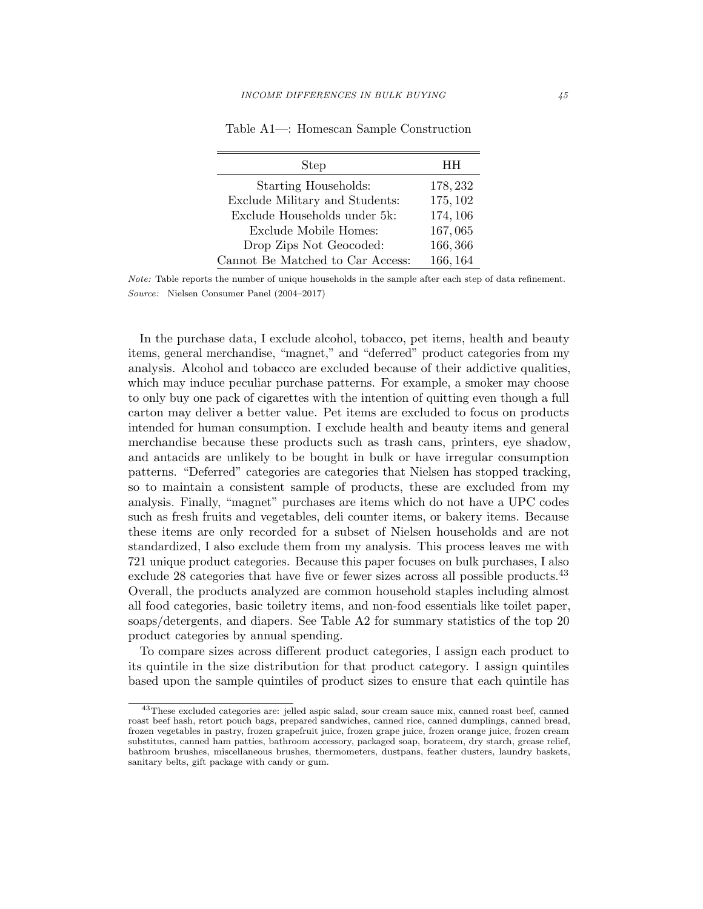| Step                             | HН       |
|----------------------------------|----------|
| Starting Households:             | 178, 232 |
| Exclude Military and Students:   | 175, 102 |
| Exclude Households under 5k:     | 174, 106 |
| Exclude Mobile Homes:            | 167,065  |
| Drop Zips Not Geocoded:          | 166,366  |
| Cannot Be Matched to Car Access: | 166, 164 |

Table A1—: Homescan Sample Construction

In the purchase data, I exclude alcohol, tobacco, pet items, health and beauty items, general merchandise, "magnet," and "deferred" product categories from my analysis. Alcohol and tobacco are excluded because of their addictive qualities, which may induce peculiar purchase patterns. For example, a smoker may choose to only buy one pack of cigarettes with the intention of quitting even though a full carton may deliver a better value. Pet items are excluded to focus on products intended for human consumption. I exclude health and beauty items and general merchandise because these products such as trash cans, printers, eye shadow, and antacids are unlikely to be bought in bulk or have irregular consumption patterns. "Deferred" categories are categories that Nielsen has stopped tracking, so to maintain a consistent sample of products, these are excluded from my analysis. Finally, "magnet" purchases are items which do not have a UPC codes such as fresh fruits and vegetables, deli counter items, or bakery items. Because these items are only recorded for a subset of Nielsen households and are not standardized, I also exclude them from my analysis. This process leaves me with 721 unique product categories. Because this paper focuses on bulk purchases, I also exclude 28 categories that have five or fewer sizes across all possible products.<sup>43</sup> Overall, the products analyzed are common household staples including almost all food categories, basic toiletry items, and non-food essentials like toilet paper, soaps/detergents, and diapers. See Table A2 for summary statistics of the top 20 product categories by annual spending.

To compare sizes across different product categories, I assign each product to its quintile in the size distribution for that product category. I assign quintiles based upon the sample quintiles of product sizes to ensure that each quintile has

Note: Table reports the number of unique households in the sample after each step of data refinement. Source: Nielsen Consumer Panel (2004–2017)

<sup>&</sup>lt;sup>43</sup>These excluded categories are: jelled aspic salad, sour cream sauce mix, canned roast beef, canned roast beef hash, retort pouch bags, prepared sandwiches, canned rice, canned dumplings, canned bread, frozen vegetables in pastry, frozen grapefruit juice, frozen grape juice, frozen orange juice, frozen cream substitutes, canned ham patties, bathroom accessory, packaged soap, borateem, dry starch, grease relief, bathroom brushes, miscellaneous brushes, thermometers, dustpans, feather dusters, laundry baskets, sanitary belts, gift package with candy or gum.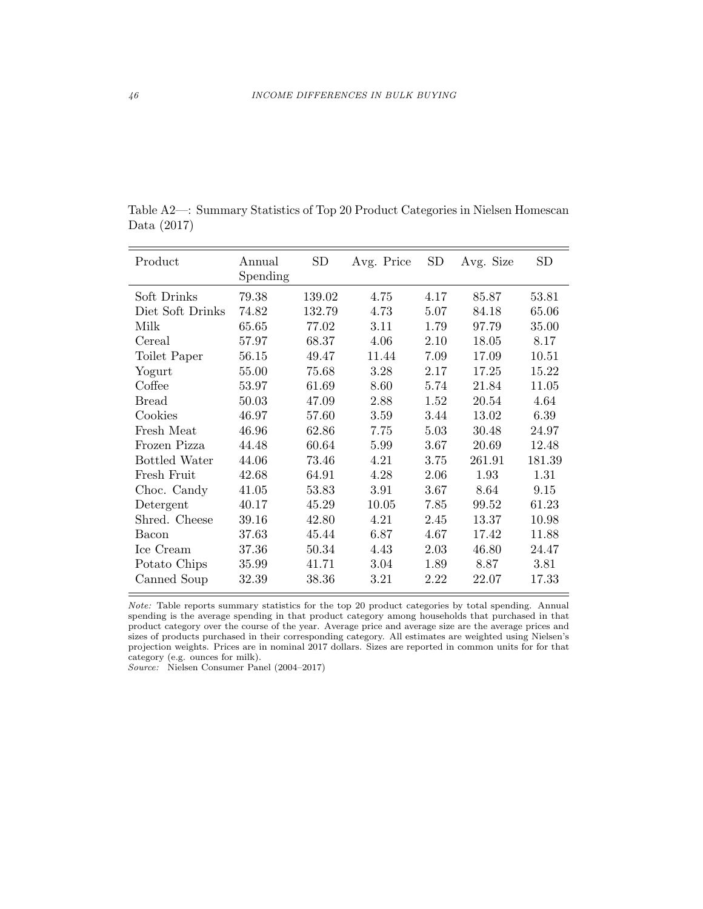| Product          | Annual<br>Spending | <b>SD</b> | Avg. Price | <b>SD</b> | Avg. Size | <b>SD</b> |
|------------------|--------------------|-----------|------------|-----------|-----------|-----------|
| Soft Drinks      | 79.38              | 139.02    | 4.75       | 4.17      | 85.87     | 53.81     |
| Diet Soft Drinks | 74.82              | 132.79    | 4.73       | 5.07      | 84.18     | 65.06     |
| Milk             | 65.65              | 77.02     | 3.11       | 1.79      | 97.79     | 35.00     |
| Cereal           | 57.97              | 68.37     | 4.06       | 2.10      | 18.05     | 8.17      |
| Toilet Paper     | 56.15              | 49.47     | 11.44      | 7.09      | 17.09     | 10.51     |
| Yogurt           | 55.00              | 75.68     | 3.28       | 2.17      | 17.25     | 15.22     |
| Coffee           | 53.97              | 61.69     | 8.60       | 5.74      | 21.84     | 11.05     |
| <b>Bread</b>     | 50.03              | 47.09     | 2.88       | 1.52      | 20.54     | 4.64      |
| Cookies          | 46.97              | 57.60     | 3.59       | 3.44      | 13.02     | 6.39      |
| Fresh Meat       | 46.96              | 62.86     | 7.75       | 5.03      | 30.48     | 24.97     |
| Frozen Pizza     | 44.48              | 60.64     | 5.99       | 3.67      | 20.69     | 12.48     |
| Bottled Water    | 44.06              | 73.46     | 4.21       | 3.75      | 261.91    | 181.39    |
| Fresh Fruit      | 42.68              | 64.91     | 4.28       | 2.06      | 1.93      | 1.31      |
| Choc. Candy      | 41.05              | 53.83     | 3.91       | 3.67      | 8.64      | 9.15      |
| Detergent        | 40.17              | 45.29     | 10.05      | 7.85      | 99.52     | 61.23     |
| Shred. Cheese    | 39.16              | 42.80     | 4.21       | 2.45      | 13.37     | 10.98     |
| Bacon            | 37.63              | 45.44     | 6.87       | 4.67      | 17.42     | 11.88     |
| Ice Cream        | 37.36              | 50.34     | 4.43       | 2.03      | 46.80     | 24.47     |
| Potato Chips     | 35.99              | 41.71     | 3.04       | 1.89      | 8.87      | 3.81      |
| Canned Soup      | 32.39              | 38.36     | 3.21       | 2.22      | 22.07     | 17.33     |

Table A2—: Summary Statistics of Top 20 Product Categories in Nielsen Homescan Data (2017)

Note: Table reports summary statistics for the top 20 product categories by total spending. Annual spending is the average spending in that product category among households that purchased in that product category over the course of the year. Average price and average size are the average prices and sizes of products purchased in their corresponding category. All estimates are weighted using Nielsen's projection weights. Prices are in nominal 2017 dollars. Sizes are reported in common units for for that category (e.g. ounces for milk).

Source: Nielsen Consumer Panel (2004–2017)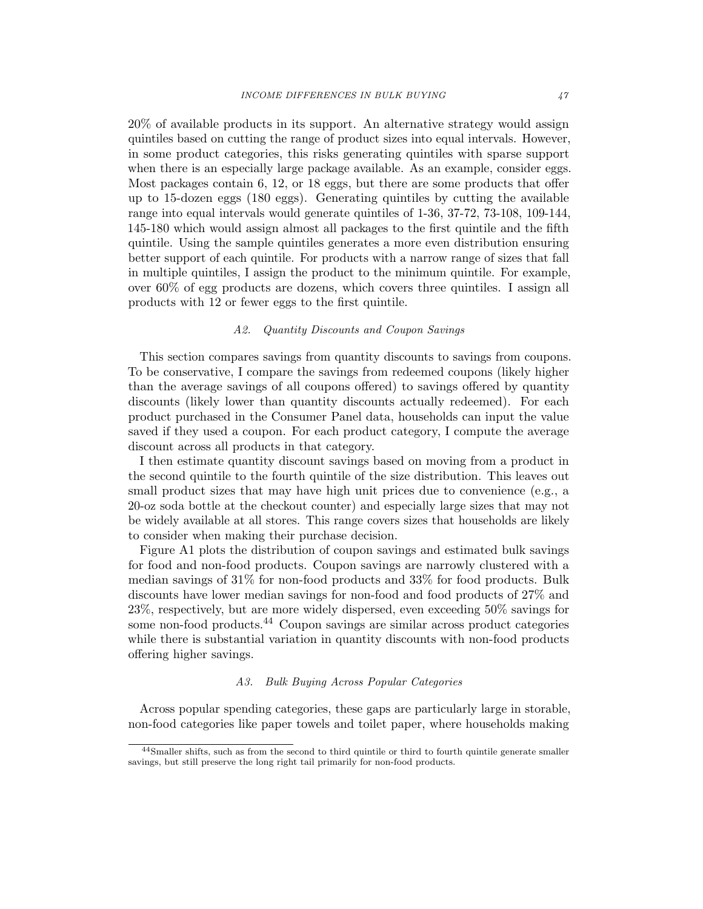20% of available products in its support. An alternative strategy would assign quintiles based on cutting the range of product sizes into equal intervals. However, in some product categories, this risks generating quintiles with sparse support when there is an especially large package available. As an example, consider eggs. Most packages contain 6, 12, or 18 eggs, but there are some products that offer up to 15-dozen eggs (180 eggs). Generating quintiles by cutting the available range into equal intervals would generate quintiles of 1-36, 37-72, 73-108, 109-144, 145-180 which would assign almost all packages to the first quintile and the fifth quintile. Using the sample quintiles generates a more even distribution ensuring better support of each quintile. For products with a narrow range of sizes that fall in multiple quintiles, I assign the product to the minimum quintile. For example, over 60% of egg products are dozens, which covers three quintiles. I assign all products with 12 or fewer eggs to the first quintile.

### A2. Quantity Discounts and Coupon Savings

This section compares savings from quantity discounts to savings from coupons. To be conservative, I compare the savings from redeemed coupons (likely higher than the average savings of all coupons offered) to savings offered by quantity discounts (likely lower than quantity discounts actually redeemed). For each product purchased in the Consumer Panel data, households can input the value saved if they used a coupon. For each product category, I compute the average discount across all products in that category.

I then estimate quantity discount savings based on moving from a product in the second quintile to the fourth quintile of the size distribution. This leaves out small product sizes that may have high unit prices due to convenience (e.g., a 20-oz soda bottle at the checkout counter) and especially large sizes that may not be widely available at all stores. This range covers sizes that households are likely to consider when making their purchase decision.

Figure A1 plots the distribution of coupon savings and estimated bulk savings for food and non-food products. Coupon savings are narrowly clustered with a median savings of 31% for non-food products and 33% for food products. Bulk discounts have lower median savings for non-food and food products of 27% and 23%, respectively, but are more widely dispersed, even exceeding 50% savings for some non-food products.<sup>44</sup> Coupon savings are similar across product categories while there is substantial variation in quantity discounts with non-food products offering higher savings.

## A3. Bulk Buying Across Popular Categories

Across popular spending categories, these gaps are particularly large in storable, non-food categories like paper towels and toilet paper, where households making

<sup>44</sup>Smaller shifts, such as from the second to third quintile or third to fourth quintile generate smaller savings, but still preserve the long right tail primarily for non-food products.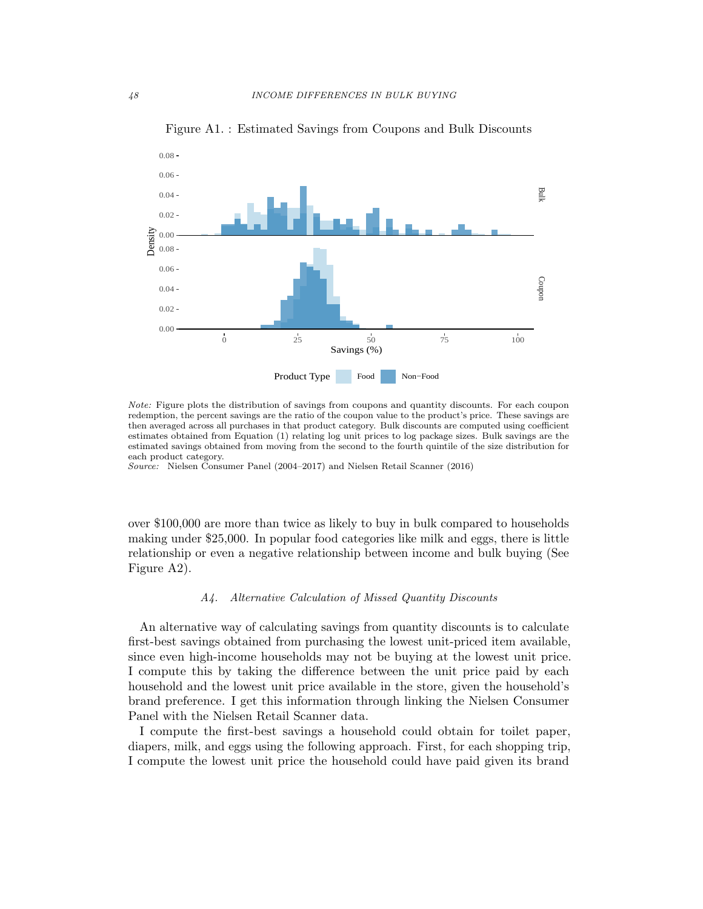

Figure A1. : Estimated Savings from Coupons and Bulk Discounts

Note: Figure plots the distribution of savings from coupons and quantity discounts. For each coupon redemption, the percent savings are the ratio of the coupon value to the product's price. These savings are then averaged across all purchases in that product category. Bulk discounts are computed using coefficient estimates obtained from Equation (1) relating log unit prices to log package sizes. Bulk savings are the estimated savings obtained from moving from the second to the fourth quintile of the size distribution for each product category.

Source: Nielsen Consumer Panel (2004–2017) and Nielsen Retail Scanner (2016)

over \$100,000 are more than twice as likely to buy in bulk compared to households making under \$25,000. In popular food categories like milk and eggs, there is little relationship or even a negative relationship between income and bulk buying (See Figure A2).

## A4. Alternative Calculation of Missed Quantity Discounts

An alternative way of calculating savings from quantity discounts is to calculate first-best savings obtained from purchasing the lowest unit-priced item available, since even high-income households may not be buying at the lowest unit price. I compute this by taking the difference between the unit price paid by each household and the lowest unit price available in the store, given the household's brand preference. I get this information through linking the Nielsen Consumer Panel with the Nielsen Retail Scanner data.

I compute the first-best savings a household could obtain for toilet paper, diapers, milk, and eggs using the following approach. First, for each shopping trip, I compute the lowest unit price the household could have paid given its brand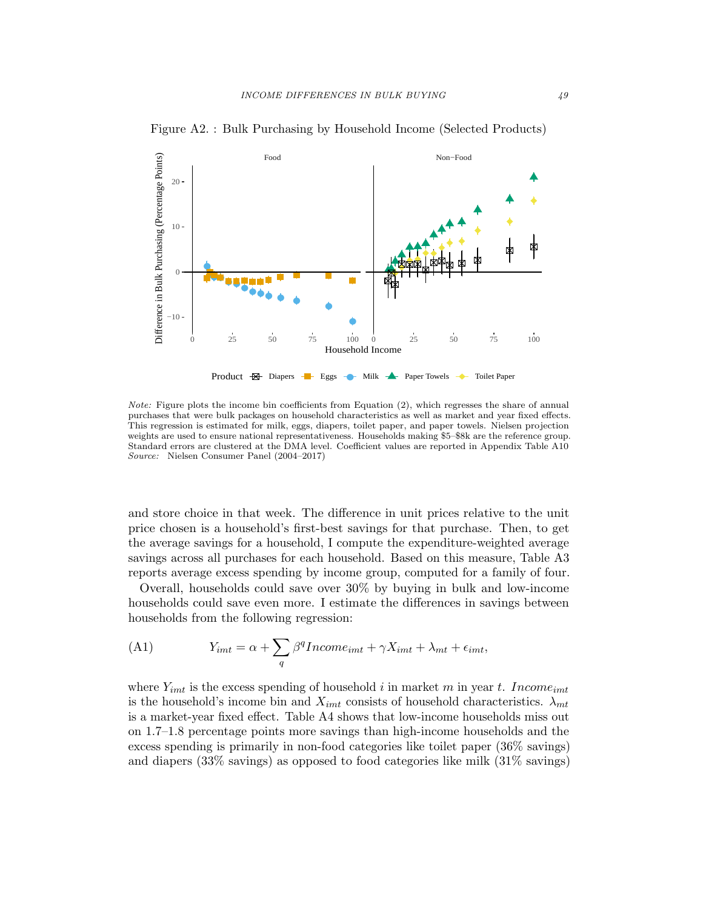

Figure A2. : Bulk Purchasing by Household Income (Selected Products)

Note: Figure plots the income bin coefficients from Equation (2), which regresses the share of annual purchases that were bulk packages on household characteristics as well as market and year fixed effects. This regression is estimated for milk, eggs, diapers, toilet paper, and paper towels. Nielsen projection weights are used to ensure national representativeness. Households making \$5–\$8k are the reference group. Standard errors are clustered at the DMA level. Coefficient values are reported in Appendix Table A10 Source: Nielsen Consumer Panel (2004–2017)

and store choice in that week. The difference in unit prices relative to the unit price chosen is a household's first-best savings for that purchase. Then, to get the average savings for a household, I compute the expenditure-weighted average savings across all purchases for each household. Based on this measure, Table A3 reports average excess spending by income group, computed for a family of four.

Overall, households could save over 30% by buying in bulk and low-income households could save even more. I estimate the differences in savings between households from the following regression:

(A1) 
$$
Y_{imt} = \alpha + \sum_{q} \beta^{q} Income_{imt} + \gamma X_{imt} + \lambda_{mt} + \epsilon_{imt},
$$

where  $Y_{imt}$  is the excess spending of household i in market m in year t. Income<sub>imt</sub> is the household's income bin and  $X_{imt}$  consists of household characteristics.  $\lambda_{mt}$ is a market-year fixed effect. Table A4 shows that low-income households miss out on 1.7–1.8 percentage points more savings than high-income households and the excess spending is primarily in non-food categories like toilet paper (36% savings) and diapers (33% savings) as opposed to food categories like milk (31% savings)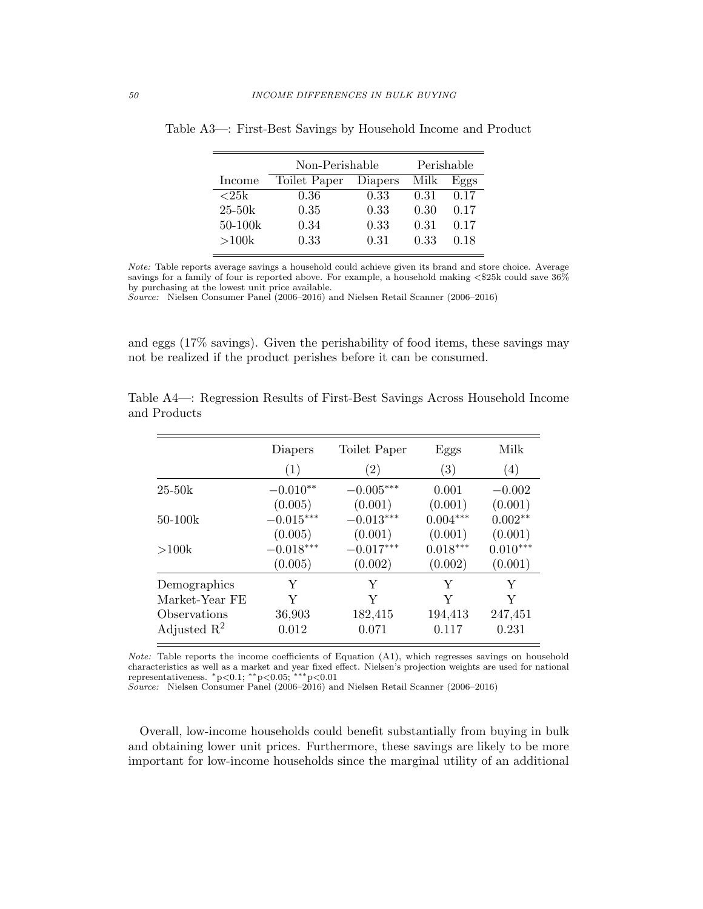|             | Non-Perishable | Perishable |      |      |
|-------------|----------------|------------|------|------|
| Income      | Toilet Paper   | Diapers    | Milk | Eggs |
| ${<}25k$    | 0.36           | 0.33       | 0.31 | 0.17 |
| $25 - 50k$  | 0.35           | 0.33       | 0.30 | 0.17 |
| $50 - 100k$ | 0.34           | 0.33       | 0.31 | 0.17 |
| >100k       | 0.33           | 0.31       | 0.33 | 0.18 |

Table A3—: First-Best Savings by Household Income and Product

Note: Table reports average savings a household could achieve given its brand and store choice. Average savings for a family of four is reported above. For example, a household making  $\langle $25 \text{k} \text{ could save } 36\%$ by purchasing at the lowest unit price available.

Source: Nielsen Consumer Panel (2006–2016) and Nielsen Retail Scanner (2006–2016)

and eggs (17% savings). Given the perishability of food items, these savings may not be realized if the product perishes before it can be consumed.

|                         | Diapers     | Toilet Paper | Eggs       | Milk       |
|-------------------------|-------------|--------------|------------|------------|
|                         | (1)         | (2)          | (3)        | (4)        |
| $25-50k$                | $-0.010**$  | $-0.005***$  | 0.001      | $-0.002$   |
|                         | (0.005)     | (0.001)      | (0.001)    | (0.001)    |
| 50-100k                 | $-0.015***$ | $-0.013***$  | $0.004***$ | $0.002**$  |
|                         | (0.005)     | (0.001)      | (0.001)    | (0.001)    |
| >100k                   | $-0.018***$ | $-0.017***$  | $0.018***$ | $0.010***$ |
|                         | (0.005)     | (0.002)      | (0.002)    | (0.001)    |
| Demographics            | Y           | Y            | Y          | Y          |
| Market-Year FE          | Y           | Y            | Y          | Y          |
| Observations            | 36,903      | 182,415      | 194,413    | 247,451    |
| Adjusted $\mathbb{R}^2$ | 0.012       | 0.071        | 0.117      | 0.231      |

Table A4—: Regression Results of First-Best Savings Across Household Income and Products

Note: Table reports the income coefficients of Equation (A1), which regresses savings on household characteristics as well as a market and year fixed effect. Nielsen's projection weights are used for national representativeness.  $*p<0.1$ ; \*\*p<0.05; \*\*\*p<0.01

Source: Nielsen Consumer Panel (2006–2016) and Nielsen Retail Scanner (2006–2016)

Overall, low-income households could benefit substantially from buying in bulk and obtaining lower unit prices. Furthermore, these savings are likely to be more important for low-income households since the marginal utility of an additional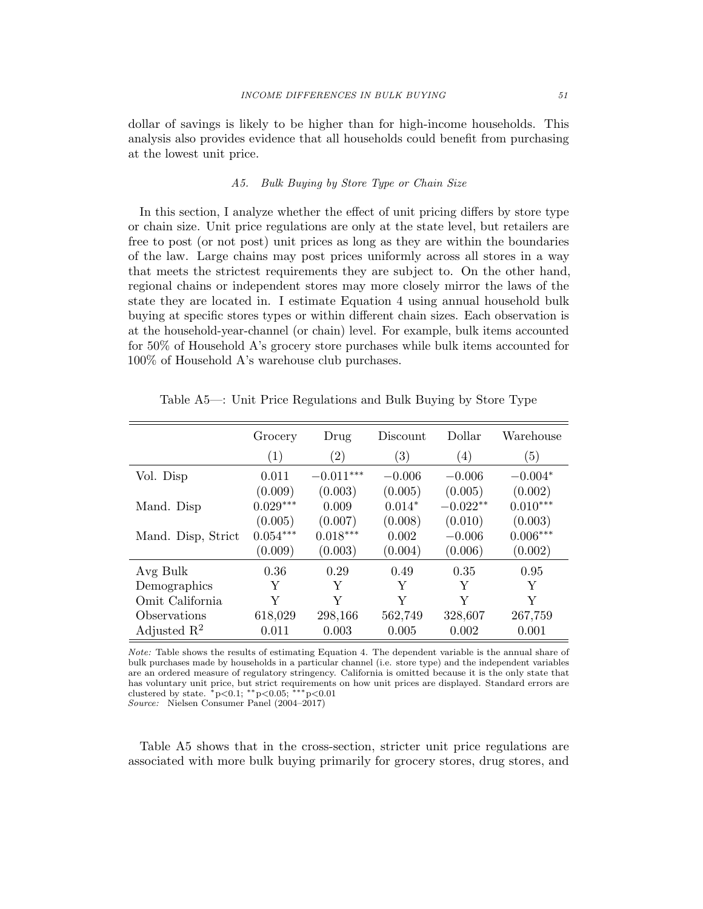dollar of savings is likely to be higher than for high-income households. This analysis also provides evidence that all households could benefit from purchasing at the lowest unit price.

## A5. Bulk Buying by Store Type or Chain Size

In this section, I analyze whether the effect of unit pricing differs by store type or chain size. Unit price regulations are only at the state level, but retailers are free to post (or not post) unit prices as long as they are within the boundaries of the law. Large chains may post prices uniformly across all stores in a way that meets the strictest requirements they are subject to. On the other hand, regional chains or independent stores may more closely mirror the laws of the state they are located in. I estimate Equation 4 using annual household bulk buying at specific stores types or within different chain sizes. Each observation is at the household-year-channel (or chain) level. For example, bulk items accounted for 50% of Household A's grocery store purchases while bulk items accounted for 100% of Household A's warehouse club purchases.

|                         | Grocery    | Drug              | Discount          | Dollar           | Warehouse  |
|-------------------------|------------|-------------------|-------------------|------------------|------------|
|                         | (1)        | $\left( 2\right)$ | $\left( 3\right)$ | $\left(4\right)$ | (5)        |
| Vol. Disp               | 0.011      | $-0.011***$       | $-0.006$          | $-0.006$         | $-0.004*$  |
|                         | (0.009)    | (0.003)           | (0.005)           | (0.005)          | (0.002)    |
| Mand. Disp              | $0.029***$ | 0.009             | $0.014*$          | $-0.022**$       | $0.010***$ |
|                         | (0.005)    | (0.007)           | (0.008)           | (0.010)          | (0.003)    |
| Mand. Disp, Strict      | $0.054***$ | $0.018***$        | 0.002             | $-0.006$         | $0.006***$ |
|                         | (0.009)    | (0.003)           | (0.004)           | (0.006)          | (0.002)    |
| Avg Bulk                | 0.36       | 0.29              | 0.49              | 0.35             | 0.95       |
| Demographics            | Y          | Y                 | Y                 | Y                | Y          |
| Omit California         | Y          | Y                 | Y                 | Y                | Y          |
| Observations            | 618,029    | 298,166           | 562,749           | 328,607          | 267,759    |
| Adjusted $\mathbb{R}^2$ | 0.011      | 0.003             | 0.005             | 0.002            | 0.001      |

Table A5—: Unit Price Regulations and Bulk Buying by Store Type

Note: Table shows the results of estimating Equation 4. The dependent variable is the annual share of bulk purchases made by households in a particular channel (i.e. store type) and the independent variables are an ordered measure of regulatory stringency. California is omitted because it is the only state that has voluntary unit price, but strict requirements on how unit prices are displayed. Standard errors are clustered by state.  $*p<0.1$ ; \*\*p<0.05; \*\*\*p<0.01

Source: Nielsen Consumer Panel (2004–2017)

Table A5 shows that in the cross-section, stricter unit price regulations are associated with more bulk buying primarily for grocery stores, drug stores, and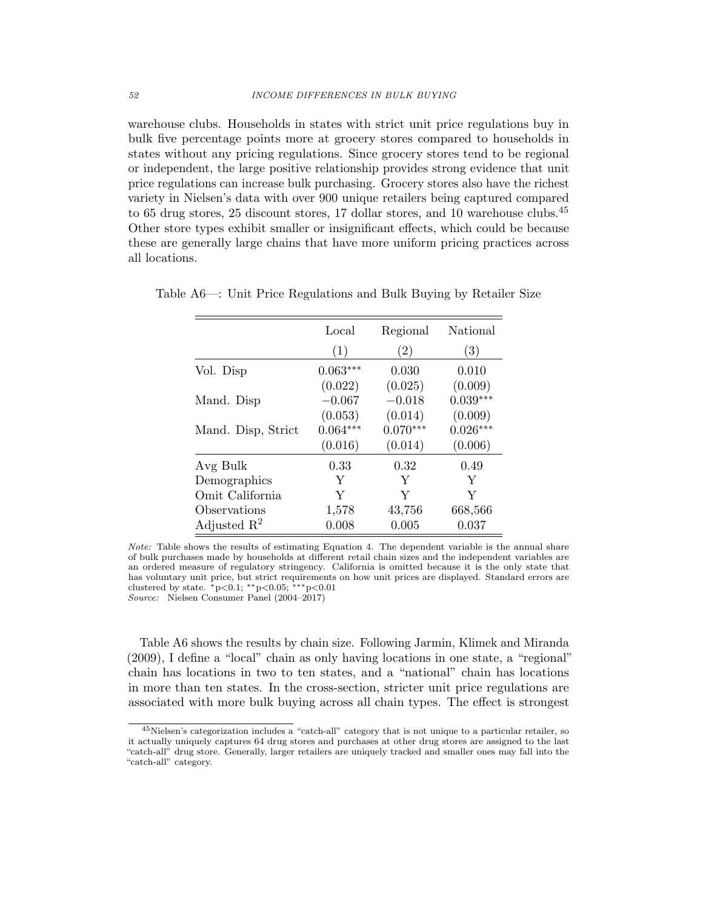warehouse clubs. Households in states with strict unit price regulations buy in bulk five percentage points more at grocery stores compared to households in states without any pricing regulations. Since grocery stores tend to be regional or independent, the large positive relationship provides strong evidence that unit price regulations can increase bulk purchasing. Grocery stores also have the richest variety in Nielsen's data with over 900 unique retailers being captured compared to 65 drug stores, 25 discount stores, 17 dollar stores, and 10 warehouse clubs.<sup>45</sup> Other store types exhibit smaller or insignificant effects, which could be because these are generally large chains that have more uniform pricing practices across all locations.

|                         | Local      | Regional          | National   |
|-------------------------|------------|-------------------|------------|
|                         | (1)        | $\left( 2\right)$ | (3)        |
| Vol. Disp               | $0.063***$ | 0.030             | 0.010      |
|                         | (0.022)    | (0.025)           | (0.009)    |
| Mand. Disp              | $-0.067$   | $-0.018$          | $0.039***$ |
|                         | (0.053)    | (0.014)           | (0.009)    |
| Mand. Disp, Strict      | $0.064***$ | $0.070***$        | $0.026***$ |
|                         | (0.016)    | (0.014)           | (0.006)    |
| Avg Bulk                | 0.33       | 0.32              | 0.49       |
| Demographics            | Y          | Y                 | Y          |
| Omit California         | Y          | Y                 | Y          |
| Observations            | 1,578      | 43,756            | 668,566    |
| Adjusted $\mathbb{R}^2$ | 0.008      | 0.005             | 0.037      |

Table A6—: Unit Price Regulations and Bulk Buying by Retailer Size

Note: Table shows the results of estimating Equation 4. The dependent variable is the annual share of bulk purchases made by households at different retail chain sizes and the independent variables are an ordered measure of regulatory stringency. California is omitted because it is the only state that has voluntary unit price, but strict requirements on how unit prices are displayed. Standard errors are clustered by state.  $*p<0.1$ ; \*\*p<0.05; \*\*\*p<0.01 Source: Nielsen Consumer Panel (2004–2017)

Table A6 shows the results by chain size. Following Jarmin, Klimek and Miranda (2009), I define a "local" chain as only having locations in one state, a "regional" chain has locations in two to ten states, and a "national" chain has locations in more than ten states. In the cross-section, stricter unit price regulations are associated with more bulk buying across all chain types. The effect is strongest

<sup>45</sup>Nielsen's categorization includes a "catch-all" category that is not unique to a particular retailer, so it actually uniquely captures 64 drug stores and purchases at other drug stores are assigned to the last "catch-all" drug store. Generally, larger retailers are uniquely tracked and smaller ones may fall into the "catch-all" category.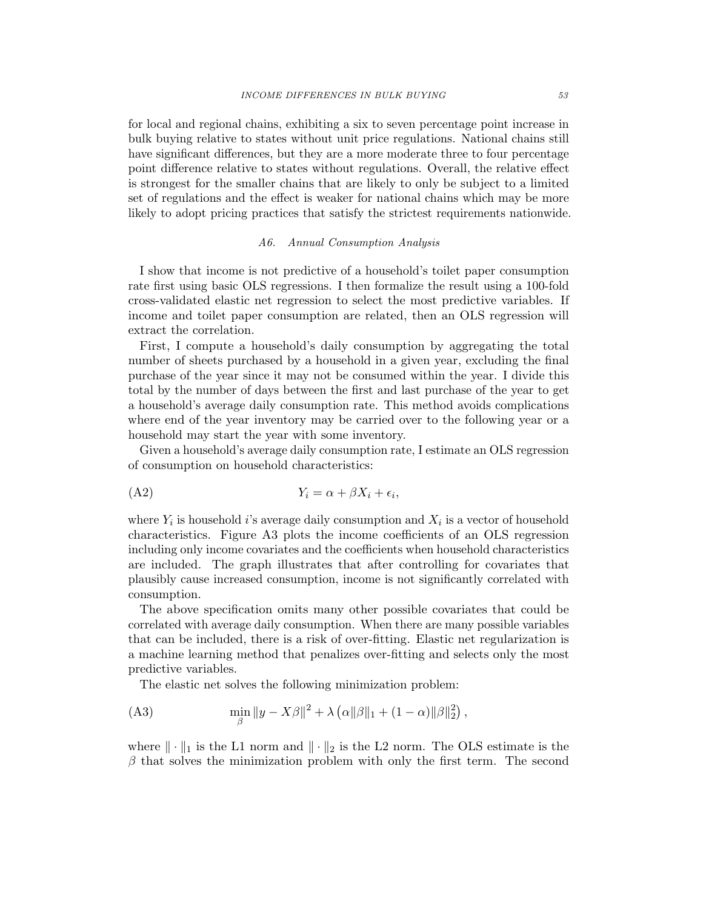for local and regional chains, exhibiting a six to seven percentage point increase in bulk buying relative to states without unit price regulations. National chains still have significant differences, but they are a more moderate three to four percentage point difference relative to states without regulations. Overall, the relative effect is strongest for the smaller chains that are likely to only be subject to a limited set of regulations and the effect is weaker for national chains which may be more likely to adopt pricing practices that satisfy the strictest requirements nationwide.

#### A6. Annual Consumption Analysis

I show that income is not predictive of a household's toilet paper consumption rate first using basic OLS regressions. I then formalize the result using a 100-fold cross-validated elastic net regression to select the most predictive variables. If income and toilet paper consumption are related, then an OLS regression will extract the correlation.

First, I compute a household's daily consumption by aggregating the total number of sheets purchased by a household in a given year, excluding the final purchase of the year since it may not be consumed within the year. I divide this total by the number of days between the first and last purchase of the year to get a household's average daily consumption rate. This method avoids complications where end of the year inventory may be carried over to the following year or a household may start the year with some inventory.

Given a household's average daily consumption rate, I estimate an OLS regression of consumption on household characteristics:

$$
(A2) \t Y_i = \alpha + \beta X_i + \epsilon_i,
$$

where  $Y_i$  is household i's average daily consumption and  $X_i$  is a vector of household characteristics. Figure A3 plots the income coefficients of an OLS regression including only income covariates and the coefficients when household characteristics are included. The graph illustrates that after controlling for covariates that plausibly cause increased consumption, income is not significantly correlated with consumption.

The above specification omits many other possible covariates that could be correlated with average daily consumption. When there are many possible variables that can be included, there is a risk of over-fitting. Elastic net regularization is a machine learning method that penalizes over-fitting and selects only the most predictive variables.

The elastic net solves the following minimization problem:

(A3) 
$$
\min_{\beta} \|y - X\beta\|^2 + \lambda \left(\alpha \|\beta\|_1 + (1 - \alpha)\|\beta\|_2^2\right),
$$

where  $\|\cdot\|_1$  is the L1 norm and  $\|\cdot\|_2$  is the L2 norm. The OLS estimate is the  $\beta$  that solves the minimization problem with only the first term. The second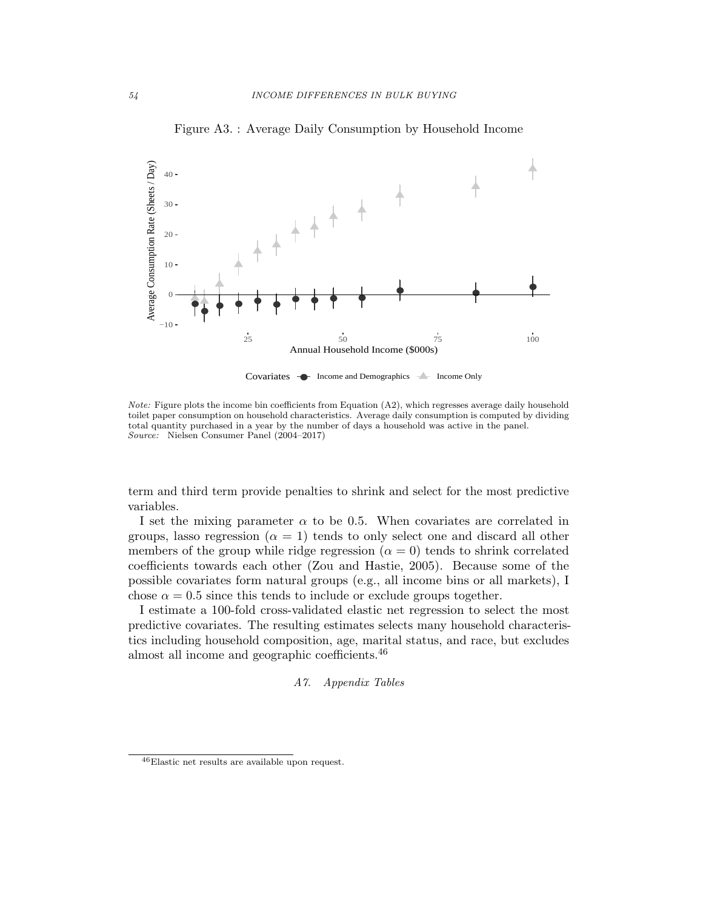

Figure A3. : Average Daily Consumption by Household Income

Covariates  $\rightarrow$  Income and Demographics  $\rightarrow$  Income Only

Note: Figure plots the income bin coefficients from Equation (A2), which regresses average daily household toilet paper consumption on household characteristics. Average daily consumption is computed by dividing total quantity purchased in a year by the number of days a household was active in the panel. Source: Nielsen Consumer Panel (2004–2017)

term and third term provide penalties to shrink and select for the most predictive variables.

I set the mixing parameter  $\alpha$  to be 0.5. When covariates are correlated in groups, lasso regression ( $\alpha = 1$ ) tends to only select one and discard all other members of the group while ridge regression  $(\alpha = 0)$  tends to shrink correlated coefficients towards each other (Zou and Hastie, 2005). Because some of the possible covariates form natural groups (e.g., all income bins or all markets), I chose  $\alpha = 0.5$  since this tends to include or exclude groups together.

I estimate a 100-fold cross-validated elastic net regression to select the most predictive covariates. The resulting estimates selects many household characteristics including household composition, age, marital status, and race, but excludes almost all income and geographic coefficients.<sup>46</sup>

A7. Appendix Tables

 $^{46}\rm{E}$ results are available upon request.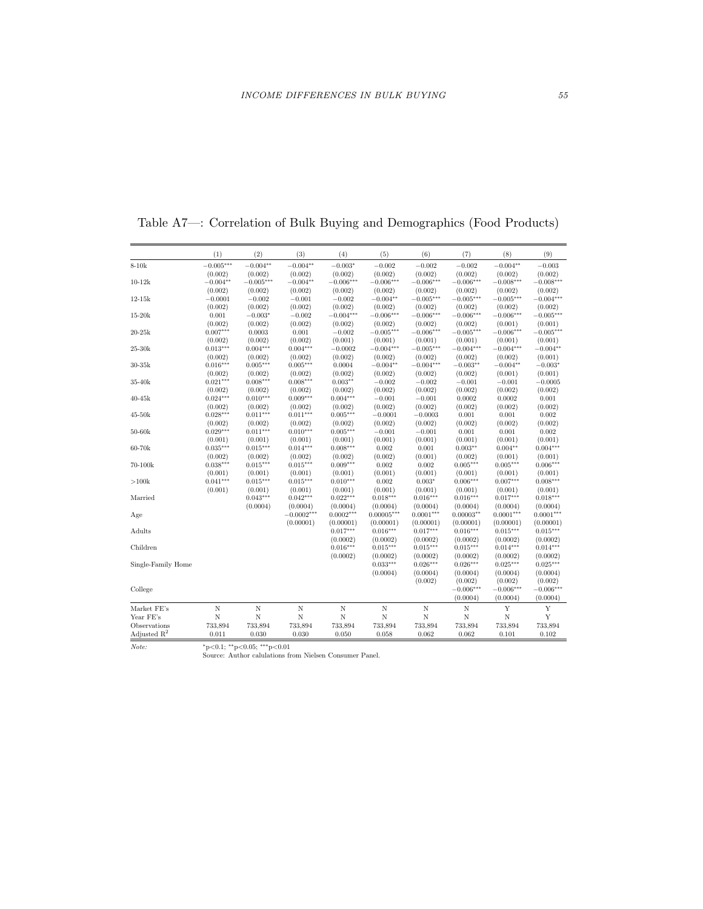|                         | (1)         | (2)         | (3)          | (4)         | (5)            | (6)         | (7)         | (8)         | (9)         |
|-------------------------|-------------|-------------|--------------|-------------|----------------|-------------|-------------|-------------|-------------|
| $8-10k$                 | $-0.005***$ | $-0.004**$  | $-0.004**$   | $-0.003*$   | $-0.002$       | $-0.002$    | $-0.002$    | $-0.004**$  | $-0.003$    |
|                         | (0.002)     | (0.002)     | (0.002)      | (0.002)     | (0.002)        | (0.002)     | (0.002)     | (0.002)     | (0.002)     |
| $10 - 12k$              | $-0.004**$  | $-0.005***$ | $-0.004**$   | $-0.006***$ | $-0.006***$    | $-0.006***$ | $-0.006***$ | $-0.008***$ | $-0.008***$ |
|                         | (0.002)     | (0.002)     | (0.002)      | (0.002)     | (0.002)        | (0.002)     | (0.002)     | (0.002)     | (0.002)     |
| $12-15k$                | $-0.0001$   | $-0.002$    | $-0.001$     | $-0.002$    | $-0.004**$     | $-0.005***$ | $-0.005***$ | $-0.005***$ | $-0.004***$ |
|                         | (0.002)     | (0.002)     | (0.002)      | (0.002)     | (0.002)        | (0.002)     | (0.002)     | (0.002)     | (0.002)     |
| $15 - 20k$              | 0.001       | $-0.003*$   | $-0.002$     | $-0.004***$ | $-0.006***$    | $-0.006***$ | $-0.006***$ | $-0.006***$ | $-0.005***$ |
|                         | (0.002)     | (0.002)     | (0.002)      | (0.002)     | (0.002)        | (0.002)     | (0.002)     | (0.001)     | (0.001)     |
| $20-25k$                | $0.007***$  | 0.0003      | 0.001        | $-0.002$    | $-0.005***$    | $-0.006***$ | $-0.005***$ | $-0.006***$ | $-0.005***$ |
|                         | (0.002)     | (0.002)     | (0.002)      | (0.001)     | (0.001)        | (0.001)     | (0.001)     | (0.001)     | (0.001)     |
| 25-30k                  | $0.013***$  | $0.004***$  | $0.004***$   | $-0.0002$   | $-0.004***$    | $-0.005***$ | $-0.004***$ | $-0.004***$ | $-0.004**$  |
|                         | (0.002)     | (0.002)     | (0.002)      | (0.002)     | (0.002)        | (0.002)     | (0.002)     | (0.002)     | (0.001)     |
| $30-35k$                | $0.016***$  | $0.005***$  | $0.005***$   | 0.0004      | $-0.004**$     | $-0.004***$ | $-0.003**$  | $-0.004**$  | $-0.003*$   |
|                         | (0.002)     | (0.002)     | (0.002)      | (0.002)     | (0.002)        | (0.002)     | (0.002)     | (0.001)     | (0.001)     |
| 35-40k                  | $0.021***$  | $0.008***$  | $0.008***$   | $0.003**$   | $-0.002$       | $-0.002$    | $-0.001$    | $-0.001$    | $-0.0005$   |
|                         | (0.002)     | (0.002)     | (0.002)      | (0.002)     | (0.002)        | (0.002)     | (0.002)     | (0.002)     | (0.002)     |
| $40 - 45k$              | $0.024***$  | $0.010***$  | $0.009***$   | $0.004***$  | $-0.001$       | $-0.001$    | 0.0002      | 0.0002      | 0.001       |
|                         | (0.002)     | (0.002)     | (0.002)      | (0.002)     | (0.002)        | (0.002)     | (0.002)     | (0.002)     | (0.002)     |
| $45 - 50k$              | $0.028***$  | $0.011***$  | $0.011***$   | $0.005***$  | $-0.0001$      | $-0.0003$   | 0.001       | 0.001       | 0.002       |
|                         | (0.002)     | (0.002)     | (0.002)      | (0.002)     | (0.002)        | (0.002)     | (0.002)     | (0.002)     | (0.002)     |
| $50-60k$                | $0.029***$  | $0.011***$  | $0.010***$   | $0.005***$  | $-0.001$       | $-0.001$    | 0.001       | 0.001       | 0.002       |
|                         | (0.001)     | (0.001)     | (0.001)      | (0.001)     | (0.001)        | (0.001)     | (0.001)     | (0.001)     | (0.001)     |
| 60-70k                  | $0.035***$  | $0.015***$  | $0.014***$   | $0.008***$  | 0.002          | 0.001       | $0.003**$   | $0.004**$   | $0.004***$  |
|                         | (0.002)     | (0.002)     | (0.002)      | (0.002)     | (0.002)        | (0.001)     | (0.002)     | (0.001)     | (0.001)     |
| 70-100k                 | $0.038***$  | $0.015***$  | $0.015***$   | $0.009***$  | 0.002          | 0.002       | $0.005***$  | $0.005***$  | $0.006***$  |
|                         | (0.001)     | (0.001)     | (0.001)      | (0.001)     | (0.001)        | (0.001)     | (0.001)     | (0.001)     | (0.001)     |
| >100k                   | $0.041***$  | $0.015***$  | $0.015***$   | $0.010***$  | 0.002          | $0.003*$    | $0.006***$  | $0.007***$  | $0.008***$  |
|                         | (0.001)     | (0.001)     | (0.001)      | (0.001)     | (0.001)        | (0.001)     | (0.001)     | (0.001)     | (0.001)     |
| Married                 |             | $0.043***$  | $0.042***$   | $0.022***$  | $0.018***$     | $0.016***$  | $0.016***$  | $0.017***$  | $0.018***$  |
|                         |             | (0.0004)    | (0.0004)     | (0.0004)    | (0.0004)       | (0.0004)    | (0.0004)    | (0.0004)    | (0.0004)    |
| Age                     |             |             | $-0.0002***$ | $0.0002***$ | $0.00005***$   | $0.0001***$ | $0.00003**$ | $0.0001***$ | $0.0001***$ |
|                         |             |             | (0.00001)    | (0.00001)   | (0.00001)      | (0.00001)   | (0.00001)   | (0.00001)   | (0.00001)   |
| Adults                  |             |             |              | $0.017***$  | $0.016***$     | $0.017***$  | $0.016***$  | $0.015***$  | $0.015***$  |
|                         |             |             |              | (0.0002)    | (0.0002)       | (0.0002)    | (0.0002)    | (0.0002)    | (0.0002)    |
| Children                |             |             |              | $0.016***$  | $0.015***$     | $0.015***$  | $0.015***$  | $0.014***$  | $0.014***$  |
|                         |             |             |              | (0.0002)    | (0.0002)       | (0.0002)    | (0.0002)    | (0.0002)    | (0.0002)    |
| Single-Family Home      |             |             |              |             | $0.033***$     | $0.026***$  | $0.026***$  | $0.025***$  | $0.025***$  |
|                         |             |             |              |             | (0.0004)       | (0.0004)    | (0.0004)    | (0.0004)    | (0.0004)    |
|                         |             |             |              |             |                | (0.002)     | (0.002)     | (0.002)     | (0.002)     |
| College                 |             |             |              |             |                |             | $-0.006***$ | $-0.006***$ | $-0.006***$ |
|                         |             |             |              |             |                |             | (0.0004)    | (0.0004)    | (0.0004)    |
| Market FE's             | Ν           | Ν           | N            | N           | N              | N           | N           | Y           | Y           |
| Year FE's               | N           | N           | N            | N           | $\overline{N}$ | N           | N           | $\mathbf N$ | Y           |
| Observations            | 733,894     | 733,894     | 733,894      | 733,894     | 733,894        | 733,894     | 733,894     | 733,894     | 733,894     |
| Adjusted $\mathbb{R}^2$ | 0.011       | 0.030       | 0.030        | 0.050       | 0.058          | 0.062       | 0.062       | 0.101       | 0.102       |
|                         |             |             |              |             |                |             |             |             |             |

Table A7—: Correlation of Bulk Buying and Demographics (Food Products)

Note: <sup>∗</sup>p<0.1; ∗∗p<0.05; ∗∗∗p<0.01 Source: Author calulations from Nielsen Consumer Panel.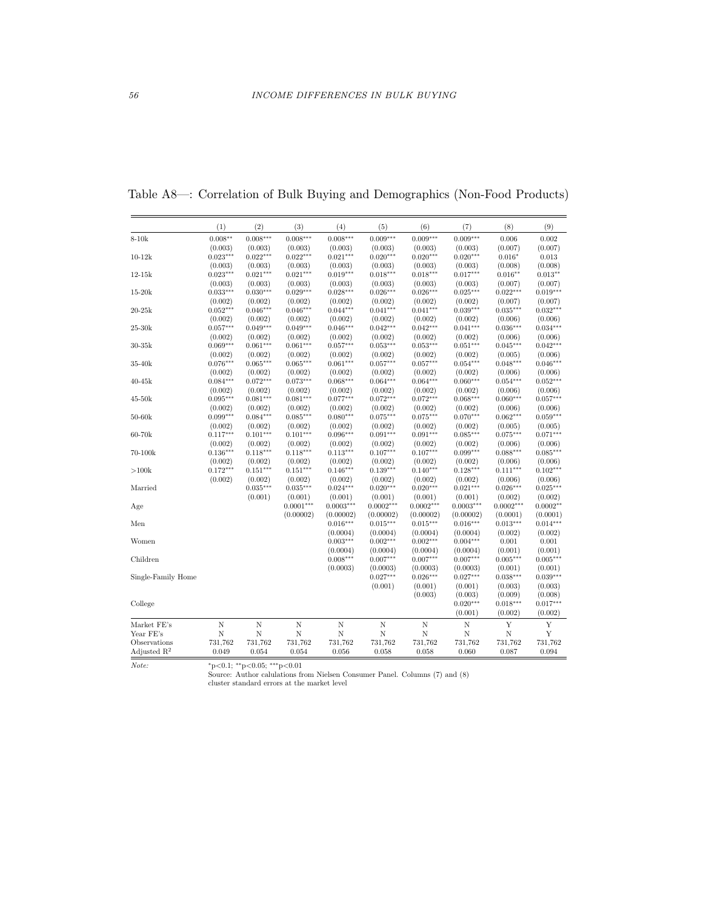|                         | (1)        | (2)        | (3)            | (4)             | (5)            | (6)            | (7)                | (8)            | (9)        |
|-------------------------|------------|------------|----------------|-----------------|----------------|----------------|--------------------|----------------|------------|
| $8-10k$                 | $0.008**$  | $0.008***$ | $0.008***$     | $0.008***$      | $0.009***$     | $0.009***$     | $0.009***$         | 0.006          | 0.002      |
|                         | (0.003)    | (0.003)    | (0.003)        | (0.003)         | (0.003)        | (0.003)        | (0.003)            | (0.007)        | (0.007)    |
| $10-12k$                | $0.023***$ | $0.022***$ | $0.022***$     | $0.021***$      | $0.020***$     | $0.020***$     | $0.020***$         | $0.016*$       | 0.013      |
|                         | (0.003)    | (0.003)    | (0.003)        | (0.003)         | (0.003)        | (0.003)        | (0.003)            | (0.008)        | (0.008)    |
| $12-15k$                | $0.023***$ | $0.021***$ | $0.021***$     | $0.019***$      | $0.018***$     | $0.018***$     | $0.017***$         | $0.016**$      | $0.013**$  |
|                         | (0.003)    | (0.003)    | (0.003)        | (0.003)         | (0.003)        | (0.003)        | (0.003)            | (0.007)        | (0.007)    |
| $15 - 20k$              | $0.033***$ | $0.030***$ | $0.029***$     | $0.028***$      | $0.026***$     | $0.026***$     | $0.025***$         | $0.022***$     | $0.019***$ |
|                         | (0.002)    | (0.002)    | (0.002)        | (0.002)         | (0.002)        | (0.002)        | (0.002)            | (0.007)        | (0.007)    |
| $20-25k$                | $0.052***$ | $0.046***$ | $0.046***$     | $0.044***$      | $0.041***$     | $0.041***$     | $0.039***$         | $0.035***$     | $0.032***$ |
|                         | (0.002)    | (0.002)    | (0.002)        | (0.002)         | (0.002)        | (0.002)        | (0.002)            | (0.006)        | (0.006)    |
| $25-30k$                | $0.057***$ | $0.049***$ | $0.049***$     | $0.046***$      | $0.042***$     | $0.042***$     | $0.041***$         | $0.036***$     | $0.034***$ |
|                         | (0.002)    | (0.002)    | (0.002)        | (0.002)         | (0.002)        | (0.002)        | (0.002)            | (0.006)        | (0.006)    |
| $30-35k$                | $0.069***$ | $0.061***$ | $0.061***$     | $0.057***$      | $0.053***$     | $0.053***$     | $0.051***$         | $0.045***$     | $0.042***$ |
|                         | (0.002)    | (0.002)    | (0.002)        | (0.002)         | (0.002)        | (0.002)        | (0.002)            | (0.005)        | (0.006)    |
| 35-40k                  | $0.076***$ | $0.065***$ | $0.065***$     | $0.061***$      | $0.057***$     | $0.057***$     | $0.054***$         | $0.048***$     | $0.046***$ |
|                         | (0.002)    | (0.002)    | (0.002)        | (0.002)         | (0.002)        | (0.002)        | (0.002)            | (0.006)        | (0.006)    |
| $40 - 45k$              | $0.084***$ | $0.072***$ | $0.073***$     | $0.068***$      | $0.064***$     | $0.064***$     | $0.060***$         | $0.054***$     | $0.052***$ |
|                         | (0.002)    | (0.002)    | (0.002)        | (0.002)         | (0.002)        | (0.002)        | (0.002)            | (0.006)        | (0.006)    |
| $45-50k$                | $0.095***$ | $0.081***$ | $0.081***$     | $0.077***$      | $0.072***$     | $0.072***$     | $0.068***$         | $0.060***$     | $0.057***$ |
|                         | (0.002)    | (0.002)    | (0.002)        | (0.002)         | (0.002)        | (0.002)        | (0.002)            | (0.006)        | (0.006)    |
| $50-60k$                | $0.099***$ | $0.084***$ | $0.085***$     | $0.080***$      | $0.075***$     | $0.075***$     | $0.070***$         | $0.062***$     | $0.059***$ |
|                         | (0.002)    | (0.002)    | (0.002)        | (0.002)         | (0.002)        | (0.002)        | (0.002)            | (0.005)        | (0.005)    |
| 60-70k                  | $0.117***$ | $0.101***$ | $0.101***$     | $0.096***$      | $0.091***$     | $0.091***$     | $0.085***$         | $0.075***$     | $0.071***$ |
|                         | (0.002)    | (0.002)    | (0.002)        | (0.002)         | (0.002)        | (0.002)        | (0.002)            | (0.006)        | (0.006)    |
| 70-100k                 | $0.136***$ | $0.118***$ | $0.118***$     | $0.113***$      | $0.107***$     | $0.107***$     | $0.099***$         | $0.088***$     | $0.085***$ |
|                         | (0.002)    | (0.002)    | (0.002)        | (0.002)         | (0.002)        | (0.002)        | (0.002)            | (0.006)        | (0.006)    |
| >100k                   | $0.172***$ | $0.151***$ | $0.151***$     | $0.146^{***}\,$ | $0.139***$     | $0.140***$     | $0.128***$         | $0.111***$     | $0.102***$ |
|                         | (0.002)    | (0.002)    | (0.002)        | (0.002)         | (0.002)        | (0.002)        | (0.002)            | (0.006)        | (0.006)    |
| Married                 |            | $0.035***$ | $0.035***$     | $0.024***$      | $0.020***$     | $0.020***$     | $0.021***$         | $0.026***$     | $0.025***$ |
|                         |            | (0.001)    | (0.001)        | (0.001)         | (0.001)        | (0.001)        | (0.001)            | (0.002)        | (0.002)    |
| Age                     |            |            | $0.0001***$    | $0.0003***$     | $0.0002***$    | $0.0002***$    | $0.0003***$        | $0.0002***$    | $0.0002**$ |
|                         |            |            | (0.00002)      | (0.00002)       | (0.00002)      | (0.00002)      | (0.00002)          | (0.0001)       | (0.0001)   |
| Men                     |            |            |                | $0.016***$      | $0.015***$     | $0.015***$     | $0.016***$         | $0.013***$     | $0.014***$ |
|                         |            |            |                | (0.0004)        | (0.0004)       | (0.0004)       | (0.0004)           | (0.002)        | (0.002)    |
| Women                   |            |            |                | $0.003***$      | $0.002***$     | $0.002***$     | $0.004***$         | 0.001          | 0.001      |
|                         |            |            |                | (0.0004)        | (0.0004)       | (0.0004)       | (0.0004)           | (0.001)        | (0.001)    |
| Children                |            |            |                | $0.008***$      | $0.007***$     | $0.007***$     | $0.007***$         | $0.005***$     | $0.005***$ |
|                         |            |            |                | (0.0003)        | (0.0003)       | (0.0003)       | (0.0003)           | (0.001)        | (0.001)    |
| Single-Family Home      |            |            |                |                 | $0.027***$     | $0.026***$     | $0.027***$         | $0.038***$     | $0.039***$ |
|                         |            |            |                |                 | (0.001)        | (0.001)        | (0.001)            | (0.003)        | (0.003)    |
|                         |            |            |                |                 |                | (0.003)        | (0.003)            | (0.009)        | (0.008)    |
| College                 |            |            |                |                 |                |                | $0.020***$         | $0.018***$     | $0.017***$ |
|                         |            |            |                |                 |                |                | (0.001)            | (0.002)        | (0.002)    |
| Market FE's             | Ν          | Ν          | Ν              | Ν               | Ν              | N              | N                  | Y              | Y          |
| Year FE's               | N          | N          | $\overline{N}$ | N               | $\overline{N}$ | $\overline{N}$ | $\overline{\rm N}$ | $\overline{N}$ | Y          |
| Observations            | 731,762    | 731,762    | 731,762        | 731,762         | 731,762        | 731,762        | 731,762            | 731,762        | 731,762    |
| Adjusted $\mathbb{R}^2$ | 0.049      | 0.054      | 0.054          | 0.056           | 0.058          | 0.058          | 0.060              | 0.087          | 0.094      |

Table A8—: Correlation of Bulk Buying and Demographics (Non-Food Products)

 $*_p<0.1;$   $*_p<0.05;$   $^{***}_p<0.01$  for Nielsen Consumer Panel. Columns (7) and (8) cluster standard errors at the market level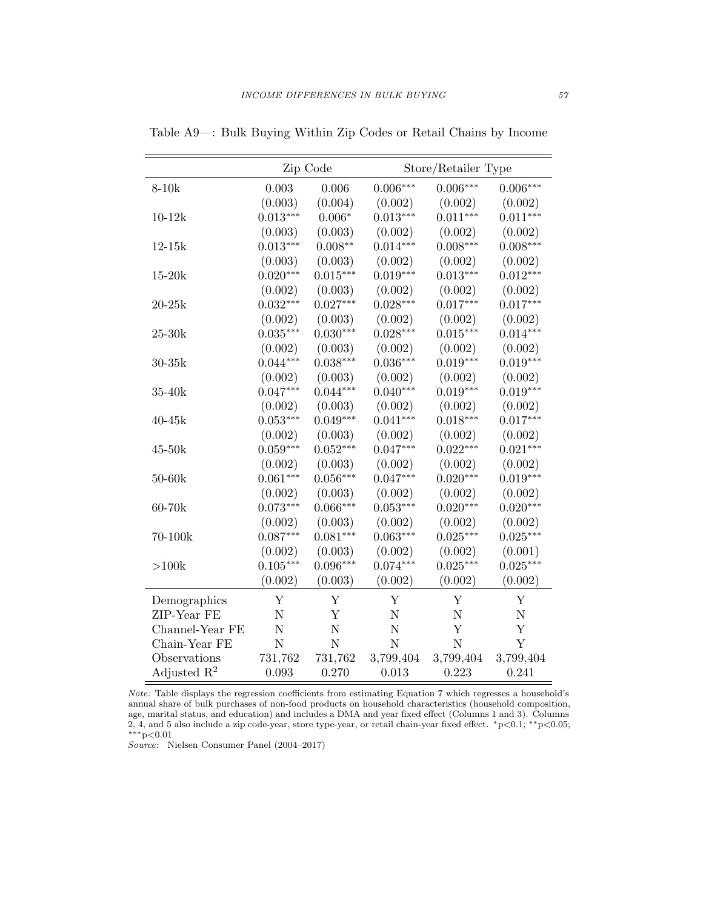|                         |                | Zip Code    | Store/Retailer Type |                |            |  |
|-------------------------|----------------|-------------|---------------------|----------------|------------|--|
| $8-10k$                 | 0.003          | 0.006       | $0.006***$          | $0.006***$     | $0.006***$ |  |
|                         | (0.003)        | (0.004)     | (0.002)             | (0.002)        | (0.002)    |  |
| $10 - 12k$              | $0.013***$     | $0.006*$    | $0.013***$          | $0.011***$     | $0.011***$ |  |
|                         | (0.003)        | (0.003)     | (0.002)             | (0.002)        | (0.002)    |  |
| $12 - 15k$              | $0.013***$     | $0.008**$   | $0.014***$          | $0.008***$     | $0.008***$ |  |
|                         | (0.003)        | (0.003)     | (0.002)             | (0.002)        | (0.002)    |  |
| $15-20k$                | $0.020***$     | $0.015***$  | $0.019***$          | $0.013***$     | $0.012***$ |  |
|                         | (0.002)        | (0.003)     | (0.002)             | (0.002)        | (0.002)    |  |
| $20 - 25k$              | $0.032***$     | $0.027***$  | $0.028***$          | $0.017***$     | $0.017***$ |  |
|                         | (0.002)        | (0.003)     | (0.002)             | (0.002)        | (0.002)    |  |
| $25-30k$                | $0.035***$     | $0.030***$  | $0.028***$          | $0.015***$     | $0.014***$ |  |
|                         | (0.002)        | (0.003)     | (0.002)             | (0.002)        | (0.002)    |  |
| $30-35k$                | $0.044***$     | $0.038***$  | $0.036***$          | $0.019***$     | $0.019***$ |  |
|                         | (0.002)        | (0.003)     | (0.002)             | (0.002)        | (0.002)    |  |
| $35-40k$                | $0.047***$     | $0.044***$  | $0.040***$          | $0.019***$     | $0.019***$ |  |
|                         | (0.002)        | (0.003)     | (0.002)             | (0.002)        | (0.002)    |  |
| $40 - 45k$              | $0.053***$     | $0.049***$  | $0.041***$          | $0.018***$     | $0.017***$ |  |
|                         | (0.002)        | (0.003)     | (0.002)             | (0.002)        | (0.002)    |  |
| $45-50k$                | $0.059***$     | $0.052***$  | $0.047***$          | $0.022***$     | $0.021***$ |  |
|                         | (0.002)        | (0.003)     | (0.002)             | (0.002)        | (0.002)    |  |
| $50-60k$                | $0.061***$     | $0.056***$  | $0.047***$          | $0.020***$     | $0.019***$ |  |
|                         | (0.002)        | (0.003)     | (0.002)             | (0.002)        | (0.002)    |  |
| 60-70k                  | $0.073***$     | $0.066***$  | $0.053***$          | $0.020***$     | $0.020***$ |  |
|                         | (0.002)        | (0.003)     | (0.002)             | (0.002)        | (0.002)    |  |
| 70-100k                 | $0.087***$     | $0.081***$  | $0.063***$          | $0.025***$     | $0.025***$ |  |
|                         | (0.002)        | (0.003)     | (0.002)             | (0.002)        | (0.001)    |  |
| >100k                   | $0.105***$     | $0.096***$  | $0.074***$          | $0.025***$     | $0.025***$ |  |
|                         | (0.002)        | (0.003)     | (0.002)             | (0.002)        | (0.002)    |  |
| Demographics            | Υ              | Υ           | Y                   | Υ              | Υ          |  |
| ZIP-Year FE             | $\overline{N}$ | Y           | $\overline{N}$      | $\mathbf N$    | N          |  |
| Channel-Year FE         | N              | $\mathbf N$ | N                   | Y              | Y          |  |
| Chain-Year FE           | $\mathbf N$    | $\mathbf N$ | $\overline{N}$      | $\overline{N}$ | Y          |  |
| Observations            | 731,762        | 731,762     | 3,799,404           | 3,799,404      | 3,799,404  |  |
| Adjusted $\mathbb{R}^2$ | 0.093          | 0.270       | 0.013               | 0.223          | 0.241      |  |

Table A9—: Bulk Buying Within Zip Codes or Retail Chains by Income

 $\emph{Note:}$  Table displays the regression coefficients from estimating Equation 7 which regresses a household's annual share of bulk purchases of non-food products on household characteristics (household composition, age, marital status, and education) and includes a DMA and year fixed effect (Columns 1 and 3). Columns 2, 4, and 5 also include a zip code-year, store type-year, or retail chain-year fixed effect. <sup>∗</sup>p<0.1; ∗∗p<0.05; ∗∗∗p<0.01

Source: Nielsen Consumer Panel (2004–2017)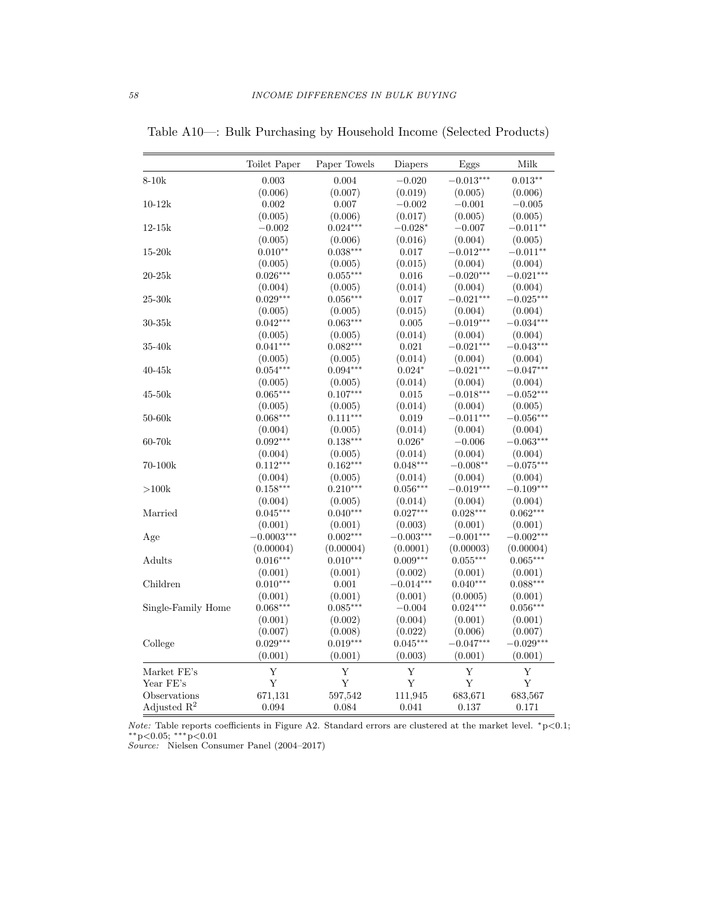|                    | Toilet Paper | Paper Towels | Diapers     | Eggs        | Milk        |
|--------------------|--------------|--------------|-------------|-------------|-------------|
| $8-10k$            | $\,0.003\,$  | 0.004        | $-0.020$    | $-0.013***$ | $0.013**$   |
|                    | (0.006)      | (0.007)      | (0.019)     | (0.005)     | (0.006)     |
| $10-12\mathrm{k}$  | 0.002        | 0.007        | $-0.002$    | $-0.001$    | $-0.005$    |
|                    | (0.005)      | (0.006)      | (0.017)     | (0.005)     | (0.005)     |
| $12-15k$           | $-0.002$     | $0.024***$   | $-0.028*$   | $-0.007$    | $-0.011**$  |
|                    | (0.005)      | (0.006)      | (0.016)     | (0.004)     | (0.005)     |
| $15-20k$           | $0.010**$    | $0.038***$   | 0.017       | $-0.012***$ | $-0.011**$  |
|                    | (0.005)      | (0.005)      | (0.015)     | (0.004)     | (0.004)     |
| $20 - 25k$         | $0.026***$   | $0.055***$   | 0.016       | $-0.020***$ | $-0.021***$ |
|                    | (0.004)      | (0.005)      | (0.014)     | (0.004)     | (0.004)     |
| $25 - 30k$         | $0.029***$   | $0.056***$   | 0.017       | $-0.021***$ | $-0.025***$ |
|                    | (0.005)      | (0.005)      | (0.015)     | (0.004)     | (0.004)     |
| $30-35k$           | $0.042***$   | $0.063***$   | $0.005\,$   | $-0.019***$ | $-0.034***$ |
|                    | (0.005)      | (0.005)      | (0.014)     | (0.004)     | (0.004)     |
| $35-40k$           | $0.041***$   | $0.082***$   | 0.021       | $-0.021***$ | $-0.043***$ |
|                    | (0.005)      | (0.005)      | (0.014)     | (0.004)     | (0.004)     |
| $40 - 45k$         | $0.054***$   | $0.094***$   | $0.024*$    | $-0.021***$ | $-0.047***$ |
|                    | (0.005)      | (0.005)      | (0.014)     | (0.004)     | (0.004)     |
| $45-50k$           | $0.065***$   | $0.107***$   | 0.015       | $-0.018***$ | $-0.052***$ |
|                    | (0.005)      | (0.005)      | (0.014)     | (0.004)     | (0.005)     |
| $50-60k$           | $0.068***$   | $0.111***$   | 0.019       | $-0.011***$ | $-0.056***$ |
|                    | (0.004)      | (0.005)      | (0.014)     | (0.004)     | (0.004)     |
| $60-70k$           | $0.092***$   | $0.138***$   | $0.026*$    | $-0.006$    | $-0.063***$ |
|                    | (0.004)      | (0.005)      | (0.014)     | (0.004)     | (0.004)     |
| 70-100k            | $0.112***$   | $0.162***$   | $0.048***$  | $-0.008**$  | $-0.075***$ |
|                    | (0.004)      | (0.005)      | (0.014)     | (0.004)     | (0.004)     |
| >100k              | $0.158***$   | $0.210***$   | $0.056***$  | $-0.019***$ | $-0.109***$ |
|                    | (0.004)      | (0.005)      | (0.014)     | (0.004)     | (0.004)     |
| Married            | $0.045***$   | $0.040***$   | $0.027***$  | $0.028***$  | $0.062***$  |
|                    | (0.001)      | (0.001)      | (0.003)     | (0.001)     | (0.001)     |
| Age                | $-0.0003***$ | $0.002***$   | $-0.003***$ | $-0.001***$ | $-0.002***$ |
|                    | (0.00004)    | (0.00004)    | (0.0001)    | (0.00003)   | (0.00004)   |
| Adults             | $0.016***$   | $0.010***$   | $0.009***$  | $0.055***$  | $0.065***$  |
|                    | (0.001)      | (0.001)      | (0.002)     | (0.001)     | (0.001)     |
| Children           | $0.010***$   | $0.001\,$    | $-0.014***$ | $0.040***$  | $0.088***$  |
|                    | (0.001)      | (0.001)      | (0.001)     | (0.0005)    | (0.001)     |
| Single-Family Home | $0.068***$   | $0.085***$   | $-0.004$    | $0.024***$  | $0.056***$  |
|                    | (0.001)      | (0.002)      | (0.004)     | (0.001)     | (0.001)     |
|                    | (0.007)      | (0.008)      | (0.022)     | (0.006)     | (0.007)     |
| College            | $0.029***$   | $0.019***$   | $0.045***$  | $-0.047***$ | $-0.029***$ |
|                    | (0.001)      | (0.001)      | (0.003)     | (0.001)     | (0.001)     |
| Market FE's        | Y            | Y            | $\mathbf Y$ | Y           | $\mathbf Y$ |
| Year FE's          | Y            | Y            | Y           | Y           | Y           |
| Observations       | 671,131      | 597,542      | 111,945     | 683,671     | 683,567     |
| Adjusted $R^2$     | 0.094        | 0.084        | 0.041       | 0.137       | 0.171       |

Table A10—: Bulk Purchasing by Household Income (Selected Products)

Note: Table reports coefficients in Figure A2. Standard errors are clustered at the market level. \*p<0.1;  $*$ \* $p$ <0.05; \*\*\* $p$ <0.01

Source: Nielsen Consumer Panel (2004–2017)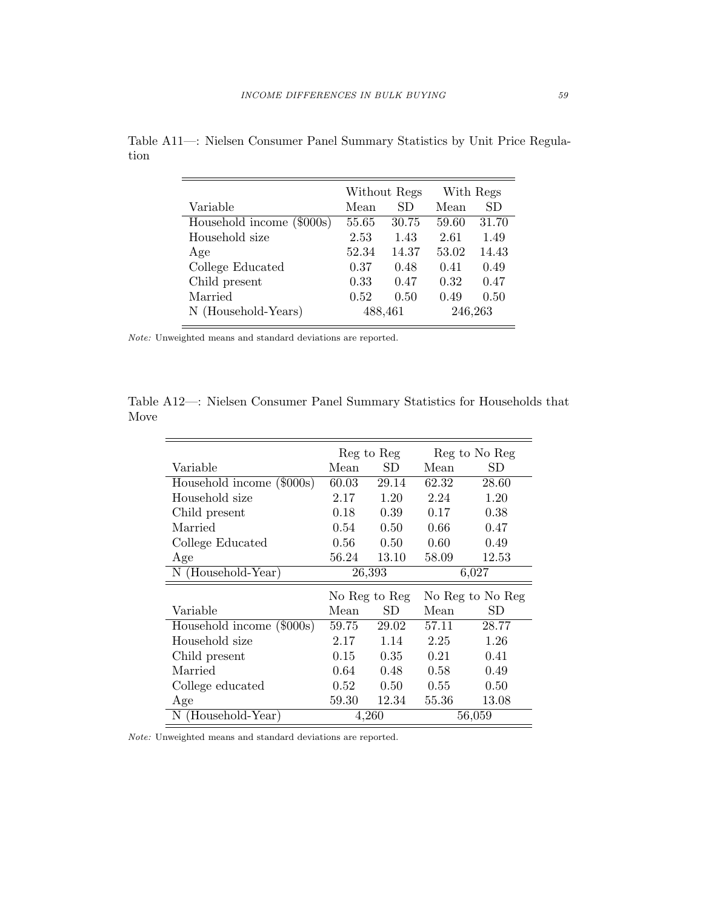|                           |       | Without Regs |         | With Regs |
|---------------------------|-------|--------------|---------|-----------|
| Variable                  | Mean  | SD.          | Mean    | SD        |
| Household income (\$000s) | 55.65 | 30.75        | 59.60   | 31.70     |
| Household size            | 2.53  | 1.43         | 2.61    | 1.49      |
| Age                       | 52.34 | 14.37        | 53.02   | 14.43     |
| College Educated          | 0.37  | 0.48         | 0.41    | 0.49      |
| Child present             | 0.33  | 0.47         | 0.32    | 0.47      |
| Married                   | 0.52  | 0.50         | 0.49    | 0.50      |
| N (Household-Years)       |       | 488,461      | 246,263 |           |

Table A11—: Nielsen Consumer Panel Summary Statistics by Unit Price Regulation

Note: Unweighted means and standard deviations are reported.

Table A12—: Nielsen Consumer Panel Summary Statistics for Households that Move

|                           | Reg to Reg |               | Reg to No Reg |                  |
|---------------------------|------------|---------------|---------------|------------------|
| Variable                  | Mean       | SD            | Mean          | SD               |
| Household income (\$000s) | 60.03      | 29.14         | 62.32         | 28.60            |
| Household size            | 2.17       | 1.20          | 2.24          | 1.20             |
| Child present             | 0.18       | 0.39          | 0.17          | 0.38             |
| Married                   | 0.54       | 0.50          | 0.66          | 0.47             |
| College Educated          | 0.56       | 0.50          | 0.60          | 0.49             |
| Age                       | 56.24      | 13.10         | 58.09         | 12.53            |
| N (Household-Year)        | 26,393     |               | 6,027         |                  |
|                           |            |               |               |                  |
|                           |            | No Reg to Reg |               | No Reg to No Reg |
| Variable                  | Mean       | SD            | Mean          | SD               |
| Household income (\$000s) | 59.75      | 29.02         | 57.11         | 28.77            |
| Household size            | 2.17       | 1.14          | 2.25          | 1.26             |
| Child present             | 0.15       | 0.35          | 0.21          | 0.41             |
| Married                   | 0.64       | 0.48          | 0.58          | 0.49             |
| College educated          | 0.52       | 0.50          | 0.55          | 0.50             |
| Age                       | 59.30      | 12.34         | 55.36         | 13.08            |

Note: Unweighted means and standard deviations are reported.